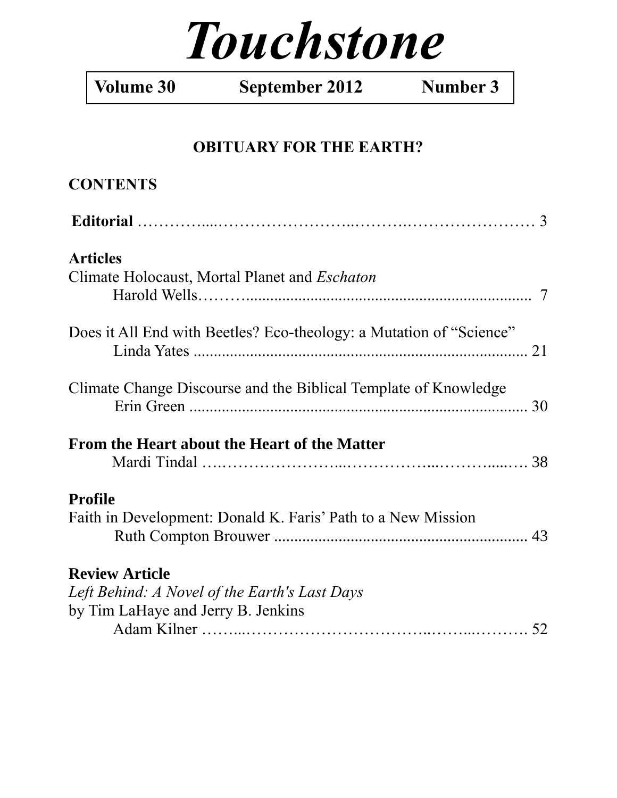# *Touchstone*

**Volume 30 September 2012 Number 3**

## **OBITUARY FOR THE EARTH?**

| <b>CONTENTS</b>                                                         |  |
|-------------------------------------------------------------------------|--|
|                                                                         |  |
| <b>Articles</b><br>Climate Holocaust, Mortal Planet and <i>Eschaton</i> |  |
|                                                                         |  |
| Does it All End with Beetles? Eco-theology: a Mutation of "Science"     |  |
| Climate Change Discourse and the Biblical Template of Knowledge         |  |
| From the Heart about the Heart of the Matter                            |  |
| <b>Profile</b>                                                          |  |
| Faith in Development: Donald K. Faris' Path to a New Mission            |  |
| <b>Review Article</b>                                                   |  |
| Left Behind: A Novel of the Earth's Last Days                           |  |
| by Tim LaHaye and Jerry B. Jenkins                                      |  |
|                                                                         |  |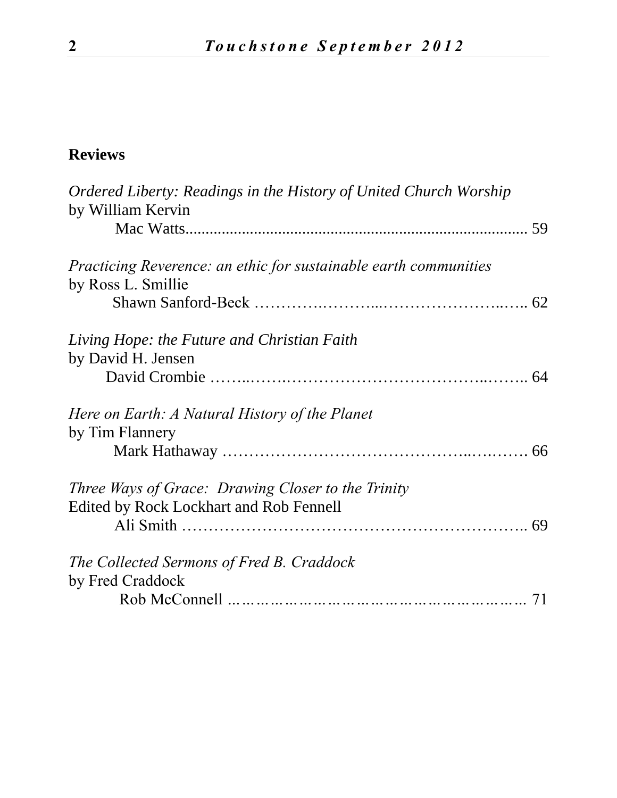## **Reviews**

| Ordered Liberty: Readings in the History of United Church Worship<br>by William Kervin                      |    |
|-------------------------------------------------------------------------------------------------------------|----|
|                                                                                                             |    |
| <i>Practicing Reverence: an ethic for sustainable earth communities</i><br>by Ross L. Smillie               |    |
|                                                                                                             |    |
| Living Hope: the Future and Christian Faith<br>by David H. Jensen                                           |    |
|                                                                                                             |    |
| Here on Earth: A Natural History of the Planet<br>by Tim Flannery                                           |    |
|                                                                                                             |    |
| <i>Three Ways of Grace: Drawing Closer to the Trinity</i><br><b>Edited by Rock Lockhart and Rob Fennell</b> | 69 |
|                                                                                                             |    |
| The Collected Sermons of Fred B. Craddock<br>by Fred Craddock                                               |    |
|                                                                                                             | 71 |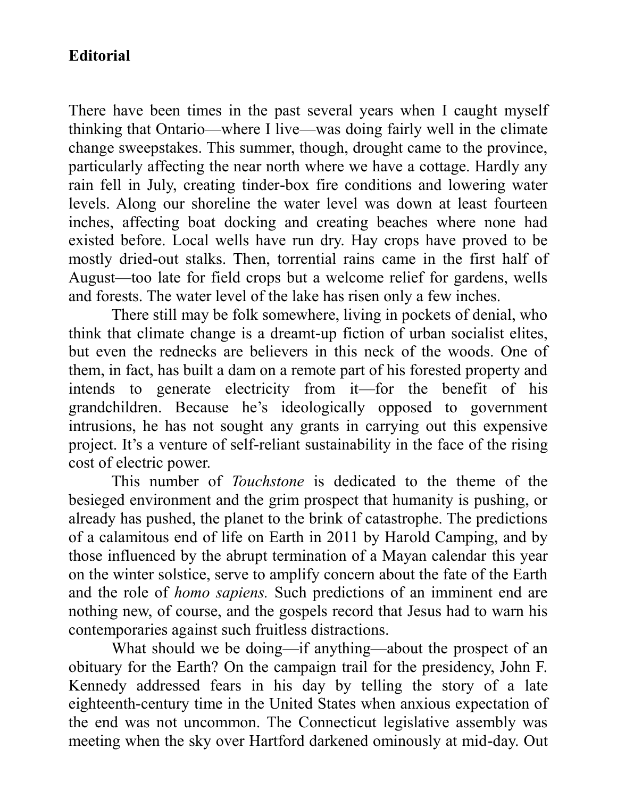## **Editorial**

There have been times in the past several years when I caught myself thinking that Ontario—where I live—was doing fairly well in the climate change sweepstakes. This summer, though, drought came to the province, particularly affecting the near north where we have a cottage. Hardly any rain fell in July, creating tinder-box fire conditions and lowering water levels. Along our shoreline the water level was down at least fourteen inches, affecting boat docking and creating beaches where none had existed before. Local wells have run dry. Hay crops have proved to be mostly dried-out stalks. Then, torrential rains came in the first half of August—too late for field crops but a welcome relief for gardens, wells and forests. The water level of the lake has risen only a few inches.

There still may be folk somewhere, living in pockets of denial, who think that climate change is a dreamt-up fiction of urban socialist elites, but even the rednecks are believers in this neck of the woods. One of them, in fact, has built a dam on a remote part of his forested property and intends to generate electricity from it—for the benefit of his grandchildren. Because he's ideologically opposed to government intrusions, he has not sought any grants in carrying out this expensive project. It's a venture of self-reliant sustainability in the face of the rising cost of electric power.

This number of *Touchstone* is dedicated to the theme of the besieged environment and the grim prospect that humanity is pushing, or already has pushed, the planet to the brink of catastrophe. The predictions of a calamitous end of life on Earth in 2011 by Harold Camping, and by those influenced by the abrupt termination of a Mayan calendar this year on the winter solstice, serve to amplify concern about the fate of the Earth and the role of *homo sapiens.* Such predictions of an imminent end are nothing new, of course, and the gospels record that Jesus had to warn his contemporaries against such fruitless distractions.

What should we be doing—if anything—about the prospect of an obituary for the Earth? On the campaign trail for the presidency, John F. Kennedy addressed fears in his day by telling the story of a late eighteenth-century time in the United States when anxious expectation of the end was not uncommon. The Connecticut legislative assembly was meeting when the sky over Hartford darkened ominously at mid-day. Out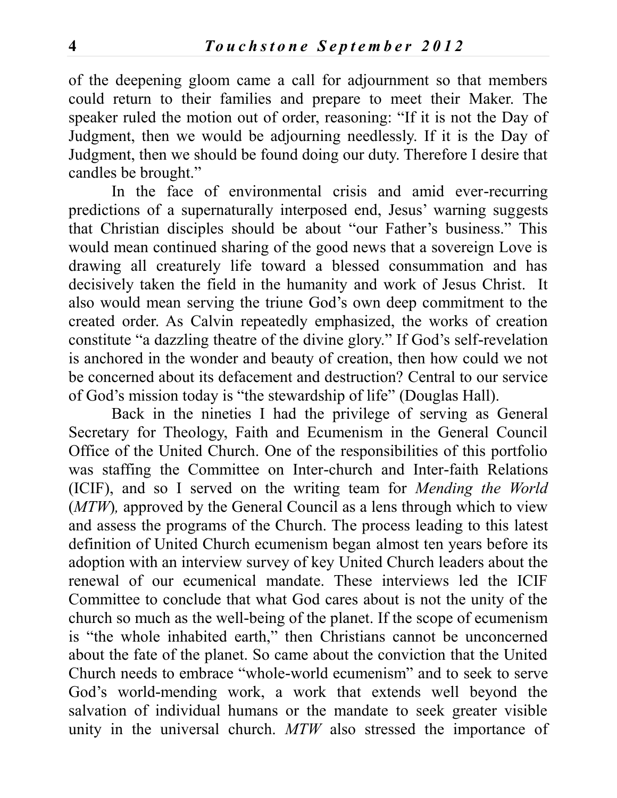of the deepening gloom came a call for adjournment so that members could return to their families and prepare to meet their Maker. The speaker ruled the motion out of order, reasoning: "If it is not the Day of Judgment, then we would be adjourning needlessly. If it is the Day of Judgment, then we should be found doing our duty. Therefore I desire that candles be brought."

In the face of environmental crisis and amid ever-recurring predictions of a supernaturally interposed end, Jesus' warning suggests that Christian disciples should be about "our Father's business." This would mean continued sharing of the good news that a sovereign Love is drawing all creaturely life toward a blessed consummation and has decisively taken the field in the humanity and work of Jesus Christ. It also would mean serving the triune God's own deep commitment to the created order. As Calvin repeatedly emphasized, the works of creation constitute "a dazzling theatre of the divine glory." If God's self-revelation is anchored in the wonder and beauty of creation, then how could we not be concerned about its defacement and destruction? Central to our service of God's mission today is "the stewardship of life" (Douglas Hall).

Back in the nineties I had the privilege of serving as General Secretary for Theology, Faith and Ecumenism in the General Council Office of the United Church. One of the responsibilities of this portfolio was staffing the Committee on Inter-church and Inter-faith Relations (ICIF), and so I served on the writing team for *Mending the World* (*MTW*), approved by the General Council as a lens through which to view and assess the programs of the Church. The process leading to this latest definition of United Church ecumenism began almost ten years before its adoption with an interview survey of key United Church leaders about the renewal of our ecumenical mandate. These interviews led the ICIF Committee to conclude that what God cares about is not the unity of the church so much as the well-being of the planet. If the scope of ecumenism is "the whole inhabited earth," then Christians cannot be unconcerned about the fate of the planet. So came about the conviction that the United Church needs to embrace "whole-world ecumenism" and to seek to serve God's world-mending work, a work that extends well beyond the salvation of individual humans or the mandate to seek greater visible unity in the universal church. *MTW* also stressed the importance of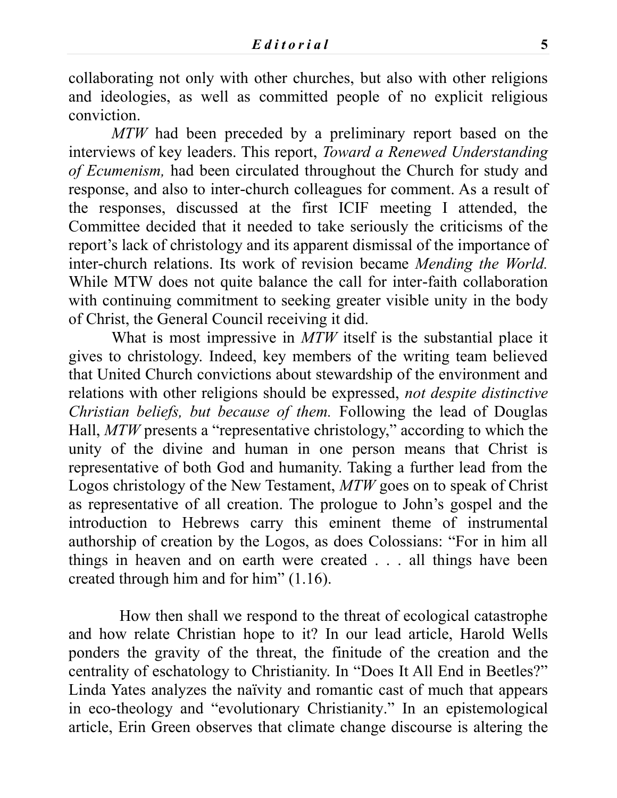collaborating not only with other churches, but also with other religions and ideologies, as well as committed people of no explicit religious conviction.

*MTW* had been preceded by a preliminary report based on the interviews of key leaders. This report, *Toward a Renewed Understanding of Ecumenism,* had been circulated throughout the Church for study and response, and also to inter-church colleagues for comment. As a result of the responses, discussed at the first ICIF meeting I attended, the Committee decided that it needed to take seriously the criticisms of the report's lack of christology and its apparent dismissal of the importance of inter-church relations. Its work of revision became *Mending the World.*  While MTW does not quite balance the call for inter-faith collaboration with continuing commitment to seeking greater visible unity in the body of Christ, the General Council receiving it did.

What is most impressive in *MTW* itself is the substantial place it gives to christology. Indeed, key members of the writing team believed that United Church convictions about stewardship of the environment and relations with other religions should be expressed, *not despite distinctive Christian beliefs, but because of them.* Following the lead of Douglas Hall, *MTW* presents a "representative christology," according to which the unity of the divine and human in one person means that Christ is representative of both God and humanity. Taking a further lead from the Logos christology of the New Testament, *MTW* goes on to speak of Christ as representative of all creation. The prologue to John's gospel and the introduction to Hebrews carry this eminent theme of instrumental authorship of creation by the Logos, as does Colossians: "For in him all things in heaven and on earth were created . . . all things have been created through him and for him" (1.16).

How then shall we respond to the threat of ecological catastrophe and how relate Christian hope to it? In our lead article, Harold Wells ponders the gravity of the threat, the finitude of the creation and the centrality of eschatology to Christianity. In "Does It All End in Beetles?" Linda Yates analyzes the naïvity and romantic cast of much that appears in eco-theology and "evolutionary Christianity." In an epistemological article, Erin Green observes that climate change discourse is altering the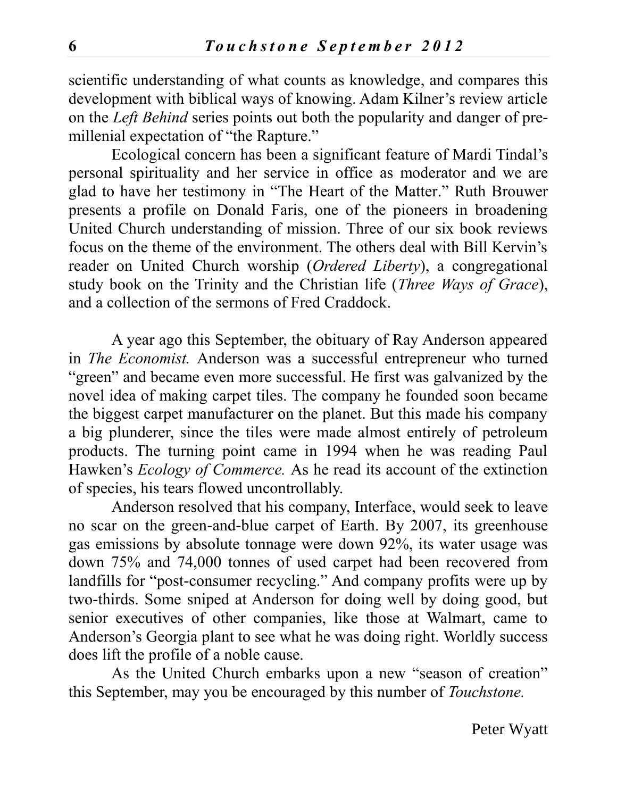scientific understanding of what counts as knowledge, and compares this development with biblical ways of knowing. Adam Kilner's review article on the *Left Behind* series points out both the popularity and danger of premillenial expectation of "the Rapture."

Ecological concern has been a significant feature of Mardi Tindal's personal spirituality and her service in office as moderator and we are glad to have her testimony in "The Heart of the Matter." Ruth Brouwer presents a profile on Donald Faris, one of the pioneers in broadening United Church understanding of mission. Three of our six book reviews focus on the theme of the environment. The others deal with Bill Kervin's reader on United Church worship (*Ordered Liberty*), a congregational study book on the Trinity and the Christian life (*Three Ways of Grace*), and a collection of the sermons of Fred Craddock.

A year ago this September, the obituary of Ray Anderson appeared in *The Economist.* Anderson was a successful entrepreneur who turned "green" and became even more successful. He first was galvanized by the novel idea of making carpet tiles. The company he founded soon became the biggest carpet manufacturer on the planet. But this made his company a big plunderer, since the tiles were made almost entirely of petroleum products. The turning point came in 1994 when he was reading Paul Hawken's *Ecology of Commerce.* As he read its account of the extinction of species, his tears flowed uncontrollably.

Anderson resolved that his company, Interface, would seek to leave no scar on the green-and-blue carpet of Earth. By 2007, its greenhouse gas emissions by absolute tonnage were down 92%, its water usage was down 75% and 74,000 tonnes of used carpet had been recovered from landfills for "post-consumer recycling." And company profits were up by two-thirds. Some sniped at Anderson for doing well by doing good, but senior executives of other companies, like those at Walmart, came to Anderson's Georgia plant to see what he was doing right. Worldly success does lift the profile of a noble cause.

As the United Church embarks upon a new "season of creation" this September, may you be encouraged by this number of *Touchstone.*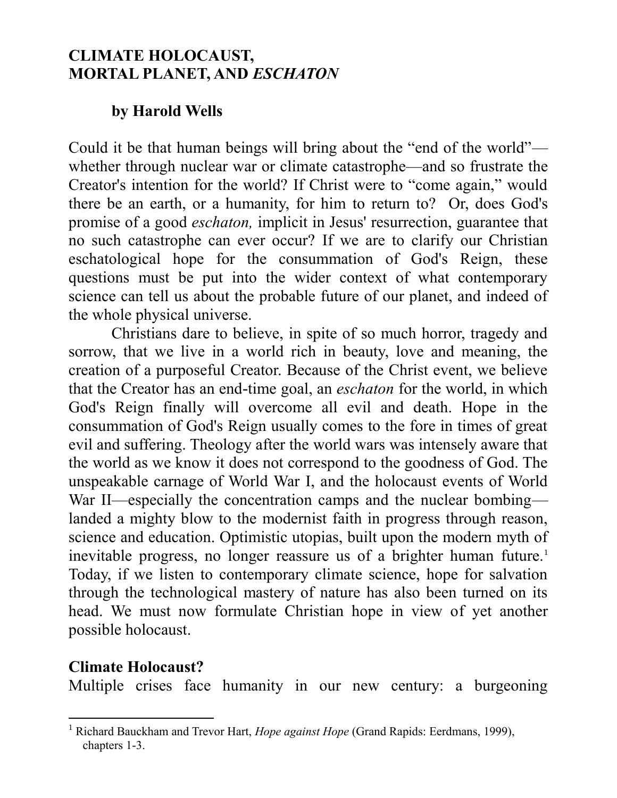## **CLIMATE HOLOCAUST, MORTAL PLANET, AND** *ESCHATON*

#### **by Harold Wells**

Could it be that human beings will bring about the "end of the world" whether through nuclear war or climate catastrophe—and so frustrate the Creator's intention for the world? If Christ were to "come again," would there be an earth, or a humanity, for him to return to? Or, does God's promise of a good *eschaton,* implicit in Jesus' resurrection, guarantee that no such catastrophe can ever occur? If we are to clarify our Christian eschatological hope for the consummation of God's Reign, these questions must be put into the wider context of what contemporary science can tell us about the probable future of our planet, and indeed of the whole physical universe.

Christians dare to believe, in spite of so much horror, tragedy and sorrow, that we live in a world rich in beauty, love and meaning, the creation of a purposeful Creator. Because of the Christ event, we believe that the Creator has an end-time goal, an *eschaton* for the world, in which God's Reign finally will overcome all evil and death. Hope in the consummation of God's Reign usually comes to the fore in times of great evil and suffering. Theology after the world wars was intensely aware that the world as we know it does not correspond to the goodness of God. The unspeakable carnage of World War I, and the holocaust events of World War II—especially the concentration camps and the nuclear bombing landed a mighty blow to the modernist faith in progress through reason, science and education. Optimistic utopias, built upon the modern myth of inevitable progress, no longer reassure us of a brighter human future.<sup>1</sup> Today, if we listen to contemporary climate science, hope for salvation through the technological mastery of nature has also been turned on its head. We must now formulate Christian hope in view of yet another possible holocaust.

#### **Climate Holocaust?**

 $\overline{a}$ 

Multiple crises face humanity in our new century: a burgeoning

<sup>1</sup> Richard Bauckham and Trevor Hart, *Hope against Hope* (Grand Rapids: Eerdmans, 1999), chapters 1-3.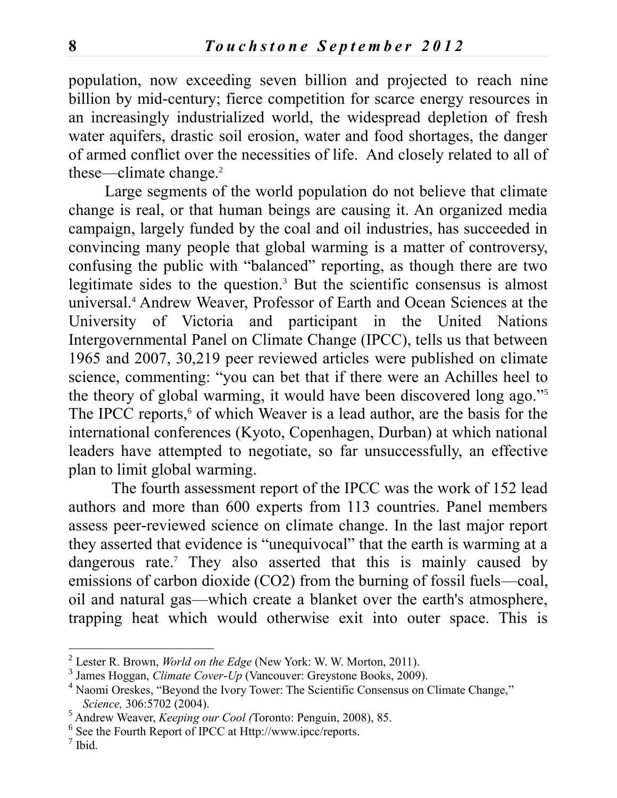population, now exceeding seven billion and projected to reach nine billion by mid-century; fierce competition for scarce energy resources in an increasingly industrialized world, the widespread depletion of fresh water aquifers, drastic soil erosion, water and food shortages, the danger of armed conflict over the necessities of life. And closely related to all of these—climate change.<sup>2</sup>

Large segments of the world population do not believe that climate change is real, or that human beings are causing it. An organized media campaign, largely funded by the coal and oil industries, has succeeded in convincing many people that global warming is a matter of controversy, confusing the public with "balanced" reporting, as though there are two legitimate sides to the question.<sup>3</sup> But the scientific consensus is almost universal.<sup>4</sup> Andrew Weaver, Professor of Earth and Ocean Sciences at the University of Victoria and participant in the United Nations Intergovernmental Panel on Climate Change (IPCC), tells us that between 1965 and 2007, 30,219 peer reviewed articles were published on climate science, commenting: "you can bet that if there were an Achilles heel to the theory of global warming, it would have been discovered long ago."<sup>5</sup> The IPCC reports,<sup>6</sup> of which Weaver is a lead author, are the basis for the international conferences (Kyoto, Copenhagen, Durban) at which national leaders have attempted to negotiate, so far unsuccessfully, an effective plan to limit global warming.

The fourth assessment report of the IPCC was the work of 152 lead authors and more than 600 experts from 113 countries. Panel members assess peer-reviewed science on climate change. In the last major report they asserted that evidence is "unequivocal" that the earth is warming at a dangerous rate.<sup>7</sup> They also asserted that this is mainly caused by emissions of carbon dioxide (CO2) from the burning of fossil fuels—coal, oil and natural gas—which create a blanket over the earth's atmosphere, trapping heat which would otherwise exit into outer space. This is

 2 Lester R. Brown, *World on the Edge* (New York: W. W. Morton, 2011).

<sup>3</sup> James Hoggan, *Climate Cover-Up* (Vancouver: Greystone Books, 2009).

<sup>&</sup>lt;sup>4</sup> Naomi Oreskes, "Beyond the Ivory Tower: The Scientific Consensus on Climate Change," *Science,* 306:5702 (2004).

<sup>5</sup> Andrew Weaver, *Keeping our Cool (*Toronto: Penguin, 2008), 85.

<sup>6</sup> See the Fourth Report of IPCC at Http://www.ipcc/reports.

<sup>7</sup> Ibid.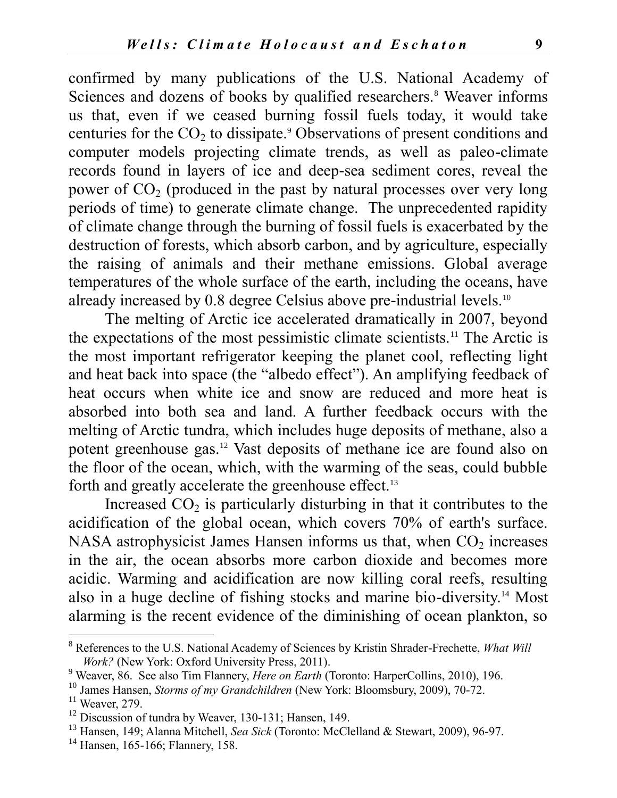confirmed by many publications of the U.S. National Academy of Sciences and dozens of books by qualified researchers.<sup>8</sup> Weaver informs us that, even if we ceased burning fossil fuels today, it would take centuries for the  $CO<sub>2</sub>$  to dissipate.<sup>9</sup> Observations of present conditions and computer models projecting climate trends, as well as paleo-climate records found in layers of ice and deep-sea sediment cores, reveal the power of  $CO<sub>2</sub>$  (produced in the past by natural processes over very long periods of time) to generate climate change. The unprecedented rapidity of climate change through the burning of fossil fuels is exacerbated by the destruction of forests, which absorb carbon, and by agriculture, especially the raising of animals and their methane emissions. Global average temperatures of the whole surface of the earth, including the oceans, have already increased by 0.8 degree Celsius above pre-industrial levels.<sup>10</sup>

The melting of Arctic ice accelerated dramatically in 2007, beyond the expectations of the most pessimistic climate scientists.<sup>11</sup> The Arctic is the most important refrigerator keeping the planet cool, reflecting light and heat back into space (the "albedo effect"). An amplifying feedback of heat occurs when white ice and snow are reduced and more heat is absorbed into both sea and land. A further feedback occurs with the melting of Arctic tundra, which includes huge deposits of methane, also a potent greenhouse gas.<sup>12</sup> Vast deposits of methane ice are found also on the floor of the ocean, which, with the warming of the seas, could bubble forth and greatly accelerate the greenhouse effect.<sup>13</sup>

Increased  $CO<sub>2</sub>$  is particularly disturbing in that it contributes to the acidification of the global ocean, which covers 70% of earth's surface. NASA astrophysicist James Hansen informs us that, when  $CO<sub>2</sub>$  increases in the air, the ocean absorbs more carbon dioxide and becomes more acidic. Warming and acidification are now killing coral reefs, resulting also in a huge decline of fishing stocks and marine bio-diversity.<sup>14</sup> Most alarming is the recent evidence of the diminishing of ocean plankton, so

<sup>8</sup> References to the U.S. National Academy of Sciences by Kristin Shrader-Frechette, *What Will Work?* (New York: Oxford University Press, 2011).

<sup>9</sup> Weaver, 86. See also Tim Flannery, *Here on Earth* (Toronto: HarperCollins, 2010), 196.

<sup>&</sup>lt;sup>10</sup> James Hansen, *Storms of my Grandchildren* (New York: Bloomsbury, 2009), 70-72.

 $11$  Weaver, 279.

<sup>&</sup>lt;sup>12</sup> Discussion of tundra by Weaver, 130-131; Hansen, 149.

<sup>13</sup> Hansen, 149; Alanna Mitchell, *Sea Sick* (Toronto: McClelland & Stewart, 2009), 96-97.

<sup>&</sup>lt;sup>14</sup> Hansen, 165-166; Flannery, 158.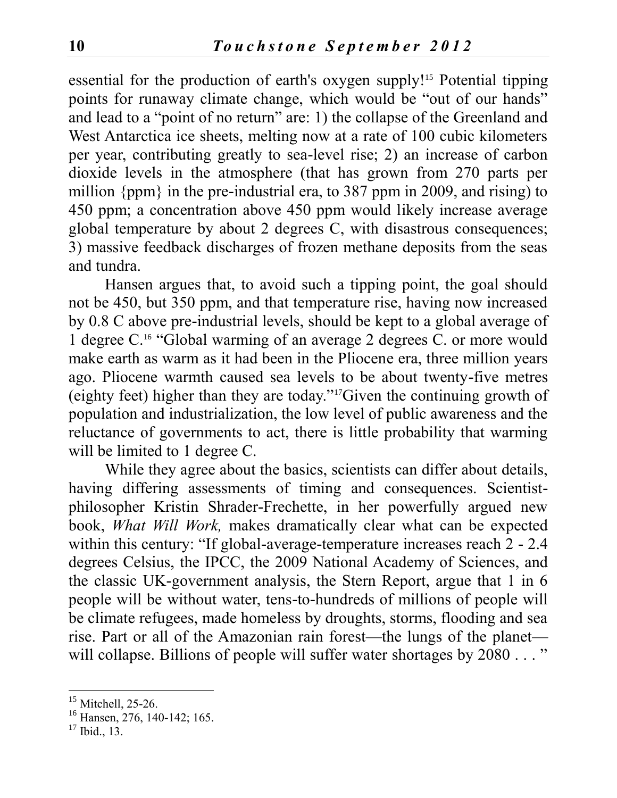essential for the production of earth's oxygen supply!<sup>15</sup> Potential tipping points for runaway climate change, which would be "out of our hands" and lead to a "point of no return" are: 1) the collapse of the Greenland and West Antarctica ice sheets, melting now at a rate of 100 cubic kilometers per year, contributing greatly to sea-level rise; 2) an increase of carbon dioxide levels in the atmosphere (that has grown from 270 parts per million {ppm} in the pre-industrial era, to 387 ppm in 2009, and rising) to 450 ppm; a concentration above 450 ppm would likely increase average global temperature by about 2 degrees C, with disastrous consequences; 3) massive feedback discharges of frozen methane deposits from the seas and tundra.

Hansen argues that, to avoid such a tipping point, the goal should not be 450, but 350 ppm, and that temperature rise, having now increased by 0.8 C above pre-industrial levels, should be kept to a global average of 1 degree C.<sup>16</sup> "Global warming of an average 2 degrees C. or more would make earth as warm as it had been in the Pliocene era, three million years ago. Pliocene warmth caused sea levels to be about twenty-five metres (eighty feet) higher than they are today."17Given the continuing growth of population and industrialization, the low level of public awareness and the reluctance of governments to act, there is little probability that warming will be limited to 1 degree C.

While they agree about the basics, scientists can differ about details, having differing assessments of timing and consequences. Scientistphilosopher Kristin Shrader-Frechette, in her powerfully argued new book, *What Will Work,* makes dramatically clear what can be expected within this century: "If global-average-temperature increases reach 2 - 2.4 degrees Celsius, the IPCC, the 2009 National Academy of Sciences, and the classic UK-government analysis, the Stern Report, argue that 1 in 6 people will be without water, tens-to-hundreds of millions of people will be climate refugees, made homeless by droughts, storms, flooding and sea rise. Part or all of the Amazonian rain forest—the lungs of the planet will collapse. Billions of people will suffer water shortages by 2080..."

<sup>&</sup>lt;sup>15</sup> Mitchell, 25-26.

<sup>&</sup>lt;sup>16</sup> Hansen, 276, 140-142; 165.

 $17$  Ibid.,  $13$ .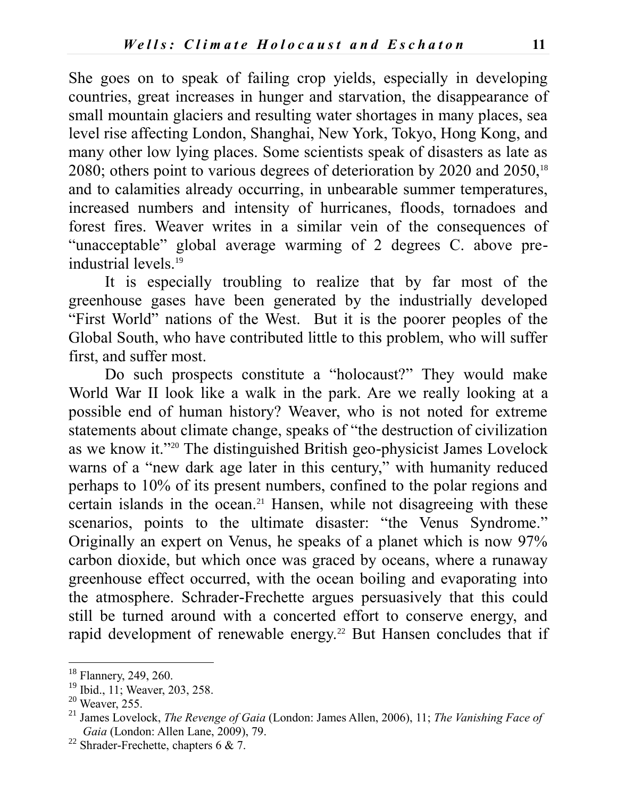She goes on to speak of failing crop yields, especially in developing countries, great increases in hunger and starvation, the disappearance of small mountain glaciers and resulting water shortages in many places, sea level rise affecting London, Shanghai, New York, Tokyo, Hong Kong, and many other low lying places. Some scientists speak of disasters as late as 2080; others point to various degrees of deterioration by 2020 and  $2050$ ,<sup>18</sup> and to calamities already occurring, in unbearable summer temperatures, increased numbers and intensity of hurricanes, floods, tornadoes and forest fires. Weaver writes in a similar vein of the consequences of "unacceptable" global average warming of 2 degrees C. above preindustrial levels.<sup>19</sup>

It is especially troubling to realize that by far most of the greenhouse gases have been generated by the industrially developed "First World" nations of the West. But it is the poorer peoples of the Global South, who have contributed little to this problem, who will suffer first, and suffer most.

Do such prospects constitute a "holocaust?" They would make World War II look like a walk in the park. Are we really looking at a possible end of human history? Weaver, who is not noted for extreme statements about climate change, speaks of "the destruction of civilization as we know it."<sup>20</sup> The distinguished British geo-physicist James Lovelock warns of a "new dark age later in this century," with humanity reduced perhaps to 10% of its present numbers, confined to the polar regions and certain islands in the ocean.<sup>21</sup> Hansen, while not disagreeing with these scenarios, points to the ultimate disaster: "the Venus Syndrome." Originally an expert on Venus, he speaks of a planet which is now 97% carbon dioxide, but which once was graced by oceans, where a runaway greenhouse effect occurred, with the ocean boiling and evaporating into the atmosphere. Schrader-Frechette argues persuasively that this could still be turned around with a concerted effort to conserve energy, and rapid development of renewable energy.<sup>22</sup> But Hansen concludes that if

<sup>&</sup>lt;sup>18</sup> Flannery, 249, 260.

<sup>&</sup>lt;sup>19</sup> Ibid., 11; Weaver, 203, 258.

 $20$  Weaver, 255.

<sup>21</sup> James Lovelock, *The Revenge of Gaia* (London: James Allen, 2006), 11; *The Vanishing Face of Gaia* (London: Allen Lane, 2009), 79.

<sup>&</sup>lt;sup>22</sup> Shrader-Frechette, chapters 6 & 7.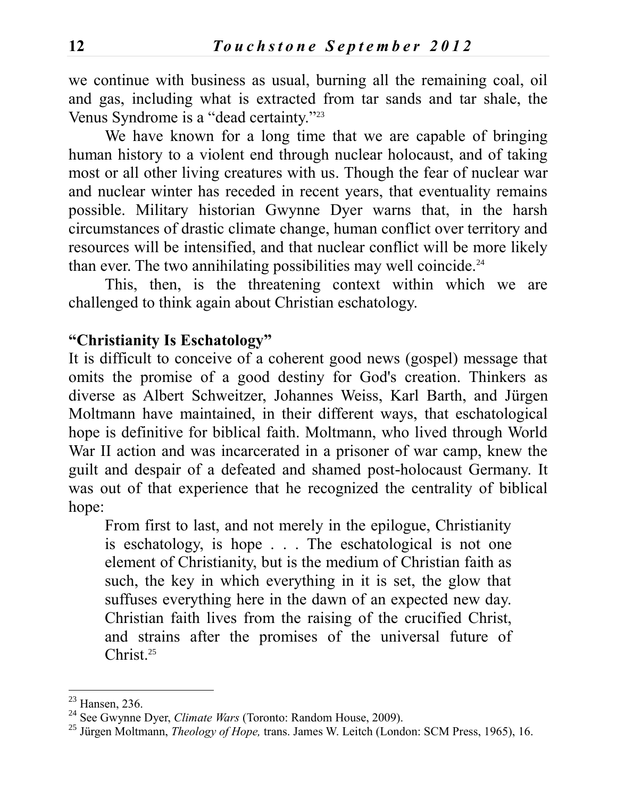we continue with business as usual, burning all the remaining coal, oil and gas, including what is extracted from tar sands and tar shale, the Venus Syndrome is a "dead certainty."<sup>23</sup>

We have known for a long time that we are capable of bringing human history to a violent end through nuclear holocaust, and of taking most or all other living creatures with us. Though the fear of nuclear war and nuclear winter has receded in recent years, that eventuality remains possible. Military historian Gwynne Dyer warns that, in the harsh circumstances of drastic climate change, human conflict over territory and resources will be intensified, and that nuclear conflict will be more likely than ever. The two annihilating possibilities may well coincide.<sup>24</sup>

This, then, is the threatening context within which we are challenged to think again about Christian eschatology.

#### **"Christianity Is Eschatology"**

It is difficult to conceive of a coherent good news (gospel) message that omits the promise of a good destiny for God's creation. Thinkers as diverse as Albert Schweitzer, Johannes Weiss, Karl Barth, and Jürgen Moltmann have maintained, in their different ways, that eschatological hope is definitive for biblical faith. Moltmann, who lived through World War II action and was incarcerated in a prisoner of war camp, knew the guilt and despair of a defeated and shamed post-holocaust Germany. It was out of that experience that he recognized the centrality of biblical hope:

From first to last, and not merely in the epilogue, Christianity is eschatology, is hope . . . The eschatological is not one element of Christianity, but is the medium of Christian faith as such, the key in which everything in it is set, the glow that suffuses everything here in the dawn of an expected new day. Christian faith lives from the raising of the crucified Christ, and strains after the promises of the universal future of Christ.<sup>25</sup>

 $23$  Hansen, 236.

<sup>24</sup> See Gwynne Dyer, *Climate Wars* (Toronto: Random House, 2009).

<sup>25</sup> Jürgen Moltmann, *Theology of Hope,* trans. James W. Leitch (London: SCM Press, 1965), 16.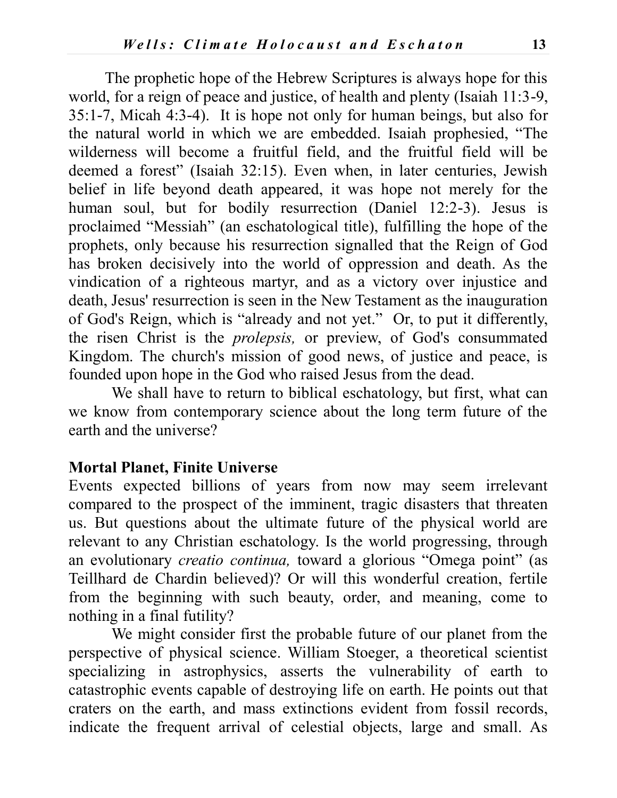The prophetic hope of the Hebrew Scriptures is always hope for this world, for a reign of peace and justice, of health and plenty (Isaiah 11:3-9, 35:1-7, Micah 4:3-4). It is hope not only for human beings, but also for the natural world in which we are embedded. Isaiah prophesied, "The wilderness will become a fruitful field, and the fruitful field will be deemed a forest" (Isaiah 32:15). Even when, in later centuries, Jewish belief in life beyond death appeared, it was hope not merely for the human soul, but for bodily resurrection (Daniel 12:2-3). Jesus is proclaimed "Messiah" (an eschatological title), fulfilling the hope of the prophets, only because his resurrection signalled that the Reign of God has broken decisively into the world of oppression and death. As the vindication of a righteous martyr, and as a victory over injustice and death, Jesus' resurrection is seen in the New Testament as the inauguration of God's Reign, which is "already and not yet." Or, to put it differently, the risen Christ is the *prolepsis,* or preview, of God's consummated Kingdom. The church's mission of good news, of justice and peace, is founded upon hope in the God who raised Jesus from the dead.

We shall have to return to biblical eschatology, but first, what can we know from contemporary science about the long term future of the earth and the universe?

#### **Mortal Planet, Finite Universe**

Events expected billions of years from now may seem irrelevant compared to the prospect of the imminent, tragic disasters that threaten us. But questions about the ultimate future of the physical world are relevant to any Christian eschatology. Is the world progressing, through an evolutionary *creatio continua,* toward a glorious "Omega point" (as Teillhard de Chardin believed)? Or will this wonderful creation, fertile from the beginning with such beauty, order, and meaning, come to nothing in a final futility?

We might consider first the probable future of our planet from the perspective of physical science. William Stoeger, a theoretical scientist specializing in astrophysics, asserts the vulnerability of earth to catastrophic events capable of destroying life on earth. He points out that craters on the earth, and mass extinctions evident from fossil records, indicate the frequent arrival of celestial objects, large and small. As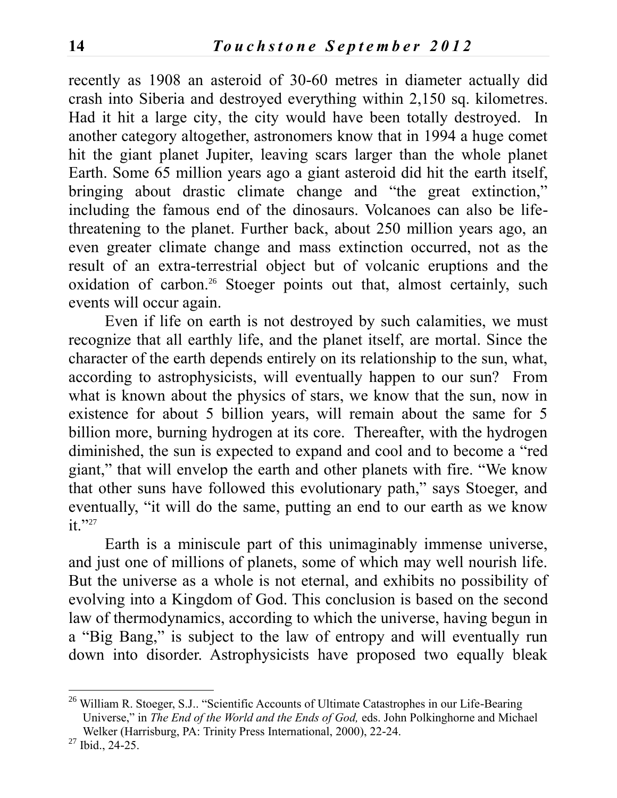recently as 1908 an asteroid of 30-60 metres in diameter actually did crash into Siberia and destroyed everything within 2,150 sq. kilometres. Had it hit a large city, the city would have been totally destroyed. In another category altogether, astronomers know that in 1994 a huge comet hit the giant planet Jupiter, leaving scars larger than the whole planet Earth. Some 65 million years ago a giant asteroid did hit the earth itself, bringing about drastic climate change and "the great extinction," including the famous end of the dinosaurs. Volcanoes can also be lifethreatening to the planet. Further back, about 250 million years ago, an even greater climate change and mass extinction occurred, not as the result of an extra-terrestrial object but of volcanic eruptions and the oxidation of carbon.<sup>26</sup> Stoeger points out that, almost certainly, such events will occur again.

Even if life on earth is not destroyed by such calamities, we must recognize that all earthly life, and the planet itself, are mortal. Since the character of the earth depends entirely on its relationship to the sun, what, according to astrophysicists, will eventually happen to our sun? From what is known about the physics of stars, we know that the sun, now in existence for about 5 billion years, will remain about the same for 5 billion more, burning hydrogen at its core. Thereafter, with the hydrogen diminished, the sun is expected to expand and cool and to become a "red giant," that will envelop the earth and other planets with fire. "We know that other suns have followed this evolutionary path," says Stoeger, and eventually, "it will do the same, putting an end to our earth as we know it."27

Earth is a miniscule part of this unimaginably immense universe, and just one of millions of planets, some of which may well nourish life. But the universe as a whole is not eternal, and exhibits no possibility of evolving into a Kingdom of God. This conclusion is based on the second law of thermodynamics, according to which the universe, having begun in a "Big Bang," is subject to the law of entropy and will eventually run down into disorder. Astrophysicists have proposed two equally bleak

 $^{26}$  William R. Stoeger, S.J.. "Scientific Accounts of Ultimate Catastrophes in our Life-Bearing Universe," in *The End of the World and the Ends of God,* eds. John Polkinghorne and Michael Welker (Harrisburg, PA: Trinity Press International, 2000), 22-24.

<sup>27</sup> Ibid., 24-25.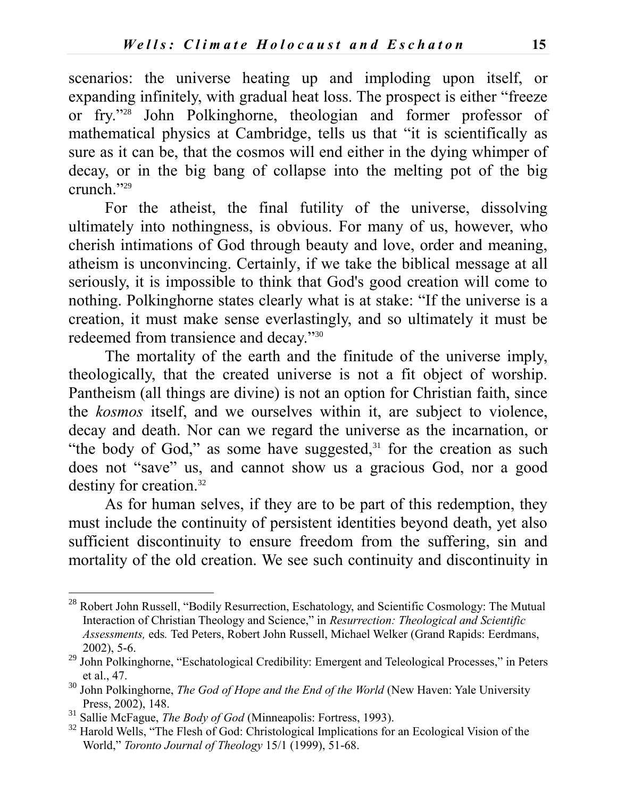scenarios: the universe heating up and imploding upon itself, or expanding infinitely, with gradual heat loss. The prospect is either "freeze or fry."<sup>28</sup> John Polkinghorne, theologian and former professor of mathematical physics at Cambridge, tells us that "it is scientifically as sure as it can be, that the cosmos will end either in the dying whimper of decay, or in the big bang of collapse into the melting pot of the big crunch."<sup>29</sup>

For the atheist, the final futility of the universe, dissolving ultimately into nothingness, is obvious. For many of us, however, who cherish intimations of God through beauty and love, order and meaning, atheism is unconvincing. Certainly, if we take the biblical message at all seriously, it is impossible to think that God's good creation will come to nothing. Polkinghorne states clearly what is at stake: "If the universe is a creation, it must make sense everlastingly, and so ultimately it must be redeemed from transience and decay."<sup>30</sup>

The mortality of the earth and the finitude of the universe imply, theologically, that the created universe is not a fit object of worship. Pantheism (all things are divine) is not an option for Christian faith, since the *kosmos* itself, and we ourselves within it, are subject to violence, decay and death. Nor can we regard the universe as the incarnation, or "the body of God," as some have suggested, $31$  for the creation as such does not "save" us, and cannot show us a gracious God, nor a good destiny for creation.<sup>32</sup>

As for human selves, if they are to be part of this redemption, they must include the continuity of persistent identities beyond death, yet also sufficient discontinuity to ensure freedom from the suffering, sin and mortality of the old creation. We see such continuity and discontinuity in

<sup>&</sup>lt;sup>28</sup> Robert John Russell, "Bodily Resurrection, Eschatology, and Scientific Cosmology: The Mutual Interaction of Christian Theology and Science," in *Resurrection: Theological and Scientific Assessments,* eds*.* Ted Peters, Robert John Russell, Michael Welker (Grand Rapids: Eerdmans, 2002), 5-6.

<sup>&</sup>lt;sup>29</sup> John Polkinghorne, "Eschatological Credibility: Emergent and Teleological Processes," in Peters et al., 47.

<sup>30</sup> John Polkinghorne, *The God of Hope and the End of the World* (New Haven: Yale University Press, 2002), 148.

<sup>31</sup> Sallie McFague, *The Body of God* (Minneapolis: Fortress, 1993).

<sup>&</sup>lt;sup>32</sup> Harold Wells, "The Flesh of God: Christological Implications for an Ecological Vision of the World," *Toronto Journal of Theology* 15/1 (1999), 51-68.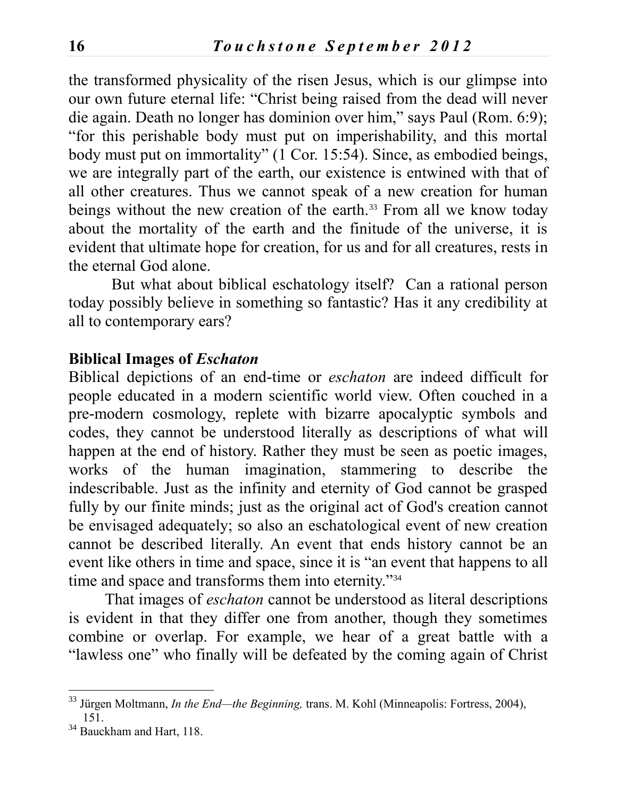the transformed physicality of the risen Jesus, which is our glimpse into our own future eternal life: "Christ being raised from the dead will never die again. Death no longer has dominion over him," says Paul (Rom. 6:9); "for this perishable body must put on imperishability, and this mortal body must put on immortality" (1 Cor. 15:54). Since, as embodied beings, we are integrally part of the earth, our existence is entwined with that of all other creatures. Thus we cannot speak of a new creation for human beings without the new creation of the earth.<sup>33</sup> From all we know today about the mortality of the earth and the finitude of the universe, it is evident that ultimate hope for creation, for us and for all creatures, rests in the eternal God alone.

 But what about biblical eschatology itself? Can a rational person today possibly believe in something so fantastic? Has it any credibility at all to contemporary ears?

#### **Biblical Images of** *Eschaton*

Biblical depictions of an end-time or *eschaton* are indeed difficult for people educated in a modern scientific world view. Often couched in a pre-modern cosmology, replete with bizarre apocalyptic symbols and codes, they cannot be understood literally as descriptions of what will happen at the end of history. Rather they must be seen as poetic images, works of the human imagination, stammering to describe the indescribable. Just as the infinity and eternity of God cannot be grasped fully by our finite minds; just as the original act of God's creation cannot be envisaged adequately; so also an eschatological event of new creation cannot be described literally. An event that ends history cannot be an event like others in time and space, since it is "an event that happens to all time and space and transforms them into eternity."<sup>34</sup>

That images of *eschaton* cannot be understood as literal descriptions is evident in that they differ one from another, though they sometimes combine or overlap. For example, we hear of a great battle with a "lawless one" who finally will be defeated by the coming again of Christ

<sup>33</sup> Jürgen Moltmann, *In the End—the Beginning,* trans. M. Kohl (Minneapolis: Fortress, 2004), 151.

<sup>&</sup>lt;sup>34</sup> Bauckham and Hart, 118.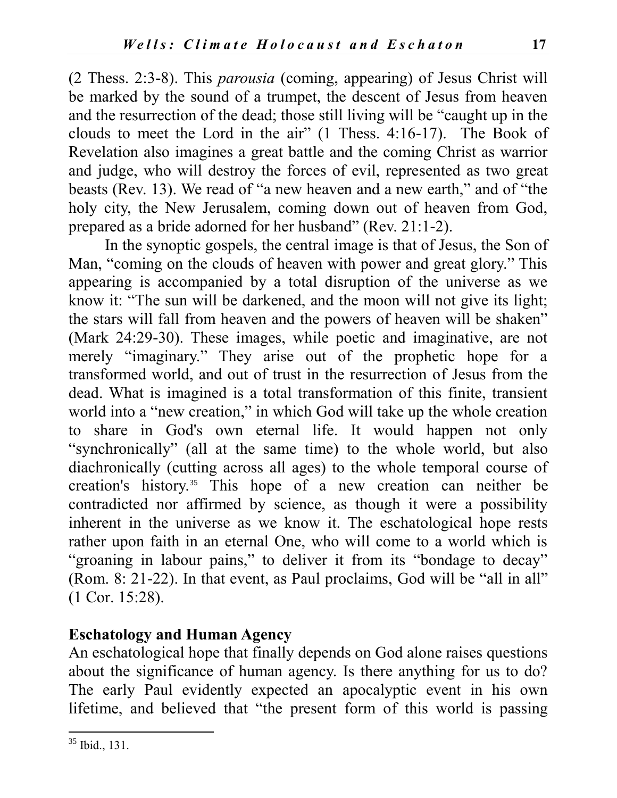(2 Thess. 2:3-8). This *parousia* (coming, appearing) of Jesus Christ will be marked by the sound of a trumpet, the descent of Jesus from heaven and the resurrection of the dead; those still living will be "caught up in the clouds to meet the Lord in the air" (1 Thess. 4:16-17). The Book of Revelation also imagines a great battle and the coming Christ as warrior and judge, who will destroy the forces of evil, represented as two great beasts (Rev. 13). We read of "a new heaven and a new earth," and of "the holy city, the New Jerusalem, coming down out of heaven from God, prepared as a bride adorned for her husband" (Rev. 21:1-2).

In the synoptic gospels, the central image is that of Jesus, the Son of Man, "coming on the clouds of heaven with power and great glory." This appearing is accompanied by a total disruption of the universe as we know it: "The sun will be darkened, and the moon will not give its light; the stars will fall from heaven and the powers of heaven will be shaken" (Mark 24:29-30). These images, while poetic and imaginative, are not merely "imaginary." They arise out of the prophetic hope for a transformed world, and out of trust in the resurrection of Jesus from the dead. What is imagined is a total transformation of this finite, transient world into a "new creation," in which God will take up the whole creation to share in God's own eternal life. It would happen not only "synchronically" (all at the same time) to the whole world, but also diachronically (cutting across all ages) to the whole temporal course of creation's history.<sup>35</sup> This hope of a new creation can neither be contradicted nor affirmed by science, as though it were a possibility inherent in the universe as we know it. The eschatological hope rests rather upon faith in an eternal One, who will come to a world which is "groaning in labour pains," to deliver it from its "bondage to decay" (Rom. 8: 21-22). In that event, as Paul proclaims, God will be "all in all" (1 Cor. 15:28).

## **Eschatology and Human Agency**

An eschatological hope that finally depends on God alone raises questions about the significance of human agency. Is there anything for us to do? The early Paul evidently expected an apocalyptic event in his own lifetime, and believed that "the present form of this world is passing

 $\overline{a}$  $35$  Ibid., 131.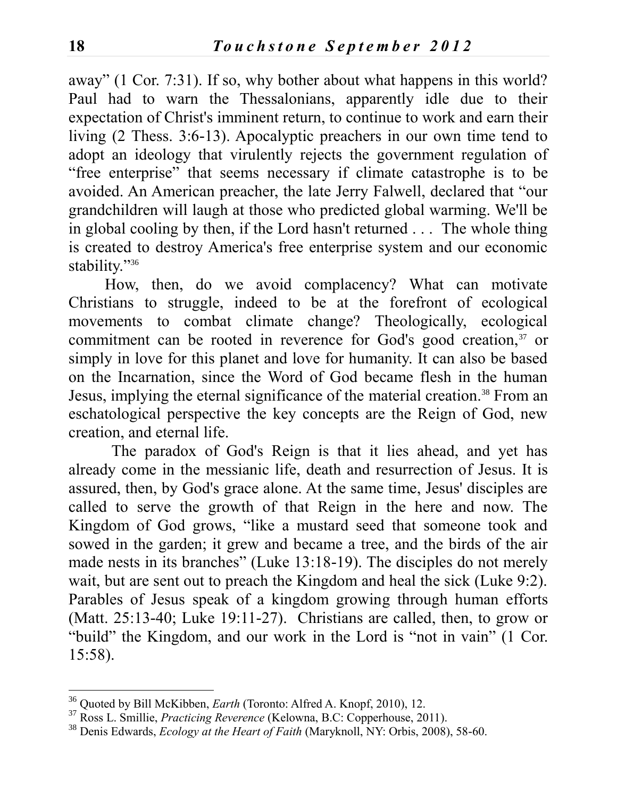away" (1 Cor. 7:31). If so, why bother about what happens in this world? Paul had to warn the Thessalonians, apparently idle due to their expectation of Christ's imminent return, to continue to work and earn their living (2 Thess. 3:6-13). Apocalyptic preachers in our own time tend to adopt an ideology that virulently rejects the government regulation of "free enterprise" that seems necessary if climate catastrophe is to be avoided. An American preacher, the late Jerry Falwell, declared that "our grandchildren will laugh at those who predicted global warming. We'll be in global cooling by then, if the Lord hasn't returned . . . The whole thing is created to destroy America's free enterprise system and our economic stability."<sup>36</sup>

How, then, do we avoid complacency? What can motivate Christians to struggle, indeed to be at the forefront of ecological movements to combat climate change? Theologically, ecological commitment can be rooted in reverence for God's good creation,<sup>37</sup> or simply in love for this planet and love for humanity. It can also be based on the Incarnation, since the Word of God became flesh in the human Jesus, implying the eternal significance of the material creation.<sup>38</sup> From an eschatological perspective the key concepts are the Reign of God, new creation, and eternal life.

The paradox of God's Reign is that it lies ahead, and yet has already come in the messianic life, death and resurrection of Jesus. It is assured, then, by God's grace alone. At the same time, Jesus' disciples are called to serve the growth of that Reign in the here and now. The Kingdom of God grows, "like a mustard seed that someone took and sowed in the garden; it grew and became a tree, and the birds of the air made nests in its branches" (Luke 13:18-19). The disciples do not merely wait, but are sent out to preach the Kingdom and heal the sick (Luke 9:2). Parables of Jesus speak of a kingdom growing through human efforts (Matt. 25:13-40; Luke 19:11-27). Christians are called, then, to grow or "build" the Kingdom, and our work in the Lord is "not in vain" (1 Cor. 15:58).

 $\overline{a}$ <sup>36</sup> Quoted by Bill McKibben, *Earth* (Toronto: Alfred A. Knopf, 2010), 12.

<sup>37</sup> Ross L. Smillie, *Practicing Reverence* (Kelowna, B.C: Copperhouse, 2011).

<sup>38</sup> Denis Edwards, *Ecology at the Heart of Faith* (Maryknoll, NY: Orbis, 2008), 58-60.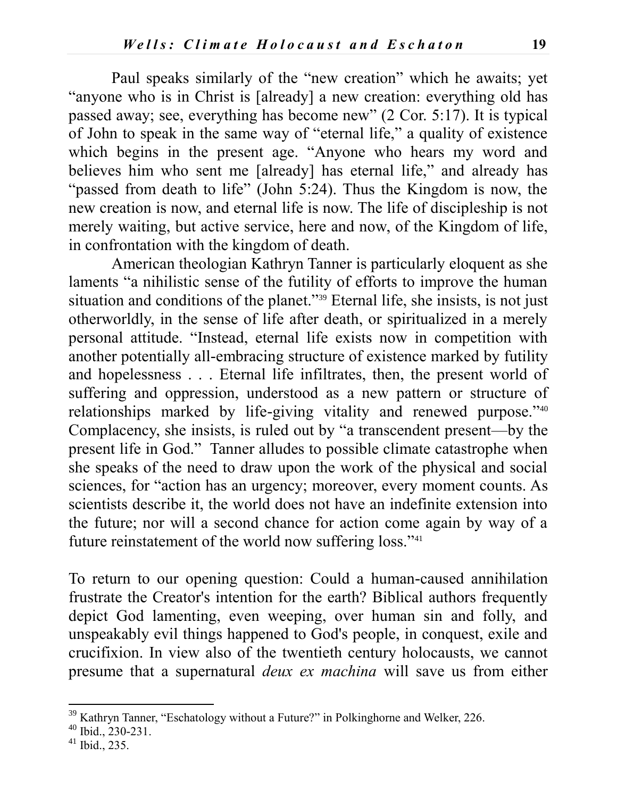Paul speaks similarly of the "new creation" which he awaits; yet "anyone who is in Christ is [already] a new creation: everything old has passed away; see, everything has become new" (2 Cor. 5:17). It is typical of John to speak in the same way of "eternal life," a quality of existence which begins in the present age. "Anyone who hears my word and believes him who sent me [already] has eternal life," and already has "passed from death to life" (John 5:24). Thus the Kingdom is now, the new creation is now, and eternal life is now. The life of discipleship is not merely waiting, but active service, here and now, of the Kingdom of life, in confrontation with the kingdom of death.

American theologian Kathryn Tanner is particularly eloquent as she laments "a nihilistic sense of the futility of efforts to improve the human situation and conditions of the planet."<sup>39</sup> Eternal life, she insists, is not just otherworldly, in the sense of life after death, or spiritualized in a merely personal attitude. "Instead, eternal life exists now in competition with another potentially all-embracing structure of existence marked by futility and hopelessness . . . Eternal life infiltrates, then, the present world of suffering and oppression, understood as a new pattern or structure of relationships marked by life-giving vitality and renewed purpose."40 Complacency, she insists, is ruled out by "a transcendent present—by the present life in God." Tanner alludes to possible climate catastrophe when she speaks of the need to draw upon the work of the physical and social sciences, for "action has an urgency; moreover, every moment counts. As scientists describe it, the world does not have an indefinite extension into the future; nor will a second chance for action come again by way of a future reinstatement of the world now suffering loss."<sup>41</sup>

To return to our opening question: Could a human-caused annihilation frustrate the Creator's intention for the earth? Biblical authors frequently depict God lamenting, even weeping, over human sin and folly, and unspeakably evil things happened to God's people, in conquest, exile and crucifixion. In view also of the twentieth century holocausts, we cannot presume that a supernatural *deux ex machina* will save us from either

<sup>&</sup>lt;sup>39</sup> Kathryn Tanner, "Eschatology without a Future?" in Polkinghorne and Welker, 226.

<sup>40</sup> Ibid., 230-231.

<sup>41</sup> Ibid., 235.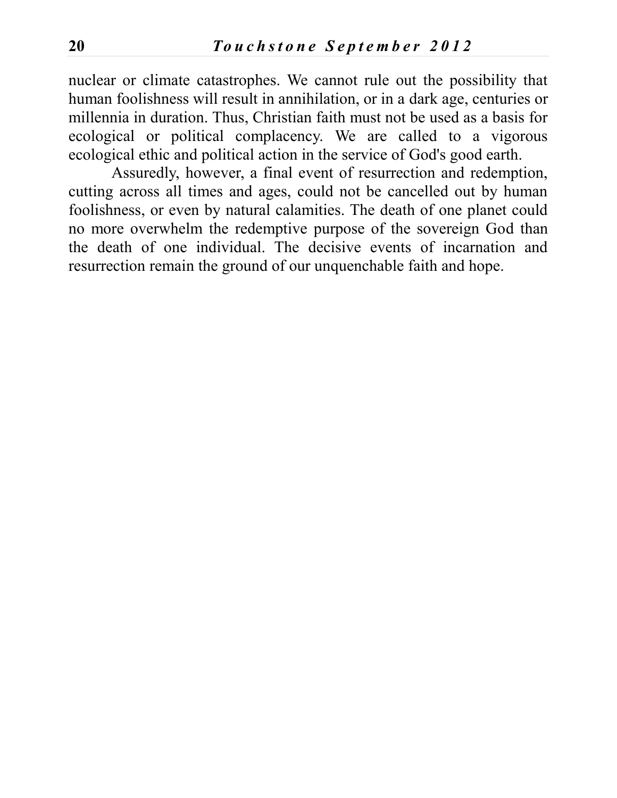nuclear or climate catastrophes. We cannot rule out the possibility that human foolishness will result in annihilation, or in a dark age, centuries or millennia in duration. Thus, Christian faith must not be used as a basis for ecological or political complacency. We are called to a vigorous ecological ethic and political action in the service of God's good earth.

Assuredly, however, a final event of resurrection and redemption, cutting across all times and ages, could not be cancelled out by human foolishness, or even by natural calamities. The death of one planet could no more overwhelm the redemptive purpose of the sovereign God than the death of one individual. The decisive events of incarnation and resurrection remain the ground of our unquenchable faith and hope.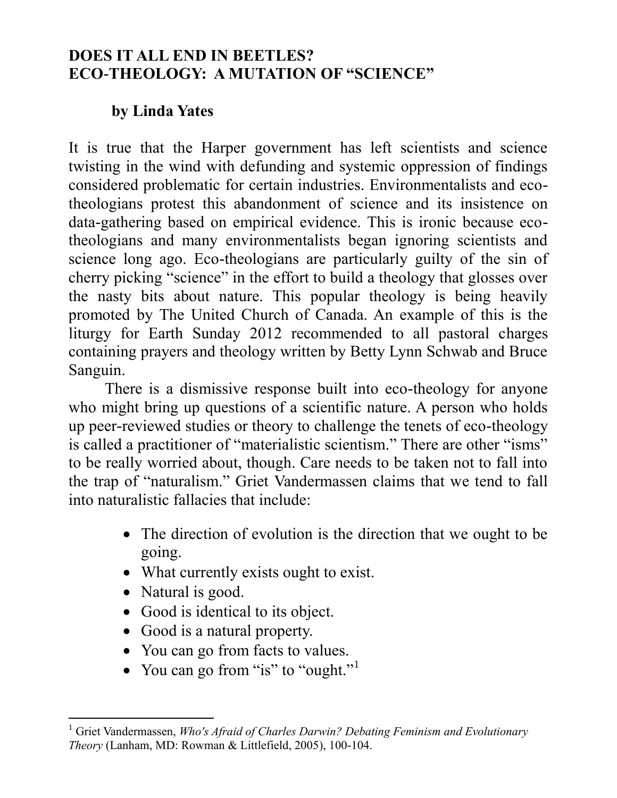## **DOES IT ALL END IN BEETLES? ECO-THEOLOGY: A MUTATION OF "SCIENCE"**

## **by Linda Yates**

It is true that the Harper government has left scientists and science twisting in the wind with defunding and systemic oppression of findings considered problematic for certain industries. Environmentalists and ecotheologians protest this abandonment of science and its insistence on data-gathering based on empirical evidence. This is ironic because ecotheologians and many environmentalists began ignoring scientists and science long ago. Eco-theologians are particularly guilty of the sin of cherry picking "science" in the effort to build a theology that glosses over the nasty bits about nature. This popular theology is being heavily promoted by The United Church of Canada. An example of this is the liturgy for Earth Sunday 2012 recommended to all pastoral charges containing prayers and theology written by Betty Lynn Schwab and Bruce Sanguin.

There is a dismissive response built into eco-theology for anyone who might bring up questions of a scientific nature. A person who holds up peer-reviewed studies or theory to challenge the tenets of eco-theology is called a practitioner of "materialistic scientism." There are other "isms" to be really worried about, though. Care needs to be taken not to fall into the trap of "naturalism." Griet Vandermassen claims that we tend to fall into naturalistic fallacies that include:

- The direction of evolution is the direction that we ought to be going.
- What currently exists ought to exist.
- Natural is good.
- Good is identical to its object.
- Good is a natural property.
- You can go from facts to values.
- You can go from "is" to "ought."

 $\overline{a}$ <sup>1</sup> Griet Vandermassen, *Who's Afraid of Charles Darwin? Debating Feminism and Evolutionary Theory* (Lanham, MD: Rowman & Littlefield, 2005), 100-104.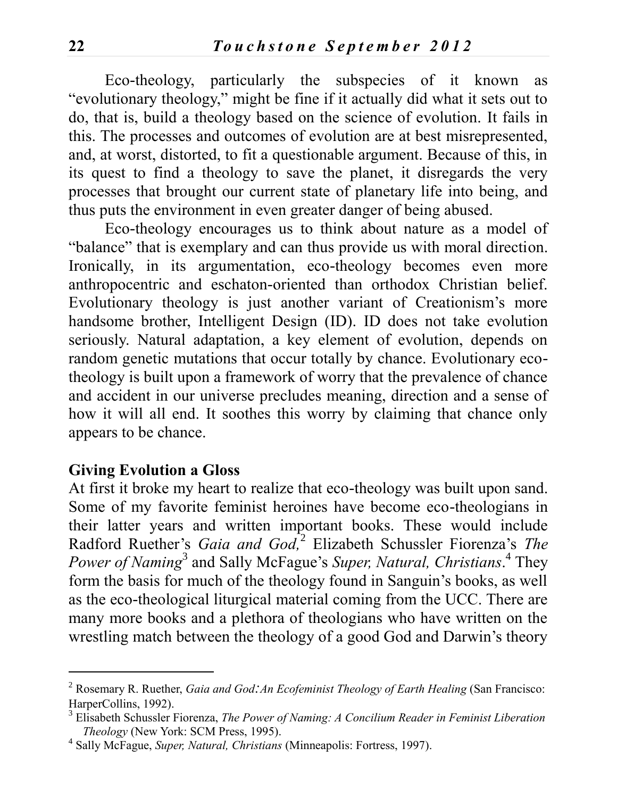Eco-theology, particularly the subspecies of it known as "evolutionary theology," might be fine if it actually did what it sets out to do, that is, build a theology based on the science of evolution. It fails in this. The processes and outcomes of evolution are at best misrepresented, and, at worst, distorted, to fit a questionable argument. Because of this, in its quest to find a theology to save the planet, it disregards the very processes that brought our current state of planetary life into being, and thus puts the environment in even greater danger of being abused.

Eco-theology encourages us to think about nature as a model of "balance" that is exemplary and can thus provide us with moral direction. Ironically, in its argumentation, eco-theology becomes even more anthropocentric and eschaton-oriented than orthodox Christian belief. Evolutionary theology is just another variant of Creationism's more handsome brother, Intelligent Design (ID). ID does not take evolution seriously. Natural adaptation, a key element of evolution, depends on random genetic mutations that occur totally by chance. Evolutionary ecotheology is built upon a framework of worry that the prevalence of chance and accident in our universe precludes meaning, direction and a sense of how it will all end. It soothes this worry by claiming that chance only appears to be chance.

#### **Giving Evolution a Gloss**

 $\overline{a}$ 

At first it broke my heart to realize that eco-theology was built upon sand. Some of my favorite feminist heroines have become eco-theologians in their latter years and written important books. These would include Radford Ruether's *Gaia and God,* 2 Elizabeth Schussler Fiorenza's *The*  Power of Naming<sup>3</sup> and Sally McFague's *Super, Natural, Christians*.<sup>4</sup> They form the basis for much of the theology found in Sanguin's books, as well as the eco-theological liturgical material coming from the UCC. There are many more books and a plethora of theologians who have written on the wrestling match between the theology of a good God and Darwin's theory

<sup>2</sup> Rosemary R. Ruether, *Gaia and God:An Ecofeminist Theology of Earth Healing* (San Francisco: HarperCollins, 1992).

<sup>3</sup> Elisabeth Schussler Fiorenza, *The Power of Naming: A Concilium Reader in Feminist Liberation Theology* (New York: SCM Press, 1995).

<sup>4</sup> Sally McFague, *Super, Natural, Christians* (Minneapolis: Fortress, 1997).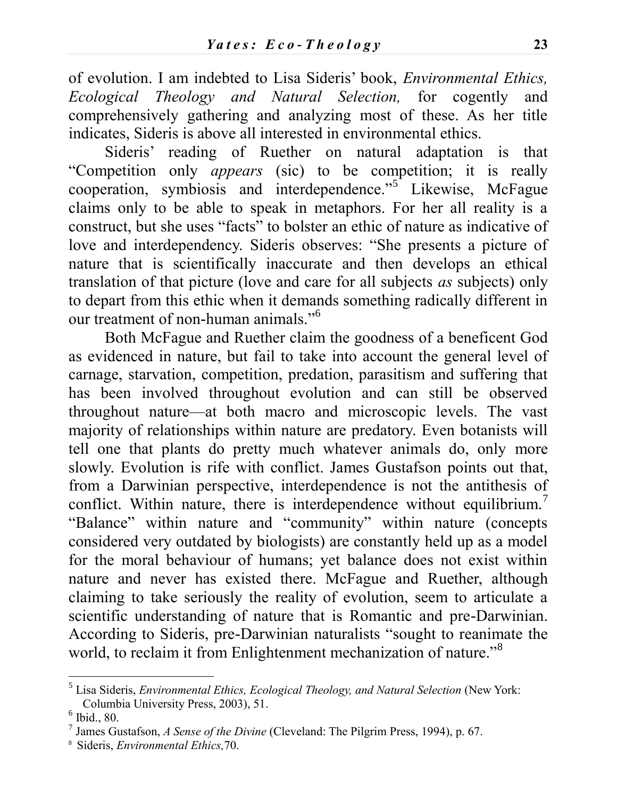of evolution. I am indebted to Lisa Sideris' book, *Environmental Ethics, Ecological Theology and Natural Selection,* for cogently and comprehensively gathering and analyzing most of these. As her title indicates, Sideris is above all interested in environmental ethics.

Sideris' reading of Ruether on natural adaptation is that "Competition only *appears* (sic) to be competition; it is really cooperation, symbiosis and interdependence."<sup>5</sup> Likewise, McFague claims only to be able to speak in metaphors. For her all reality is a construct, but she uses "facts" to bolster an ethic of nature as indicative of love and interdependency. Sideris observes: "She presents a picture of nature that is scientifically inaccurate and then develops an ethical translation of that picture (love and care for all subjects *as* subjects) only to depart from this ethic when it demands something radically different in our treatment of non-human animals."<sup>6</sup>

Both McFague and Ruether claim the goodness of a beneficent God as evidenced in nature, but fail to take into account the general level of carnage, starvation, competition, predation, parasitism and suffering that has been involved throughout evolution and can still be observed throughout nature—at both macro and microscopic levels. The vast majority of relationships within nature are predatory. Even botanists will tell one that plants do pretty much whatever animals do, only more slowly. Evolution is rife with conflict. James Gustafson points out that, from a Darwinian perspective, interdependence is not the antithesis of conflict. Within nature, there is interdependence without equilibrium.<sup>7</sup> "Balance" within nature and "community" within nature (concepts considered very outdated by biologists) are constantly held up as a model for the moral behaviour of humans; yet balance does not exist within nature and never has existed there. McFague and Ruether, although claiming to take seriously the reality of evolution, seem to articulate a scientific understanding of nature that is Romantic and pre-Darwinian. According to Sideris, pre-Darwinian naturalists "sought to reanimate the world, to reclaim it from Enlightenment mechanization of nature.<sup>38</sup>

<sup>5</sup> Lisa Sideris, *Environmental Ethics, Ecological Theology, and Natural Selection* (New York: Columbia University Press, 2003), 51.

 $<sup>6</sup>$  Ibid., 80.</sup>

<sup>7</sup> James Gustafson, *A Sense of the Divine* (Cleveland: The Pilgrim Press, 1994), p. 67.

<sup>8</sup> Sideris, *Environmental Ethics,*70.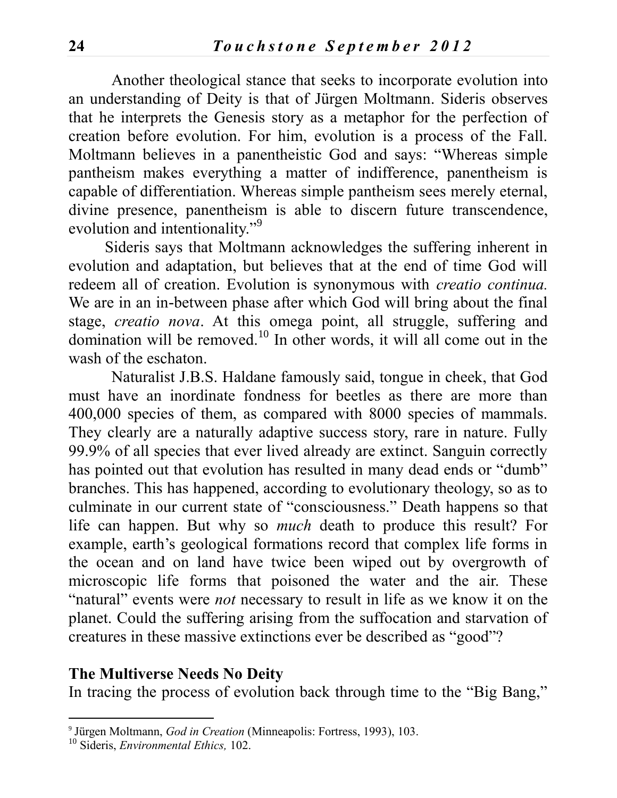Another theological stance that seeks to incorporate evolution into an understanding of Deity is that of Jürgen Moltmann. Sideris observes that he interprets the Genesis story as a metaphor for the perfection of creation before evolution. For him, evolution is a process of the Fall. Moltmann believes in a panentheistic God and says: "Whereas simple pantheism makes everything a matter of indifference, panentheism is capable of differentiation. Whereas simple pantheism sees merely eternal, divine presence, panentheism is able to discern future transcendence, evolution and intentionality."<sup>9</sup>

Sideris says that Moltmann acknowledges the suffering inherent in evolution and adaptation, but believes that at the end of time God will redeem all of creation. Evolution is synonymous with *creatio continua.*  We are in an in-between phase after which God will bring about the final stage, *creatio nova*. At this omega point, all struggle, suffering and domination will be removed.<sup>10</sup> In other words, it will all come out in the wash of the eschaton.

Naturalist J.B.S. Haldane famously said, tongue in cheek, that God must have an inordinate fondness for beetles as there are more than 400,000 species of them, as compared with 8000 species of mammals. They clearly are a naturally adaptive success story, rare in nature. Fully 99.9% of all species that ever lived already are extinct. Sanguin correctly has pointed out that evolution has resulted in many dead ends or "dumb" branches. This has happened, according to evolutionary theology, so as to culminate in our current state of "consciousness." Death happens so that life can happen. But why so *much* death to produce this result? For example, earth's geological formations record that complex life forms in the ocean and on land have twice been wiped out by overgrowth of microscopic life forms that poisoned the water and the air. These "natural" events were *not* necessary to result in life as we know it on the planet. Could the suffering arising from the suffocation and starvation of creatures in these massive extinctions ever be described as "good"?

#### **The Multiverse Needs No Deity**

In tracing the process of evolution back through time to the "Big Bang,"

<sup>9</sup> Jürgen Moltmann, *God in Creation* (Minneapolis: Fortress, 1993), 103.

<sup>10</sup> Sideris, *Environmental Ethics,* 102.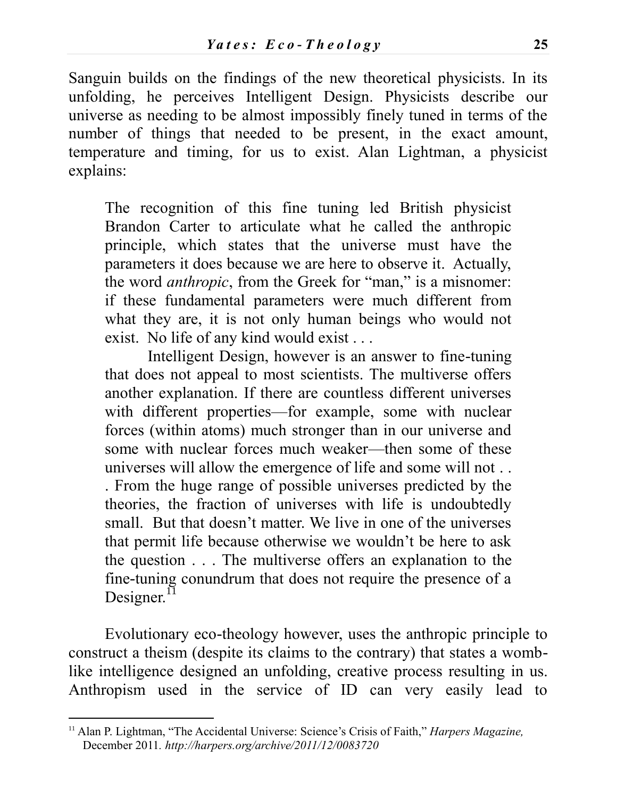Sanguin builds on the findings of the new theoretical physicists. In its unfolding, he perceives Intelligent Design. Physicists describe our universe as needing to be almost impossibly finely tuned in terms of the number of things that needed to be present, in the exact amount, temperature and timing, for us to exist. Alan Lightman, a physicist explains:

The recognition of this fine tuning led British physicist Brandon Carter to articulate what he called the anthropic principle, which states that the universe must have the parameters it does because we are here to observe it. Actually, the word *anthropic*, from the Greek for "man," is a misnomer: if these fundamental parameters were much different from what they are, it is not only human beings who would not exist. No life of any kind would exist . . .

Intelligent Design, however is an answer to fine-tuning that does not appeal to most scientists. The multiverse offers another explanation. If there are countless different universes with different properties—for example, some with nuclear forces (within atoms) much stronger than in our universe and some with nuclear forces much weaker—then some of these universes will allow the emergence of life and some will not . . . From the huge range of possible universes predicted by the theories, the fraction of universes with life is undoubtedly small. But that doesn't matter. We live in one of the universes that permit life because otherwise we wouldn't be here to ask the question . . . The multiverse offers an explanation to the fine-tuning conundrum that does not require the presence of a Designer. $11$ 

Evolutionary eco-theology however, uses the anthropic principle to construct a theism (despite its claims to the contrary) that states a womblike intelligence designed an unfolding, creative process resulting in us. Anthropism used in the service of ID can very easily lead to

<sup>11</sup> Alan P. Lightman, "The Accidental Universe: Science's Crisis of Faith," *Harpers Magazine,*  December 2011*. http://harpers.org/archive/2011/12/0083720*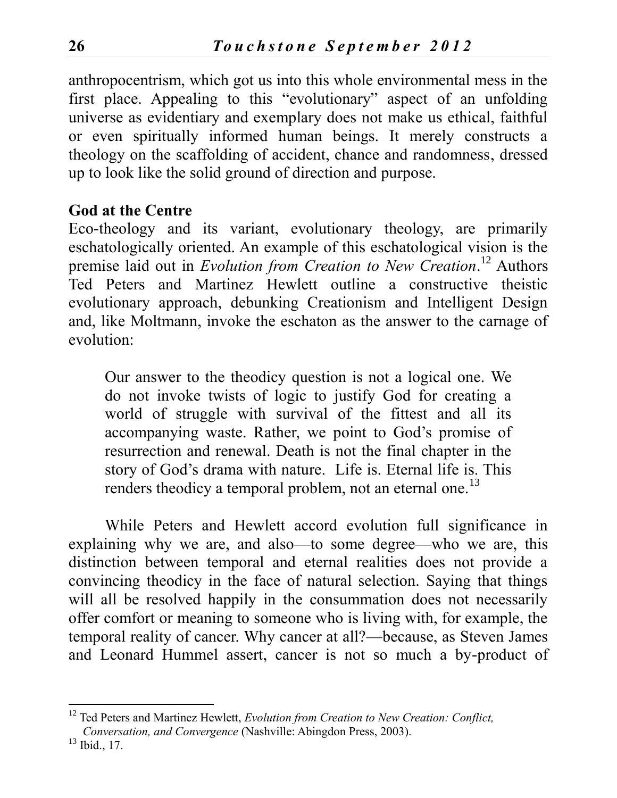anthropocentrism, which got us into this whole environmental mess in the first place. Appealing to this "evolutionary" aspect of an unfolding universe as evidentiary and exemplary does not make us ethical, faithful or even spiritually informed human beings. It merely constructs a theology on the scaffolding of accident, chance and randomness, dressed up to look like the solid ground of direction and purpose.

#### **God at the Centre**

Eco-theology and its variant, evolutionary theology, are primarily eschatologically oriented. An example of this eschatological vision is the premise laid out in *Evolution from Creation to New Creation*. <sup>12</sup> Authors Ted Peters and Martinez Hewlett outline a constructive theistic evolutionary approach, debunking Creationism and Intelligent Design and, like Moltmann, invoke the eschaton as the answer to the carnage of evolution:

Our answer to the theodicy question is not a logical one. We do not invoke twists of logic to justify God for creating a world of struggle with survival of the fittest and all its accompanying waste. Rather, we point to God's promise of resurrection and renewal. Death is not the final chapter in the story of God's drama with nature. Life is. Eternal life is. This renders theodicy a temporal problem, not an eternal one.<sup>13</sup>

While Peters and Hewlett accord evolution full significance in explaining why we are, and also—to some degree—who we are, this distinction between temporal and eternal realities does not provide a convincing theodicy in the face of natural selection. Saying that things will all be resolved happily in the consummation does not necessarily offer comfort or meaning to someone who is living with, for example, the temporal reality of cancer. Why cancer at all?—because, as Steven James and Leonard Hummel assert, cancer is not so much a by-product of

<sup>12</sup> Ted Peters and Martinez Hewlett, *Evolution from Creation to New Creation: Conflict, Conversation, and Convergence* (Nashville: Abingdon Press, 2003).

<sup>&</sup>lt;sup>13</sup> Ibid., 17.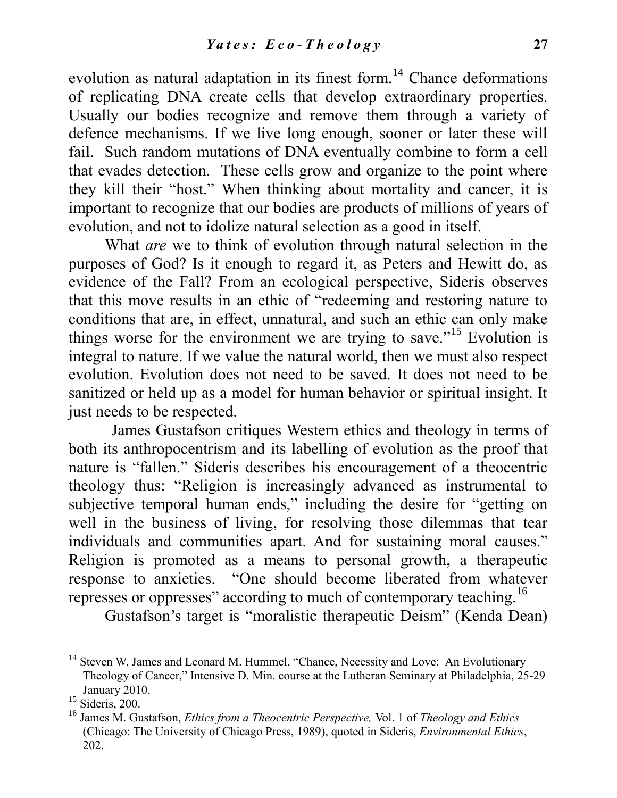evolution as natural adaptation in its finest form.<sup>14</sup> Chance deformations of replicating DNA create cells that develop extraordinary properties. Usually our bodies recognize and remove them through a variety of defence mechanisms. If we live long enough, sooner or later these will fail. Such random mutations of DNA eventually combine to form a cell that evades detection. These cells grow and organize to the point where they kill their "host." When thinking about mortality and cancer, it is important to recognize that our bodies are products of millions of years of evolution, and not to idolize natural selection as a good in itself.

What *are* we to think of evolution through natural selection in the purposes of God? Is it enough to regard it, as Peters and Hewitt do, as evidence of the Fall? From an ecological perspective, Sideris observes that this move results in an ethic of "redeeming and restoring nature to conditions that are, in effect, unnatural, and such an ethic can only make things worse for the environment we are trying to save."<sup>15</sup> Evolution is integral to nature. If we value the natural world, then we must also respect evolution. Evolution does not need to be saved. It does not need to be sanitized or held up as a model for human behavior or spiritual insight. It just needs to be respected.

James Gustafson critiques Western ethics and theology in terms of both its anthropocentrism and its labelling of evolution as the proof that nature is "fallen." Sideris describes his encouragement of a theocentric theology thus: "Religion is increasingly advanced as instrumental to subjective temporal human ends," including the desire for "getting on well in the business of living, for resolving those dilemmas that tear individuals and communities apart. And for sustaining moral causes." Religion is promoted as a means to personal growth, a therapeutic response to anxieties. "One should become liberated from whatever represses or oppresses" according to much of contemporary teaching.<sup>16</sup>

Gustafson's target is "moralistic therapeutic Deism" (Kenda Dean)

<sup>&</sup>lt;sup>14</sup> Steven W. James and Leonard M. Hummel, "Chance, Necessity and Love: An Evolutionary Theology of Cancer," Intensive D. Min. course at the Lutheran Seminary at Philadelphia, 25-29 January 2010.

 $15$  Sideris, 200.

<sup>16</sup> James M. Gustafson, *Ethics from a Theocentric Perspective,* Vol. 1 of *Theology and Ethics* (Chicago: The University of Chicago Press, 1989), quoted in Sideris, *Environmental Ethics*, 202.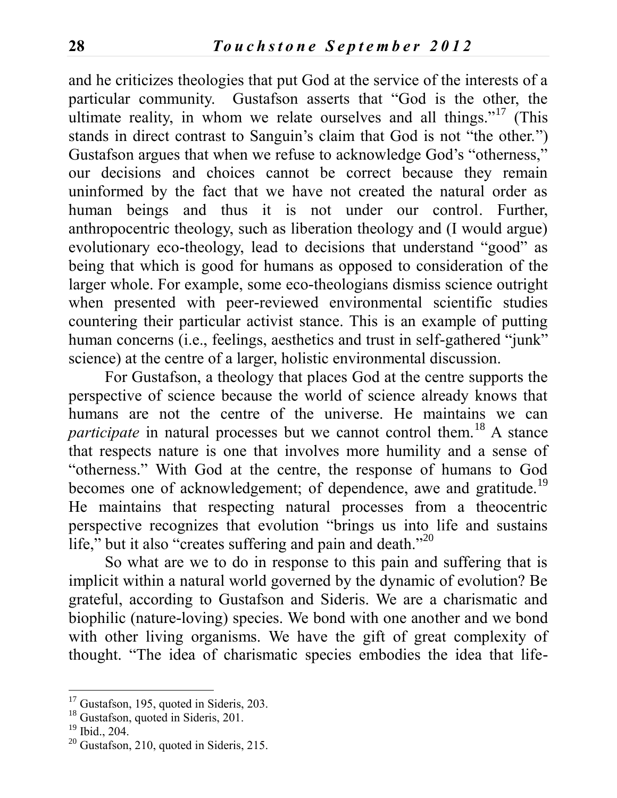and he criticizes theologies that put God at the service of the interests of a particular community. Gustafson asserts that "God is the other, the ultimate reality, in whom we relate ourselves and all things."<sup>17</sup> (This stands in direct contrast to Sanguin's claim that God is not "the other.") Gustafson argues that when we refuse to acknowledge God's "otherness," our decisions and choices cannot be correct because they remain uninformed by the fact that we have not created the natural order as human beings and thus it is not under our control. Further, anthropocentric theology, such as liberation theology and (I would argue) evolutionary eco-theology, lead to decisions that understand "good" as being that which is good for humans as opposed to consideration of the larger whole. For example, some eco-theologians dismiss science outright when presented with peer-reviewed environmental scientific studies countering their particular activist stance. This is an example of putting human concerns (*i.e.*, feelings, aesthetics and trust in self-gathered "junk" science) at the centre of a larger, holistic environmental discussion.

For Gustafson, a theology that places God at the centre supports the perspective of science because the world of science already knows that humans are not the centre of the universe. He maintains we can *participate* in natural processes but we cannot control them.<sup>18</sup> A stance that respects nature is one that involves more humility and a sense of "otherness." With God at the centre, the response of humans to God becomes one of acknowledgement; of dependence, awe and gratitude.<sup>19</sup> He maintains that respecting natural processes from a theocentric perspective recognizes that evolution "brings us into life and sustains life," but it also "creates suffering and pain and death."<sup>20</sup>

So what are we to do in response to this pain and suffering that is implicit within a natural world governed by the dynamic of evolution? Be grateful, according to Gustafson and Sideris. We are a charismatic and biophilic (nature-loving) species. We bond with one another and we bond with other living organisms. We have the gift of great complexity of thought. "The idea of charismatic species embodies the idea that life-

 $17$  Gustafson, 195, quoted in Sideris, 203.

<sup>&</sup>lt;sup>18</sup> Gustafson, quoted in Sideris, 201.

 $19$  Ibid., 204.

<sup>20</sup> Gustafson, 210, quoted in Sideris, 215.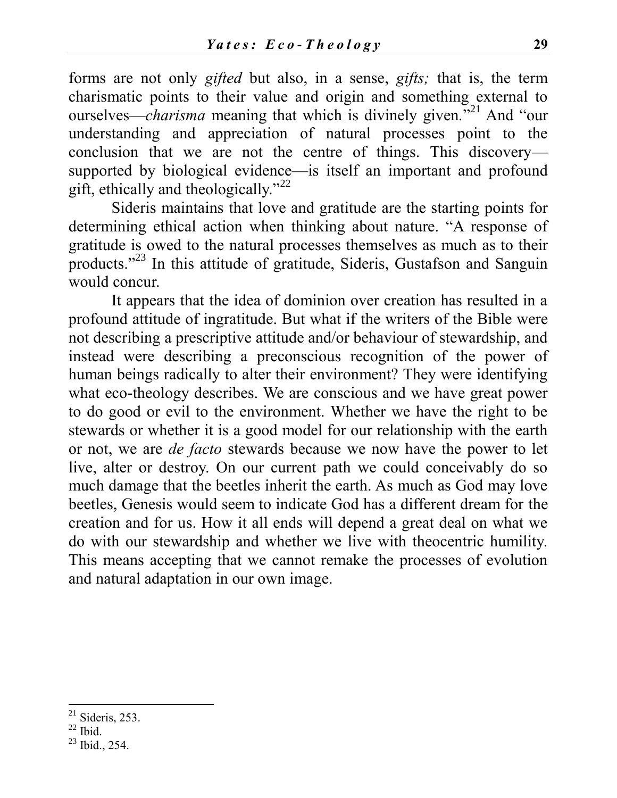forms are not only *gifted* but also, in a sense, *gifts;* that is, the term charismatic points to their value and origin and something external to ourselves—*charisma* meaning that which is divinely given*.*" <sup>21</sup> And "our understanding and appreciation of natural processes point to the conclusion that we are not the centre of things. This discovery supported by biological evidence—is itself an important and profound gift, ethically and theologically."<sup>22</sup>

Sideris maintains that love and gratitude are the starting points for determining ethical action when thinking about nature. "A response of gratitude is owed to the natural processes themselves as much as to their products."<sup>23</sup> In this attitude of gratitude, Sideris, Gustafson and Sanguin would concur.

It appears that the idea of dominion over creation has resulted in a profound attitude of ingratitude. But what if the writers of the Bible were not describing a prescriptive attitude and/or behaviour of stewardship, and instead were describing a preconscious recognition of the power of human beings radically to alter their environment? They were identifying what eco-theology describes. We are conscious and we have great power to do good or evil to the environment. Whether we have the right to be stewards or whether it is a good model for our relationship with the earth or not, we are *de facto* stewards because we now have the power to let live, alter or destroy. On our current path we could conceivably do so much damage that the beetles inherit the earth. As much as God may love beetles, Genesis would seem to indicate God has a different dream for the creation and for us. How it all ends will depend a great deal on what we do with our stewardship and whether we live with theocentric humility. This means accepting that we cannot remake the processes of evolution and natural adaptation in our own image.

 $21$  Sideris, 253.

 $22$  Ibid.

 $23$  Ibid., 254.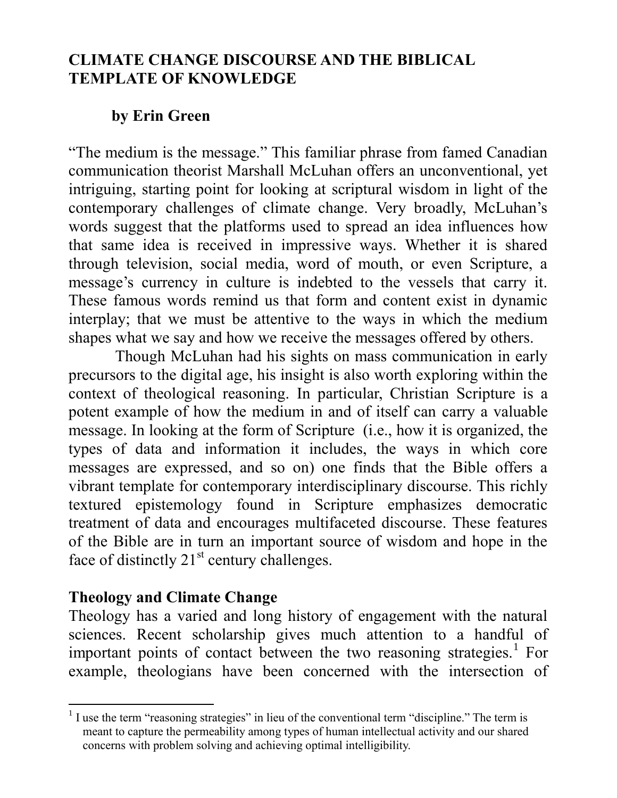## **CLIMATE CHANGE DISCOURSE AND THE BIBLICAL TEMPLATE OF KNOWLEDGE**

## **by Erin Green**

"The medium is the message." This familiar phrase from famed Canadian communication theorist Marshall McLuhan offers an unconventional, yet intriguing, starting point for looking at scriptural wisdom in light of the contemporary challenges of climate change. Very broadly, McLuhan's words suggest that the platforms used to spread an idea influences how that same idea is received in impressive ways. Whether it is shared through television, social media, word of mouth, or even Scripture, a message's currency in culture is indebted to the vessels that carry it. These famous words remind us that form and content exist in dynamic interplay; that we must be attentive to the ways in which the medium shapes what we say and how we receive the messages offered by others.

Though McLuhan had his sights on mass communication in early precursors to the digital age, his insight is also worth exploring within the context of theological reasoning. In particular, Christian Scripture is a potent example of how the medium in and of itself can carry a valuable message. In looking at the form of Scripture (i.e., how it is organized, the types of data and information it includes, the ways in which core messages are expressed, and so on) one finds that the Bible offers a vibrant template for contemporary interdisciplinary discourse. This richly textured epistemology found in Scripture emphasizes democratic treatment of data and encourages multifaceted discourse. These features of the Bible are in turn an important source of wisdom and hope in the face of distinctly  $21<sup>st</sup>$  century challenges.

## **Theology and Climate Change**

Theology has a varied and long history of engagement with the natural sciences. Recent scholarship gives much attention to a handful of important points of contact between the two reasoning strategies. $<sup>1</sup>$  For</sup> example, theologians have been concerned with the intersection of

<sup>&</sup>lt;sup>1</sup> I use the term "reasoning strategies" in lieu of the conventional term "discipline." The term is meant to capture the permeability among types of human intellectual activity and our shared concerns with problem solving and achieving optimal intelligibility.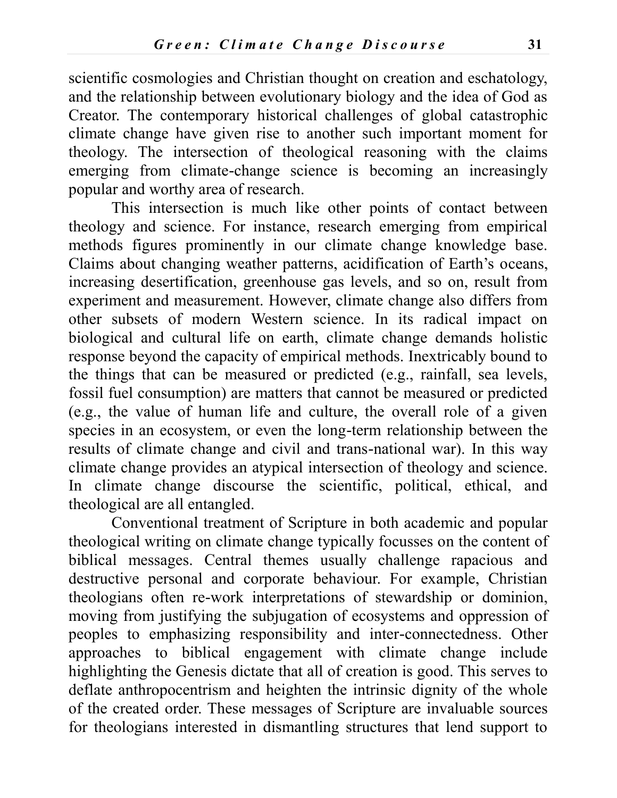scientific cosmologies and Christian thought on creation and eschatology, and the relationship between evolutionary biology and the idea of God as Creator. The contemporary historical challenges of global catastrophic climate change have given rise to another such important moment for theology. The intersection of theological reasoning with the claims emerging from climate-change science is becoming an increasingly popular and worthy area of research.

This intersection is much like other points of contact between theology and science. For instance, research emerging from empirical methods figures prominently in our climate change knowledge base. Claims about changing weather patterns, acidification of Earth's oceans, increasing desertification, greenhouse gas levels, and so on, result from experiment and measurement. However, climate change also differs from other subsets of modern Western science. In its radical impact on biological and cultural life on earth, climate change demands holistic response beyond the capacity of empirical methods. Inextricably bound to the things that can be measured or predicted (e.g., rainfall, sea levels, fossil fuel consumption) are matters that cannot be measured or predicted (e.g., the value of human life and culture, the overall role of a given species in an ecosystem, or even the long-term relationship between the results of climate change and civil and trans-national war). In this way climate change provides an atypical intersection of theology and science. In climate change discourse the scientific, political, ethical, and theological are all entangled.

Conventional treatment of Scripture in both academic and popular theological writing on climate change typically focusses on the content of biblical messages. Central themes usually challenge rapacious and destructive personal and corporate behaviour. For example, Christian theologians often re-work interpretations of stewardship or dominion, moving from justifying the subjugation of ecosystems and oppression of peoples to emphasizing responsibility and inter-connectedness. Other approaches to biblical engagement with climate change include highlighting the Genesis dictate that all of creation is good. This serves to deflate anthropocentrism and heighten the intrinsic dignity of the whole of the created order. These messages of Scripture are invaluable sources for theologians interested in dismantling structures that lend support to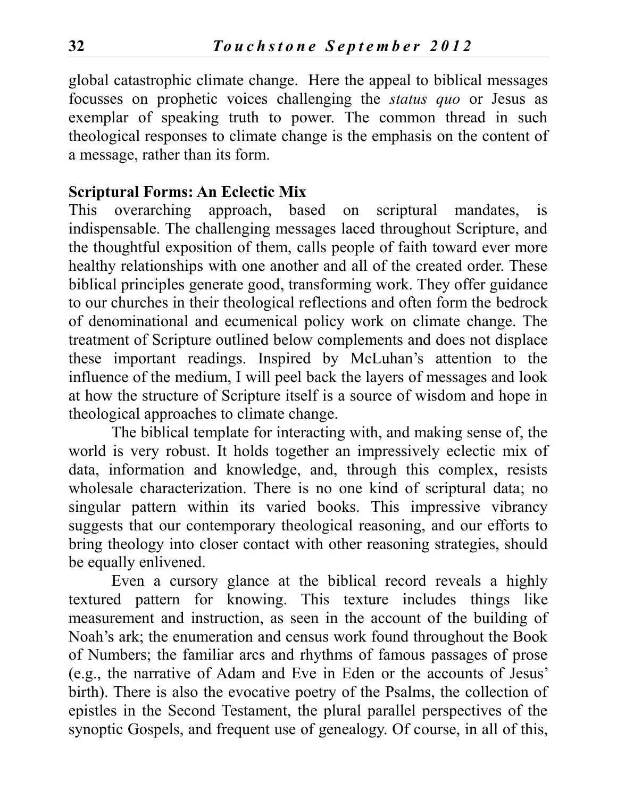global catastrophic climate change. Here the appeal to biblical messages focusses on prophetic voices challenging the *status quo* or Jesus as exemplar of speaking truth to power. The common thread in such theological responses to climate change is the emphasis on the content of a message, rather than its form.

#### **Scriptural Forms: An Eclectic Mix**

This overarching approach, based on scriptural mandates, is indispensable. The challenging messages laced throughout Scripture, and the thoughtful exposition of them, calls people of faith toward ever more healthy relationships with one another and all of the created order. These biblical principles generate good, transforming work. They offer guidance to our churches in their theological reflections and often form the bedrock of denominational and ecumenical policy work on climate change. The treatment of Scripture outlined below complements and does not displace these important readings. Inspired by McLuhan's attention to the influence of the medium, I will peel back the layers of messages and look at how the structure of Scripture itself is a source of wisdom and hope in theological approaches to climate change.

The biblical template for interacting with, and making sense of, the world is very robust. It holds together an impressively eclectic mix of data, information and knowledge, and, through this complex, resists wholesale characterization. There is no one kind of scriptural data; no singular pattern within its varied books. This impressive vibrancy suggests that our contemporary theological reasoning, and our efforts to bring theology into closer contact with other reasoning strategies, should be equally enlivened.

Even a cursory glance at the biblical record reveals a highly textured pattern for knowing. This texture includes things like measurement and instruction, as seen in the account of the building of Noah's ark; the enumeration and census work found throughout the Book of Numbers; the familiar arcs and rhythms of famous passages of prose (e.g., the narrative of Adam and Eve in Eden or the accounts of Jesus' birth). There is also the evocative poetry of the Psalms, the collection of epistles in the Second Testament, the plural parallel perspectives of the synoptic Gospels, and frequent use of genealogy. Of course, in all of this,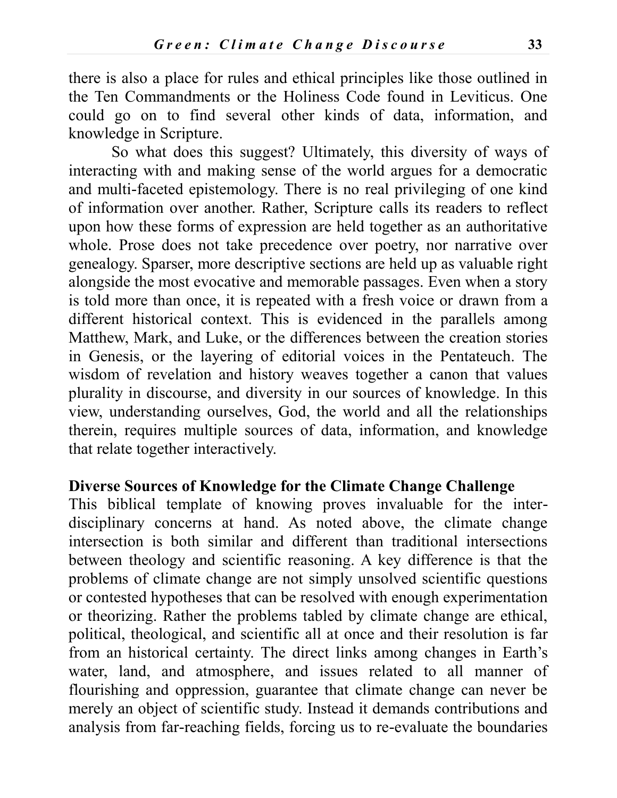there is also a place for rules and ethical principles like those outlined in the Ten Commandments or the Holiness Code found in Leviticus. One could go on to find several other kinds of data, information, and knowledge in Scripture.

So what does this suggest? Ultimately, this diversity of ways of interacting with and making sense of the world argues for a democratic and multi-faceted epistemology. There is no real privileging of one kind of information over another. Rather, Scripture calls its readers to reflect upon how these forms of expression are held together as an authoritative whole. Prose does not take precedence over poetry, nor narrative over genealogy. Sparser, more descriptive sections are held up as valuable right alongside the most evocative and memorable passages. Even when a story is told more than once, it is repeated with a fresh voice or drawn from a different historical context. This is evidenced in the parallels among Matthew, Mark, and Luke, or the differences between the creation stories in Genesis, or the layering of editorial voices in the Pentateuch. The wisdom of revelation and history weaves together a canon that values plurality in discourse, and diversity in our sources of knowledge. In this view, understanding ourselves, God, the world and all the relationships therein, requires multiple sources of data, information, and knowledge that relate together interactively.

#### **Diverse Sources of Knowledge for the Climate Change Challenge**

This biblical template of knowing proves invaluable for the interdisciplinary concerns at hand. As noted above, the climate change intersection is both similar and different than traditional intersections between theology and scientific reasoning. A key difference is that the problems of climate change are not simply unsolved scientific questions or contested hypotheses that can be resolved with enough experimentation or theorizing. Rather the problems tabled by climate change are ethical, political, theological, and scientific all at once and their resolution is far from an historical certainty. The direct links among changes in Earth's water, land, and atmosphere, and issues related to all manner of flourishing and oppression, guarantee that climate change can never be merely an object of scientific study. Instead it demands contributions and analysis from far-reaching fields, forcing us to re-evaluate the boundaries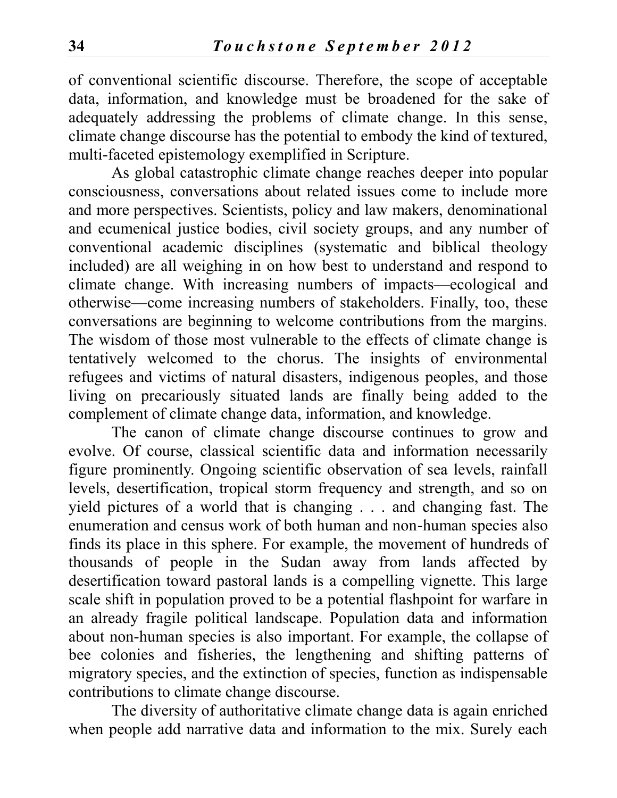of conventional scientific discourse. Therefore, the scope of acceptable data, information, and knowledge must be broadened for the sake of adequately addressing the problems of climate change. In this sense, climate change discourse has the potential to embody the kind of textured, multi-faceted epistemology exemplified in Scripture.

As global catastrophic climate change reaches deeper into popular consciousness, conversations about related issues come to include more and more perspectives. Scientists, policy and law makers, denominational and ecumenical justice bodies, civil society groups, and any number of conventional academic disciplines (systematic and biblical theology included) are all weighing in on how best to understand and respond to climate change. With increasing numbers of impacts—ecological and otherwise—come increasing numbers of stakeholders. Finally, too, these conversations are beginning to welcome contributions from the margins. The wisdom of those most vulnerable to the effects of climate change is tentatively welcomed to the chorus. The insights of environmental refugees and victims of natural disasters, indigenous peoples, and those living on precariously situated lands are finally being added to the complement of climate change data, information, and knowledge.

The canon of climate change discourse continues to grow and evolve. Of course, classical scientific data and information necessarily figure prominently. Ongoing scientific observation of sea levels, rainfall levels, desertification, tropical storm frequency and strength, and so on yield pictures of a world that is changing . . . and changing fast. The enumeration and census work of both human and non-human species also finds its place in this sphere. For example, the movement of hundreds of thousands of people in the Sudan away from lands affected by desertification toward pastoral lands is a compelling vignette. This large scale shift in population proved to be a potential flashpoint for warfare in an already fragile political landscape. Population data and information about non-human species is also important. For example, the collapse of bee colonies and fisheries, the lengthening and shifting patterns of migratory species, and the extinction of species, function as indispensable contributions to climate change discourse.

The diversity of authoritative climate change data is again enriched when people add narrative data and information to the mix. Surely each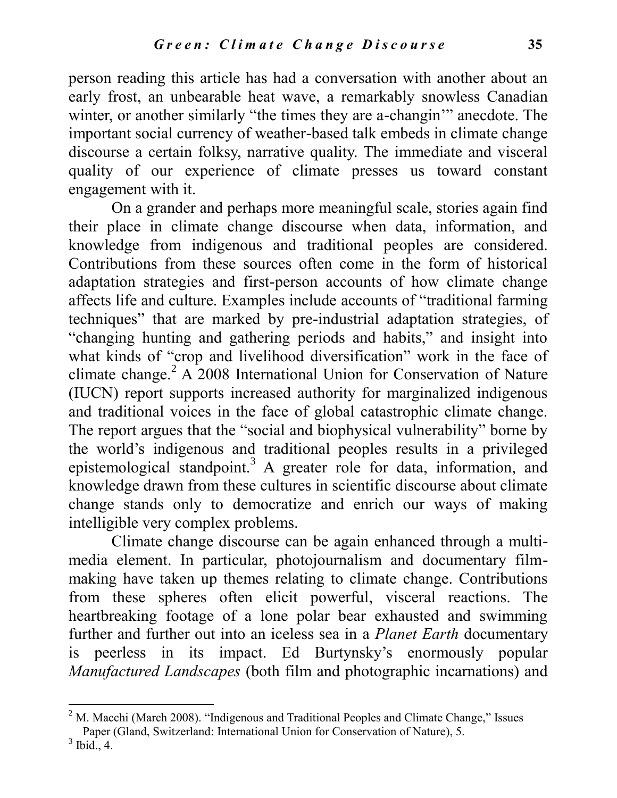person reading this article has had a conversation with another about an early frost, an unbearable heat wave, a remarkably snowless Canadian winter, or another similarly "the times they are a-changin" anecdote. The important social currency of weather-based talk embeds in climate change discourse a certain folksy, narrative quality. The immediate and visceral quality of our experience of climate presses us toward constant engagement with it.

On a grander and perhaps more meaningful scale, stories again find their place in climate change discourse when data, information, and knowledge from indigenous and traditional peoples are considered. Contributions from these sources often come in the form of historical adaptation strategies and first-person accounts of how climate change affects life and culture. Examples include accounts of "traditional farming techniques" that are marked by pre-industrial adaptation strategies, of "changing hunting and gathering periods and habits," and insight into what kinds of "crop and livelihood diversification" work in the face of climate change.<sup>2</sup> A 2008 International Union for Conservation of Nature (IUCN) report supports increased authority for marginalized indigenous and traditional voices in the face of global catastrophic climate change. The report argues that the "social and biophysical vulnerability" borne by the world's indigenous and traditional peoples results in a privileged epistemological standpoint.<sup>3</sup> A greater role for data, information, and knowledge drawn from these cultures in scientific discourse about climate change stands only to democratize and enrich our ways of making intelligible very complex problems.

Climate change discourse can be again enhanced through a multimedia element. In particular, photojournalism and documentary filmmaking have taken up themes relating to climate change. Contributions from these spheres often elicit powerful, visceral reactions. The heartbreaking footage of a lone polar bear exhausted and swimming further and further out into an iceless sea in a *Planet Earth* documentary is peerless in its impact. Ed Burtynsky's enormously popular *Manufactured Landscapes* (both film and photographic incarnations) and

 $<sup>2</sup>$  M. Macchi (March 2008). "Indigenous and Traditional Peoples and Climate Change," Issues</sup> Paper (Gland, Switzerland: International Union for Conservation of Nature), 5.

 $3$  Ibid., 4.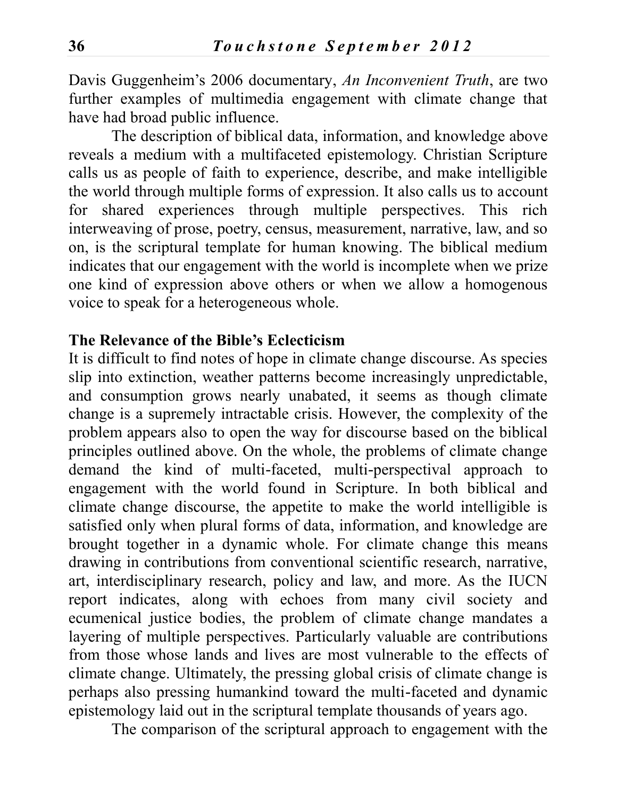Davis Guggenheim's 2006 documentary, *An Inconvenient Truth*, are two further examples of multimedia engagement with climate change that have had broad public influence.

The description of biblical data, information, and knowledge above reveals a medium with a multifaceted epistemology. Christian Scripture calls us as people of faith to experience, describe, and make intelligible the world through multiple forms of expression. It also calls us to account for shared experiences through multiple perspectives. This rich interweaving of prose, poetry, census, measurement, narrative, law, and so on, is the scriptural template for human knowing. The biblical medium indicates that our engagement with the world is incomplete when we prize one kind of expression above others or when we allow a homogenous voice to speak for a heterogeneous whole.

#### **The Relevance of the Bible's Eclecticism**

It is difficult to find notes of hope in climate change discourse. As species slip into extinction, weather patterns become increasingly unpredictable, and consumption grows nearly unabated, it seems as though climate change is a supremely intractable crisis. However, the complexity of the problem appears also to open the way for discourse based on the biblical principles outlined above. On the whole, the problems of climate change demand the kind of multi-faceted, multi-perspectival approach to engagement with the world found in Scripture. In both biblical and climate change discourse, the appetite to make the world intelligible is satisfied only when plural forms of data, information, and knowledge are brought together in a dynamic whole. For climate change this means drawing in contributions from conventional scientific research, narrative, art, interdisciplinary research, policy and law, and more. As the IUCN report indicates, along with echoes from many civil society and ecumenical justice bodies, the problem of climate change mandates a layering of multiple perspectives. Particularly valuable are contributions from those whose lands and lives are most vulnerable to the effects of climate change. Ultimately, the pressing global crisis of climate change is perhaps also pressing humankind toward the multi-faceted and dynamic epistemology laid out in the scriptural template thousands of years ago.

The comparison of the scriptural approach to engagement with the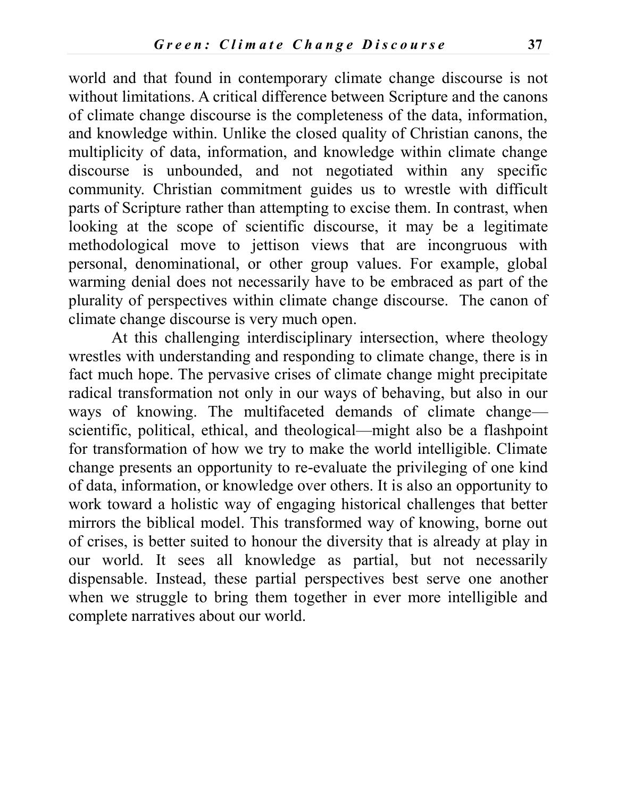world and that found in contemporary climate change discourse is not without limitations. A critical difference between Scripture and the canons of climate change discourse is the completeness of the data, information, and knowledge within. Unlike the closed quality of Christian canons, the multiplicity of data, information, and knowledge within climate change discourse is unbounded, and not negotiated within any specific community. Christian commitment guides us to wrestle with difficult parts of Scripture rather than attempting to excise them. In contrast, when looking at the scope of scientific discourse, it may be a legitimate methodological move to jettison views that are incongruous with personal, denominational, or other group values. For example, global warming denial does not necessarily have to be embraced as part of the plurality of perspectives within climate change discourse. The canon of climate change discourse is very much open.

At this challenging interdisciplinary intersection, where theology wrestles with understanding and responding to climate change, there is in fact much hope. The pervasive crises of climate change might precipitate radical transformation not only in our ways of behaving, but also in our ways of knowing. The multifaceted demands of climate change scientific, political, ethical, and theological—might also be a flashpoint for transformation of how we try to make the world intelligible. Climate change presents an opportunity to re-evaluate the privileging of one kind of data, information, or knowledge over others. It is also an opportunity to work toward a holistic way of engaging historical challenges that better mirrors the biblical model. This transformed way of knowing, borne out of crises, is better suited to honour the diversity that is already at play in our world. It sees all knowledge as partial, but not necessarily dispensable. Instead, these partial perspectives best serve one another when we struggle to bring them together in ever more intelligible and complete narratives about our world.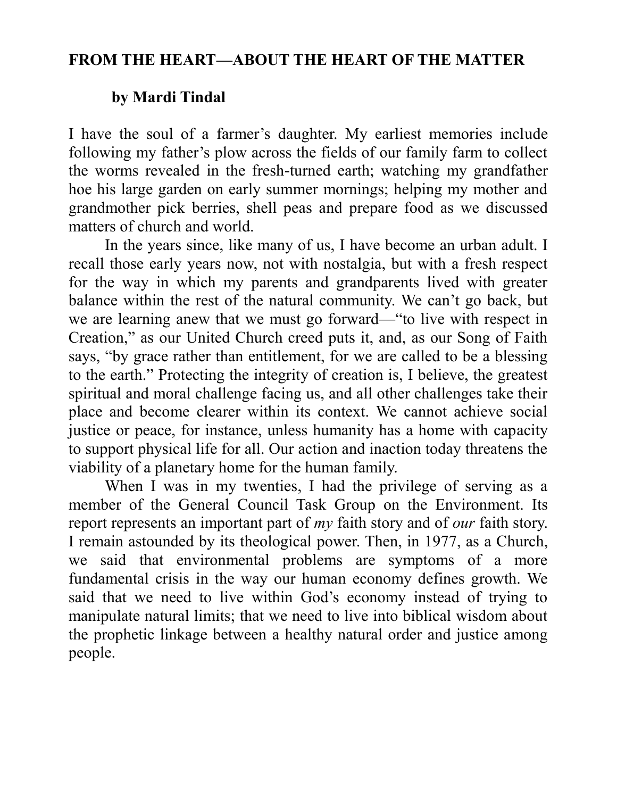# **FROM THE HEART—ABOUT THE HEART OF THE MATTER**

# **by Mardi Tindal**

I have the soul of a farmer's daughter. My earliest memories include following my father's plow across the fields of our family farm to collect the worms revealed in the fresh-turned earth; watching my grandfather hoe his large garden on early summer mornings; helping my mother and grandmother pick berries, shell peas and prepare food as we discussed matters of church and world.

In the years since, like many of us, I have become an urban adult. I recall those early years now, not with nostalgia, but with a fresh respect for the way in which my parents and grandparents lived with greater balance within the rest of the natural community. We can't go back, but we are learning anew that we must go forward—"to live with respect in Creation," as our United Church creed puts it, and, as our Song of Faith says, "by grace rather than entitlement, for we are called to be a blessing to the earth." Protecting the integrity of creation is, I believe, the greatest spiritual and moral challenge facing us, and all other challenges take their place and become clearer within its context. We cannot achieve social justice or peace, for instance, unless humanity has a home with capacity to support physical life for all. Our action and inaction today threatens the viability of a planetary home for the human family.

When I was in my twenties, I had the privilege of serving as a member of the General Council Task Group on the Environment. Its report represents an important part of *my* faith story and of *our* faith story. I remain astounded by its theological power. Then, in 1977, as a Church, we said that environmental problems are symptoms of a more fundamental crisis in the way our human economy defines growth. We said that we need to live within God's economy instead of trying to manipulate natural limits; that we need to live into biblical wisdom about the prophetic linkage between a healthy natural order and justice among people.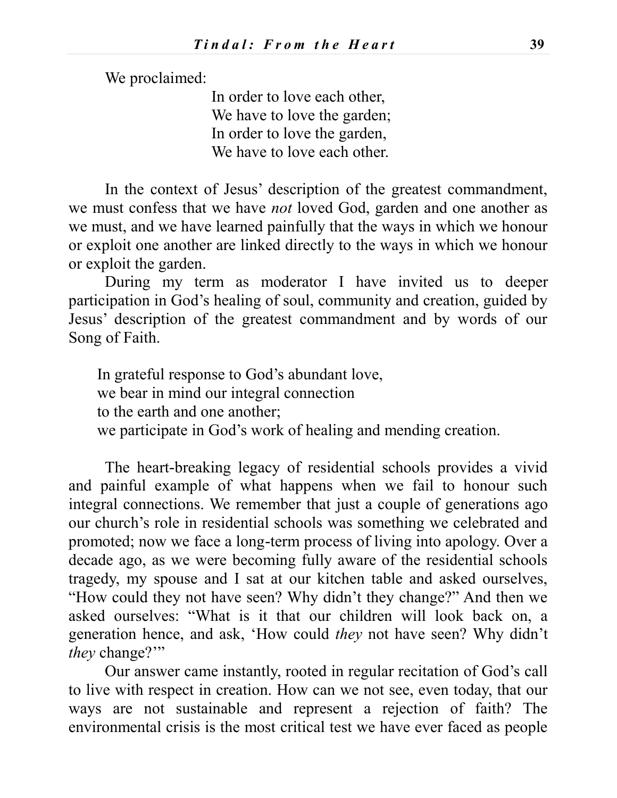We proclaimed:

In order to love each other, We have to love the garden; In order to love the garden, We have to love each other.

In the context of Jesus' description of the greatest commandment, we must confess that we have *not* loved God, garden and one another as we must, and we have learned painfully that the ways in which we honour or exploit one another are linked directly to the ways in which we honour or exploit the garden.

During my term as moderator I have invited us to deeper participation in God's healing of soul, community and creation, guided by Jesus' description of the greatest commandment and by words of our Song of Faith.

In grateful response to God's abundant love, we bear in mind our integral connection to the earth and one another; we participate in God's work of healing and mending creation.

The heart-breaking legacy of residential schools provides a vivid and painful example of what happens when we fail to honour such integral connections. We remember that just a couple of generations ago our church's role in residential schools was something we celebrated and promoted; now we face a long-term process of living into apology. Over a decade ago, as we were becoming fully aware of the residential schools tragedy, my spouse and I sat at our kitchen table and asked ourselves, "How could they not have seen? Why didn't they change?" And then we asked ourselves: "What is it that our children will look back on, a generation hence, and ask, 'How could *they* not have seen? Why didn't *they* change?"

Our answer came instantly, rooted in regular recitation of God's call to live with respect in creation. How can we not see, even today, that our ways are not sustainable and represent a rejection of faith? The environmental crisis is the most critical test we have ever faced as people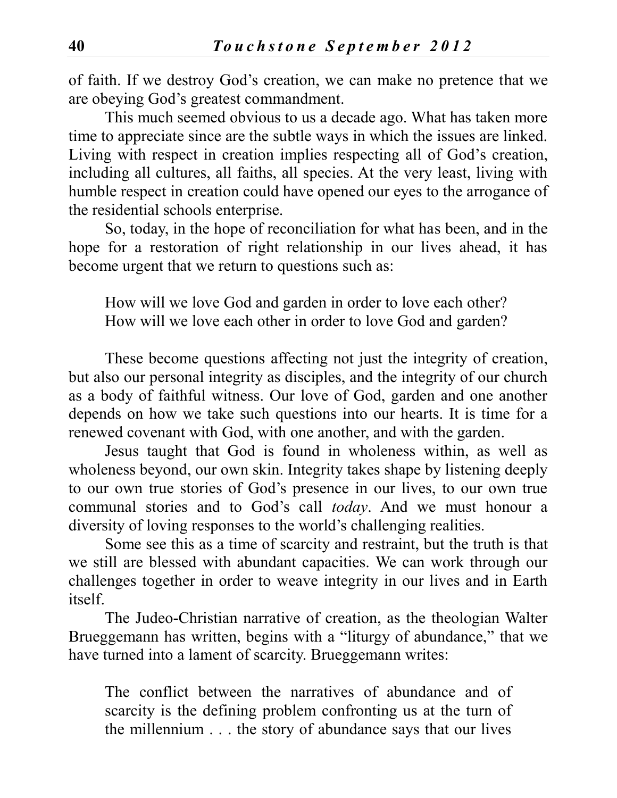of faith. If we destroy God's creation, we can make no pretence that we are obeying God's greatest commandment.

This much seemed obvious to us a decade ago. What has taken more time to appreciate since are the subtle ways in which the issues are linked. Living with respect in creation implies respecting all of God's creation, including all cultures, all faiths, all species. At the very least, living with humble respect in creation could have opened our eyes to the arrogance of the residential schools enterprise.

So, today, in the hope of reconciliation for what has been, and in the hope for a restoration of right relationship in our lives ahead, it has become urgent that we return to questions such as:

How will we love God and garden in order to love each other? How will we love each other in order to love God and garden?

These become questions affecting not just the integrity of creation, but also our personal integrity as disciples, and the integrity of our church as a body of faithful witness. Our love of God, garden and one another depends on how we take such questions into our hearts. It is time for a renewed covenant with God, with one another, and with the garden.

Jesus taught that God is found in wholeness within, as well as wholeness beyond, our own skin. Integrity takes shape by listening deeply to our own true stories of God's presence in our lives, to our own true communal stories and to God's call *today*. And we must honour a diversity of loving responses to the world's challenging realities.

Some see this as a time of scarcity and restraint, but the truth is that we still are blessed with abundant capacities. We can work through our challenges together in order to weave integrity in our lives and in Earth itself.

The Judeo-Christian narrative of creation, as the theologian Walter Brueggemann has written, begins with a "liturgy of abundance," that we have turned into a lament of scarcity. Brueggemann writes:

The conflict between the narratives of abundance and of scarcity is the defining problem confronting us at the turn of the millennium . . . the story of abundance says that our lives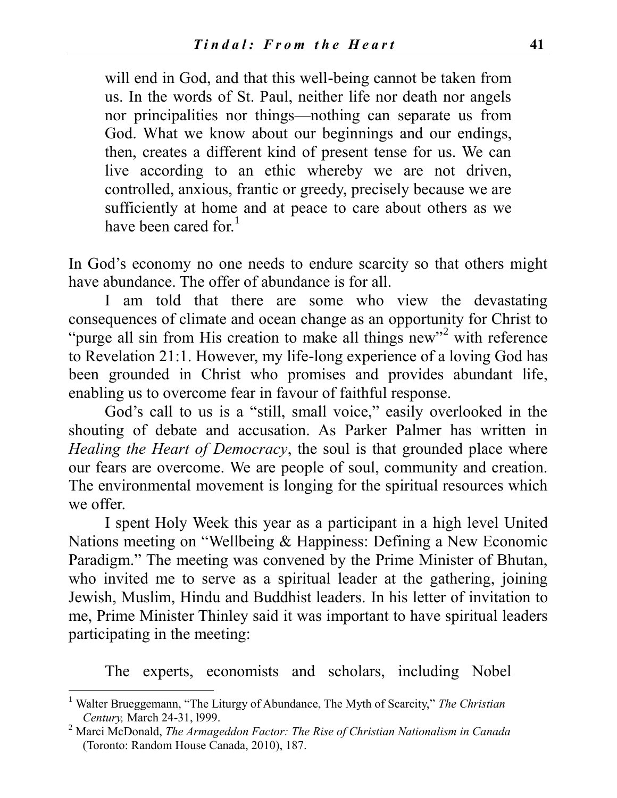will end in God, and that this well-being cannot be taken from us. In the words of St. Paul, neither life nor death nor angels nor principalities nor things—nothing can separate us from God. What we know about our beginnings and our endings, then, creates a different kind of present tense for us. We can live according to an ethic whereby we are not driven, controlled, anxious, frantic or greedy, precisely because we are sufficiently at home and at peace to care about others as we have been cared for  $<sup>1</sup>$ </sup>

In God's economy no one needs to endure scarcity so that others might have abundance. The offer of abundance is for all.

I am told that there are some who view the devastating consequences of climate and ocean change as an opportunity for Christ to "purge all sin from His creation to make all things new"<sup>2</sup> with reference to Revelation 21:1. However, my life-long experience of a loving God has been grounded in Christ who promises and provides abundant life, enabling us to overcome fear in favour of faithful response.

God's call to us is a "still, small voice," easily overlooked in the shouting of debate and accusation. As Parker Palmer has written in *Healing the Heart of Democracy*, the soul is that grounded place where our fears are overcome. We are people of soul, community and creation. The environmental movement is longing for the spiritual resources which we offer.

I spent Holy Week this year as a participant in a high level United Nations meeting on "Wellbeing & Happiness: Defining a New Economic Paradigm." The meeting was convened by the Prime Minister of Bhutan, who invited me to serve as a spiritual leader at the gathering, joining Jewish, Muslim, Hindu and Buddhist leaders. In his letter of invitation to me, Prime Minister Thinley said it was important to have spiritual leaders participating in the meeting:

The experts, economists and scholars, including Nobel

 $\overline{a}$ 

<sup>1</sup> Walter Brueggemann, "The Liturgy of Abundance, The Myth of Scarcity," *The Christian Century,* March 24-31, l999.

<sup>2</sup> Marci McDonald, *The Armageddon Factor: The Rise of Christian Nationalism in Canada* (Toronto: Random House Canada, 2010), 187.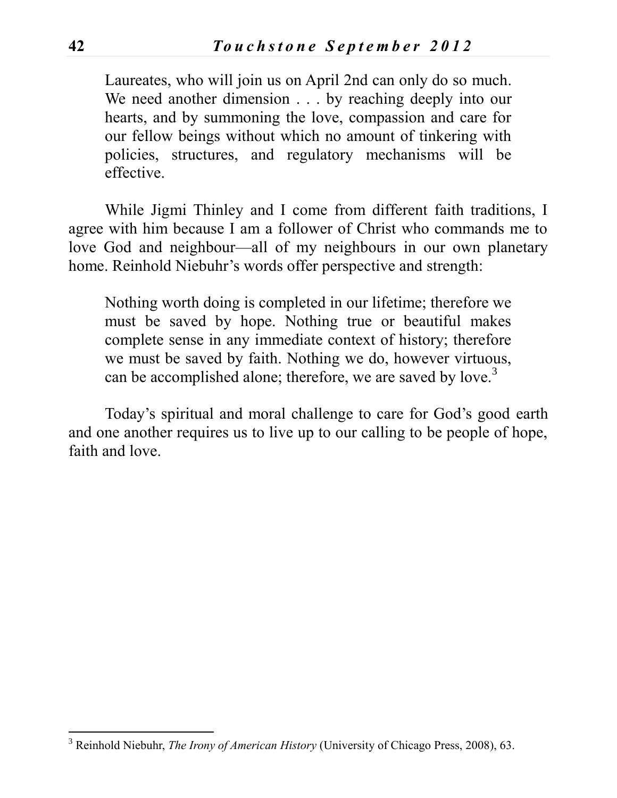Laureates, who will join us on April 2nd can only do so much. We need another dimension . . . by reaching deeply into our hearts, and by summoning the love, compassion and care for our fellow beings without which no amount of tinkering with policies, structures, and regulatory mechanisms will be effective.

While Jigmi Thinley and I come from different faith traditions, I agree with him because I am a follower of Christ who commands me to love God and neighbour—all of my neighbours in our own planetary home. Reinhold Niebuhr's words offer perspective and strength:

Nothing worth doing is completed in our lifetime; therefore we must be saved by hope. Nothing true or beautiful makes complete sense in any immediate context of history; therefore we must be saved by faith. Nothing we do, however virtuous, can be accomplished alone; therefore, we are saved by love.<sup>3</sup>

Today's spiritual and moral challenge to care for God's good earth and one another requires us to live up to our calling to be people of hope, faith and love.

 $\overline{a}$ <sup>3</sup> Reinhold Niebuhr, *The Irony of American History* (University of Chicago Press, 2008), 63.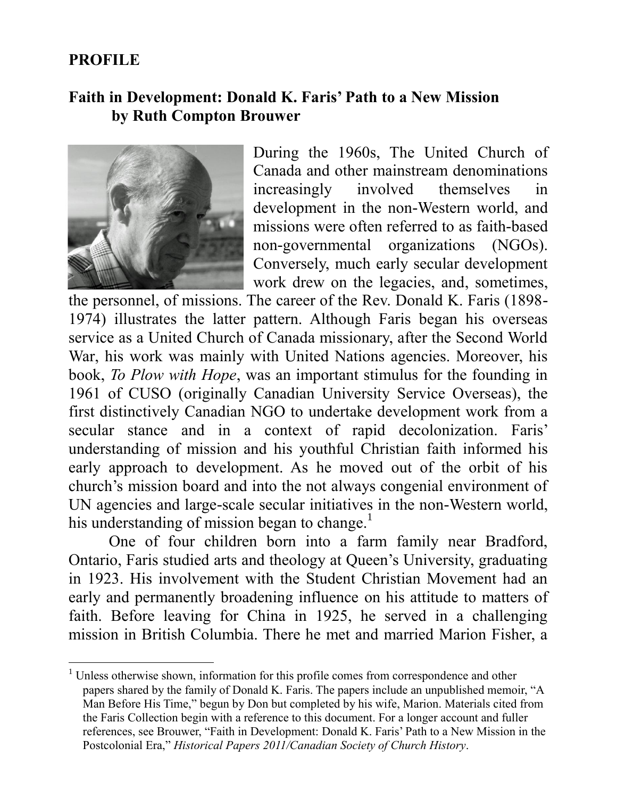# **PROFILE**

 $\overline{a}$ 

## **Faith in Development: Donald K. Faris' Path to a New Mission by Ruth Compton Brouwer**



During the 1960s, The United Church of Canada and other mainstream denominations increasingly involved themselves in development in the non-Western world, and missions were often referred to as faith-based non-governmental organizations (NGOs). Conversely, much early secular development work drew on the legacies, and, sometimes,

the personnel, of missions. The career of the Rev. Donald K. Faris (1898- 1974) illustrates the latter pattern. Although Faris began his overseas service as a United Church of Canada missionary, after the Second World War, his work was mainly with United Nations agencies. Moreover, his book, *To Plow with Hope*, was an important stimulus for the founding in 1961 of CUSO (originally Canadian University Service Overseas), the first distinctively Canadian NGO to undertake development work from a secular stance and in a context of rapid decolonization. Faris' understanding of mission and his youthful Christian faith informed his early approach to development. As he moved out of the orbit of his church's mission board and into the not always congenial environment of UN agencies and large-scale secular initiatives in the non-Western world, his understanding of mission began to change.<sup>1</sup>

One of four children born into a farm family near Bradford, Ontario, Faris studied arts and theology at Queen's University, graduating in 1923. His involvement with the Student Christian Movement had an early and permanently broadening influence on his attitude to matters of faith. Before leaving for China in 1925, he served in a challenging mission in British Columbia. There he met and married Marion Fisher, a

<sup>&</sup>lt;sup>1</sup> Unless otherwise shown, information for this profile comes from correspondence and other papers shared by the family of Donald K. Faris. The papers include an unpublished memoir, "A Man Before His Time," begun by Don but completed by his wife, Marion. Materials cited from the Faris Collection begin with a reference to this document. For a longer account and fuller references, see Brouwer, "Faith in Development: Donald K. Faris' Path to a New Mission in the Postcolonial Era," *Historical Papers 2011/Canadian Society of Church History*.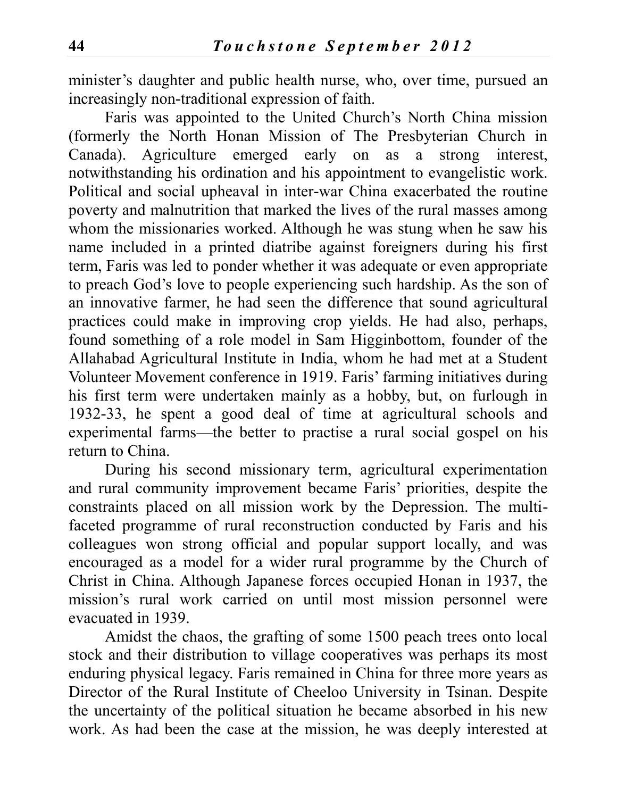minister's daughter and public health nurse, who, over time, pursued an increasingly non-traditional expression of faith.

Faris was appointed to the United Church's North China mission (formerly the North Honan Mission of The Presbyterian Church in Canada). Agriculture emerged early on as a strong interest, notwithstanding his ordination and his appointment to evangelistic work. Political and social upheaval in inter-war China exacerbated the routine poverty and malnutrition that marked the lives of the rural masses among whom the missionaries worked. Although he was stung when he saw his name included in a printed diatribe against foreigners during his first term, Faris was led to ponder whether it was adequate or even appropriate to preach God's love to people experiencing such hardship. As the son of an innovative farmer, he had seen the difference that sound agricultural practices could make in improving crop yields. He had also, perhaps, found something of a role model in Sam Higginbottom, founder of the Allahabad Agricultural Institute in India, whom he had met at a Student Volunteer Movement conference in 1919. Faris' farming initiatives during his first term were undertaken mainly as a hobby, but, on furlough in 1932-33, he spent a good deal of time at agricultural schools and experimental farms—the better to practise a rural social gospel on his return to China.

During his second missionary term, agricultural experimentation and rural community improvement became Faris' priorities, despite the constraints placed on all mission work by the Depression. The multifaceted programme of rural reconstruction conducted by Faris and his colleagues won strong official and popular support locally, and was encouraged as a model for a wider rural programme by the Church of Christ in China. Although Japanese forces occupied Honan in 1937, the mission's rural work carried on until most mission personnel were evacuated in 1939.

Amidst the chaos, the grafting of some 1500 peach trees onto local stock and their distribution to village cooperatives was perhaps its most enduring physical legacy. Faris remained in China for three more years as Director of the Rural Institute of Cheeloo University in Tsinan. Despite the uncertainty of the political situation he became absorbed in his new work. As had been the case at the mission, he was deeply interested at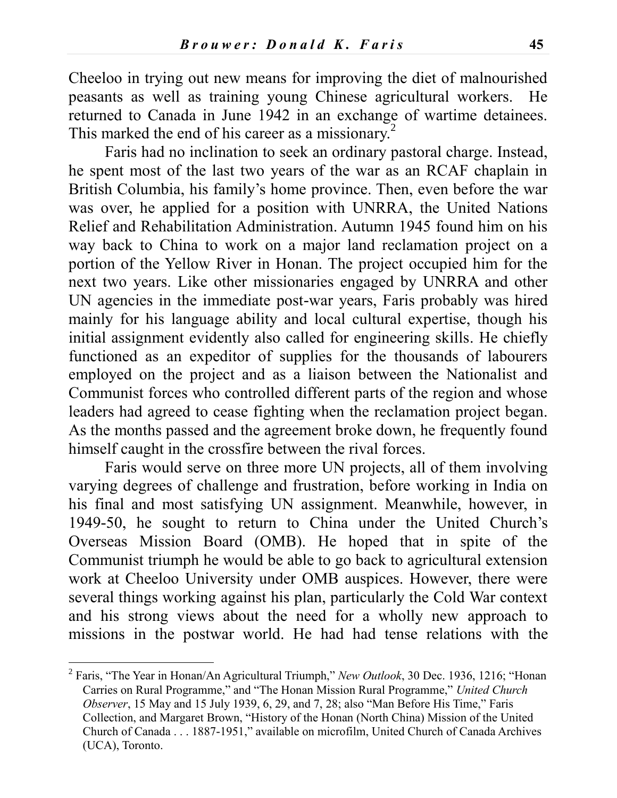Cheeloo in trying out new means for improving the diet of malnourished peasants as well as training young Chinese agricultural workers. He returned to Canada in June 1942 in an exchange of wartime detainees. This marked the end of his career as a missionary.<sup>2</sup>

Faris had no inclination to seek an ordinary pastoral charge. Instead, he spent most of the last two years of the war as an RCAF chaplain in British Columbia, his family's home province. Then, even before the war was over, he applied for a position with UNRRA, the United Nations Relief and Rehabilitation Administration. Autumn 1945 found him on his way back to China to work on a major land reclamation project on a portion of the Yellow River in Honan. The project occupied him for the next two years. Like other missionaries engaged by UNRRA and other UN agencies in the immediate post-war years, Faris probably was hired mainly for his language ability and local cultural expertise, though his initial assignment evidently also called for engineering skills. He chiefly functioned as an expeditor of supplies for the thousands of labourers employed on the project and as a liaison between the Nationalist and Communist forces who controlled different parts of the region and whose leaders had agreed to cease fighting when the reclamation project began. As the months passed and the agreement broke down, he frequently found himself caught in the crossfire between the rival forces.

Faris would serve on three more UN projects, all of them involving varying degrees of challenge and frustration, before working in India on his final and most satisfying UN assignment. Meanwhile, however, in 1949-50, he sought to return to China under the United Church's Overseas Mission Board (OMB). He hoped that in spite of the Communist triumph he would be able to go back to agricultural extension work at Cheeloo University under OMB auspices. However, there were several things working against his plan, particularly the Cold War context and his strong views about the need for a wholly new approach to missions in the postwar world. He had had tense relations with the

 $\overline{a}$ 

<sup>2</sup> Faris, "The Year in Honan/An Agricultural Triumph," *New Outlook*, 30 Dec. 1936, 1216; "Honan Carries on Rural Programme," and "The Honan Mission Rural Programme," *United Church Observer*, 15 May and 15 July 1939, 6, 29, and 7, 28; also "Man Before His Time," Faris Collection, and Margaret Brown, "History of the Honan (North China) Mission of the United Church of Canada . . . 1887-1951," available on microfilm, United Church of Canada Archives (UCA), Toronto.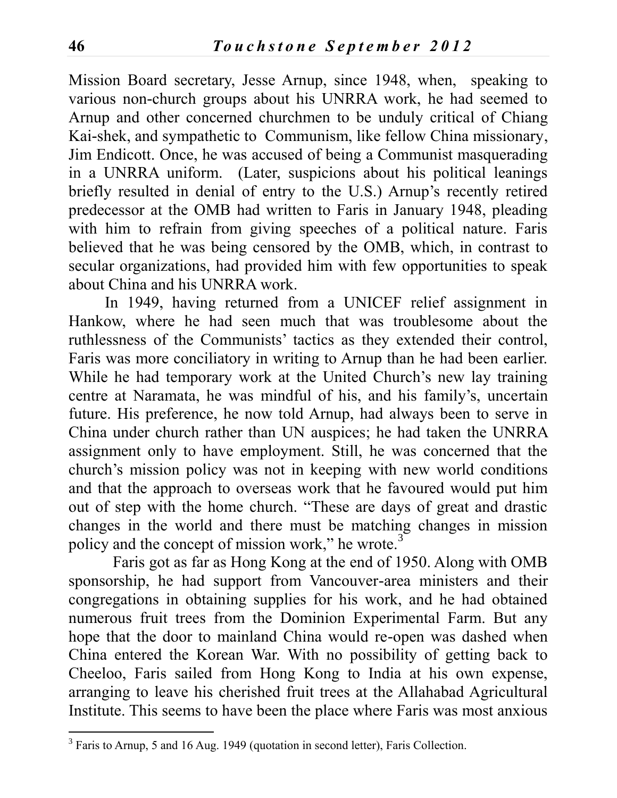Mission Board secretary, Jesse Arnup, since 1948, when, speaking to various non-church groups about his UNRRA work, he had seemed to Arnup and other concerned churchmen to be unduly critical of Chiang Kai-shek, and sympathetic to Communism, like fellow China missionary, Jim Endicott. Once, he was accused of being a Communist masquerading in a UNRRA uniform. (Later, suspicions about his political leanings briefly resulted in denial of entry to the U.S.) Arnup's recently retired predecessor at the OMB had written to Faris in January 1948, pleading with him to refrain from giving speeches of a political nature. Faris believed that he was being censored by the OMB, which, in contrast to secular organizations, had provided him with few opportunities to speak about China and his UNRRA work.

In 1949, having returned from a UNICEF relief assignment in Hankow, where he had seen much that was troublesome about the ruthlessness of the Communists' tactics as they extended their control, Faris was more conciliatory in writing to Arnup than he had been earlier. While he had temporary work at the United Church's new lay training centre at Naramata, he was mindful of his, and his family's, uncertain future. His preference, he now told Arnup, had always been to serve in China under church rather than UN auspices; he had taken the UNRRA assignment only to have employment. Still, he was concerned that the church's mission policy was not in keeping with new world conditions and that the approach to overseas work that he favoured would put him out of step with the home church. "These are days of great and drastic changes in the world and there must be matching changes in mission policy and the concept of mission work," he wrote. $3$ 

 Faris got as far as Hong Kong at the end of 1950. Along with OMB sponsorship, he had support from Vancouver-area ministers and their congregations in obtaining supplies for his work, and he had obtained numerous fruit trees from the Dominion Experimental Farm. But any hope that the door to mainland China would re-open was dashed when China entered the Korean War. With no possibility of getting back to Cheeloo, Faris sailed from Hong Kong to India at his own expense, arranging to leave his cherished fruit trees at the Allahabad Agricultural Institute. This seems to have been the place where Faris was most anxious

 $\overline{a}$ 

<sup>&</sup>lt;sup>3</sup> Faris to Arnup, 5 and 16 Aug. 1949 (quotation in second letter), Faris Collection.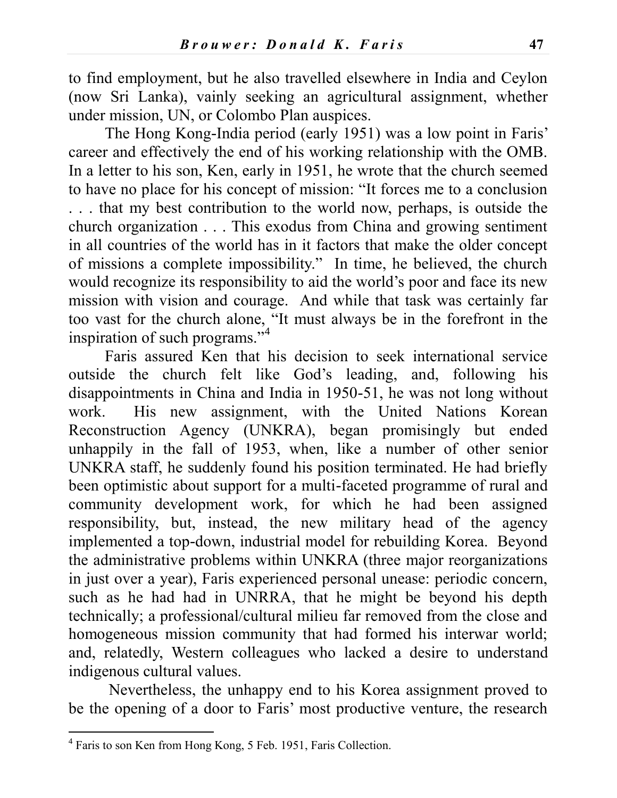to find employment, but he also travelled elsewhere in India and Ceylon (now Sri Lanka), vainly seeking an agricultural assignment, whether under mission, UN, or Colombo Plan auspices.

The Hong Kong-India period (early 1951) was a low point in Faris' career and effectively the end of his working relationship with the OMB. In a letter to his son, Ken, early in 1951, he wrote that the church seemed to have no place for his concept of mission: "It forces me to a conclusion . . . that my best contribution to the world now, perhaps, is outside the church organization . . . This exodus from China and growing sentiment in all countries of the world has in it factors that make the older concept of missions a complete impossibility." In time, he believed, the church would recognize its responsibility to aid the world's poor and face its new mission with vision and courage. And while that task was certainly far too vast for the church alone, "It must always be in the forefront in the inspiration of such programs."<sup>4</sup>

Faris assured Ken that his decision to seek international service outside the church felt like God's leading, and, following his disappointments in China and India in 1950-51, he was not long without work. His new assignment, with the United Nations Korean Reconstruction Agency (UNKRA), began promisingly but ended unhappily in the fall of 1953, when, like a number of other senior UNKRA staff, he suddenly found his position terminated. He had briefly been optimistic about support for a multi-faceted programme of rural and community development work, for which he had been assigned responsibility, but, instead, the new military head of the agency implemented a top-down, industrial model for rebuilding Korea. Beyond the administrative problems within UNKRA (three major reorganizations in just over a year), Faris experienced personal unease: periodic concern, such as he had had in UNRRA, that he might be beyond his depth technically; a professional/cultural milieu far removed from the close and homogeneous mission community that had formed his interwar world; and, relatedly, Western colleagues who lacked a desire to understand indigenous cultural values.

Nevertheless, the unhappy end to his Korea assignment proved to be the opening of a door to Faris' most productive venture, the research

 4 Faris to son Ken from Hong Kong, 5 Feb. 1951, Faris Collection.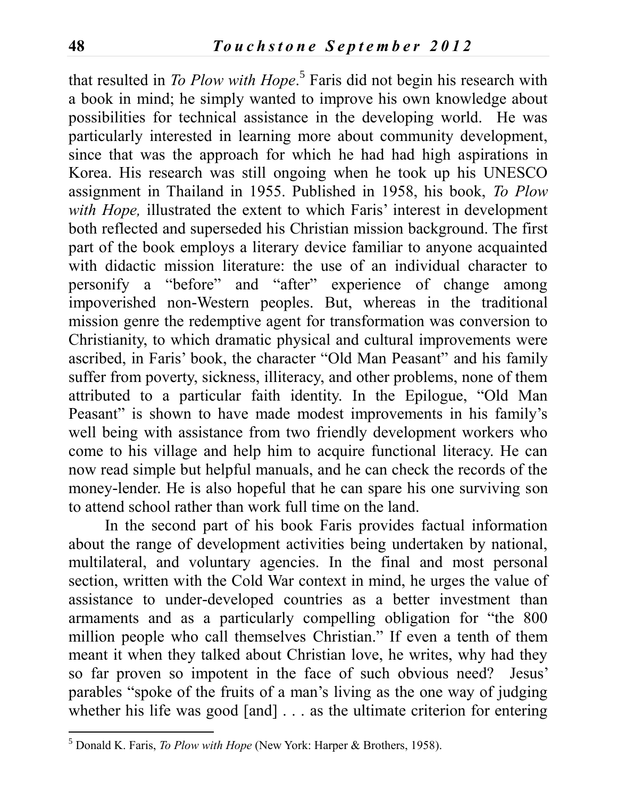that resulted in *To Plow with Hope*. 5 Faris did not begin his research with a book in mind; he simply wanted to improve his own knowledge about possibilities for technical assistance in the developing world. He was particularly interested in learning more about community development, since that was the approach for which he had had high aspirations in Korea. His research was still ongoing when he took up his UNESCO assignment in Thailand in 1955. Published in 1958, his book, *To Plow with Hope,* illustrated the extent to which Faris' interest in development both reflected and superseded his Christian mission background. The first part of the book employs a literary device familiar to anyone acquainted with didactic mission literature: the use of an individual character to personify a "before" and "after" experience of change among impoverished non-Western peoples. But, whereas in the traditional mission genre the redemptive agent for transformation was conversion to Christianity, to which dramatic physical and cultural improvements were ascribed, in Faris' book, the character "Old Man Peasant" and his family suffer from poverty, sickness, illiteracy, and other problems, none of them attributed to a particular faith identity. In the Epilogue, "Old Man Peasant" is shown to have made modest improvements in his family's well being with assistance from two friendly development workers who come to his village and help him to acquire functional literacy. He can now read simple but helpful manuals, and he can check the records of the money-lender. He is also hopeful that he can spare his one surviving son to attend school rather than work full time on the land.

In the second part of his book Faris provides factual information about the range of development activities being undertaken by national, multilateral, and voluntary agencies. In the final and most personal section, written with the Cold War context in mind, he urges the value of assistance to under-developed countries as a better investment than armaments and as a particularly compelling obligation for "the 800 million people who call themselves Christian." If even a tenth of them meant it when they talked about Christian love, he writes, why had they so far proven so impotent in the face of such obvious need? Jesus' parables "spoke of the fruits of a man's living as the one way of judging whether his life was good [and] . . . as the ultimate criterion for entering

 $\overline{a}$ 

<sup>5</sup> Donald K. Faris, *To Plow with Hope* (New York: Harper & Brothers, 1958).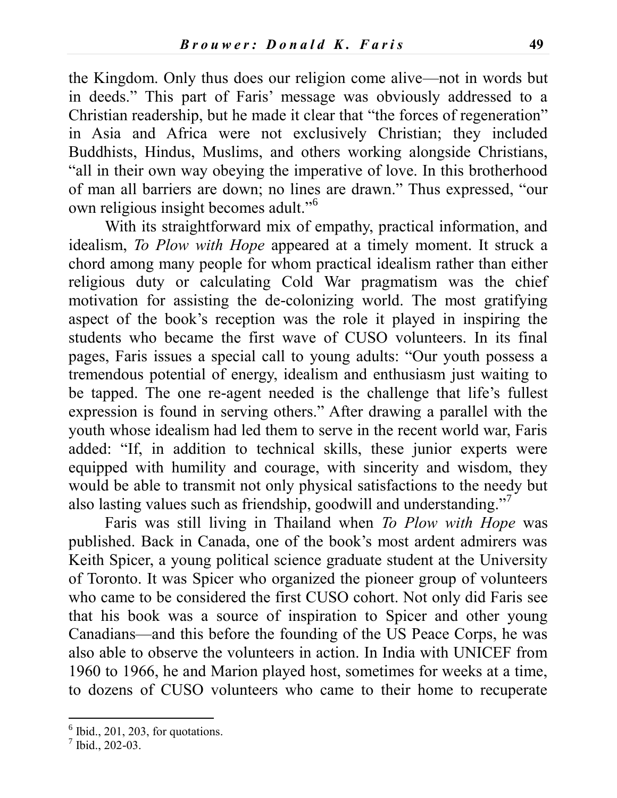the Kingdom. Only thus does our religion come alive—not in words but in deeds." This part of Faris' message was obviously addressed to a Christian readership, but he made it clear that "the forces of regeneration" in Asia and Africa were not exclusively Christian; they included Buddhists, Hindus, Muslims, and others working alongside Christians, "all in their own way obeying the imperative of love. In this brotherhood of man all barriers are down; no lines are drawn." Thus expressed, "our own religious insight becomes adult."<sup>6</sup>

With its straightforward mix of empathy, practical information, and idealism, *To Plow with Hope* appeared at a timely moment. It struck a chord among many people for whom practical idealism rather than either religious duty or calculating Cold War pragmatism was the chief motivation for assisting the de-colonizing world. The most gratifying aspect of the book's reception was the role it played in inspiring the students who became the first wave of CUSO volunteers. In its final pages, Faris issues a special call to young adults: "Our youth possess a tremendous potential of energy, idealism and enthusiasm just waiting to be tapped. The one re-agent needed is the challenge that life's fullest expression is found in serving others." After drawing a parallel with the youth whose idealism had led them to serve in the recent world war, Faris added: "If, in addition to technical skills, these junior experts were equipped with humility and courage, with sincerity and wisdom, they would be able to transmit not only physical satisfactions to the needy but also lasting values such as friendship, goodwill and understanding."<sup>7</sup>

Faris was still living in Thailand when *To Plow with Hope* was published. Back in Canada, one of the book's most ardent admirers was Keith Spicer, a young political science graduate student at the University of Toronto. It was Spicer who organized the pioneer group of volunteers who came to be considered the first CUSO cohort. Not only did Faris see that his book was a source of inspiration to Spicer and other young Canadians—and this before the founding of the US Peace Corps, he was also able to observe the volunteers in action. In India with UNICEF from 1960 to 1966, he and Marion played host, sometimes for weeks at a time, to dozens of CUSO volunteers who came to their home to recuperate

 $\overline{a}$ 

 $<sup>6</sup>$  Ibid., 201, 203, for quotations.</sup>

<sup>7</sup> Ibid., 202-03.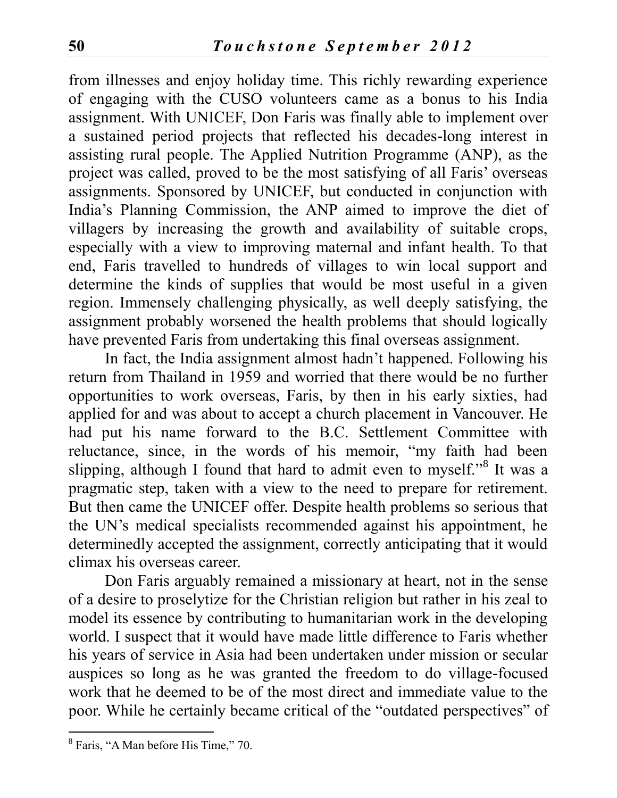from illnesses and enjoy holiday time. This richly rewarding experience of engaging with the CUSO volunteers came as a bonus to his India assignment. With UNICEF, Don Faris was finally able to implement over a sustained period projects that reflected his decades-long interest in assisting rural people. The Applied Nutrition Programme (ANP), as the project was called, proved to be the most satisfying of all Faris' overseas assignments. Sponsored by UNICEF, but conducted in conjunction with India's Planning Commission, the ANP aimed to improve the diet of villagers by increasing the growth and availability of suitable crops, especially with a view to improving maternal and infant health. To that end, Faris travelled to hundreds of villages to win local support and determine the kinds of supplies that would be most useful in a given region. Immensely challenging physically, as well deeply satisfying, the assignment probably worsened the health problems that should logically have prevented Faris from undertaking this final overseas assignment.

In fact, the India assignment almost hadn't happened. Following his return from Thailand in 1959 and worried that there would be no further opportunities to work overseas, Faris, by then in his early sixties, had applied for and was about to accept a church placement in Vancouver. He had put his name forward to the B.C. Settlement Committee with reluctance, since, in the words of his memoir, "my faith had been slipping, although I found that hard to admit even to myself."<sup>8</sup> It was a pragmatic step, taken with a view to the need to prepare for retirement. But then came the UNICEF offer. Despite health problems so serious that the UN's medical specialists recommended against his appointment, he determinedly accepted the assignment, correctly anticipating that it would climax his overseas career.

Don Faris arguably remained a missionary at heart, not in the sense of a desire to proselytize for the Christian religion but rather in his zeal to model its essence by contributing to humanitarian work in the developing world. I suspect that it would have made little difference to Faris whether his years of service in Asia had been undertaken under mission or secular auspices so long as he was granted the freedom to do village-focused work that he deemed to be of the most direct and immediate value to the poor. While he certainly became critical of the "outdated perspectives" of

<sup>&</sup>lt;sup>8</sup> Faris, "A Man before His Time," 70.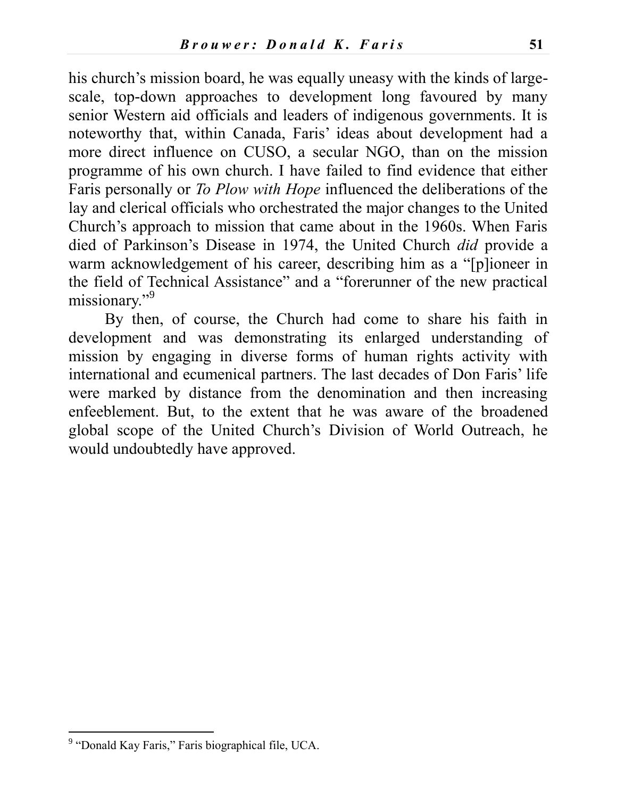his church's mission board, he was equally uneasy with the kinds of largescale, top-down approaches to development long favoured by many senior Western aid officials and leaders of indigenous governments. It is noteworthy that, within Canada, Faris' ideas about development had a more direct influence on CUSO, a secular NGO, than on the mission programme of his own church. I have failed to find evidence that either Faris personally or *To Plow with Hope* influenced the deliberations of the lay and clerical officials who orchestrated the major changes to the United Church's approach to mission that came about in the 1960s. When Faris died of Parkinson's Disease in 1974, the United Church *did* provide a warm acknowledgement of his career, describing him as a "[p]ioneer in the field of Technical Assistance" and a "forerunner of the new practical missionary."<sup>9</sup>

By then, of course, the Church had come to share his faith in development and was demonstrating its enlarged understanding of mission by engaging in diverse forms of human rights activity with international and ecumenical partners. The last decades of Don Faris' life were marked by distance from the denomination and then increasing enfeeblement. But, to the extent that he was aware of the broadened global scope of the United Church's Division of World Outreach, he would undoubtedly have approved.

 $\overline{a}$ 

<sup>&</sup>lt;sup>9</sup> "Donald Kay Faris," Faris biographical file, UCA.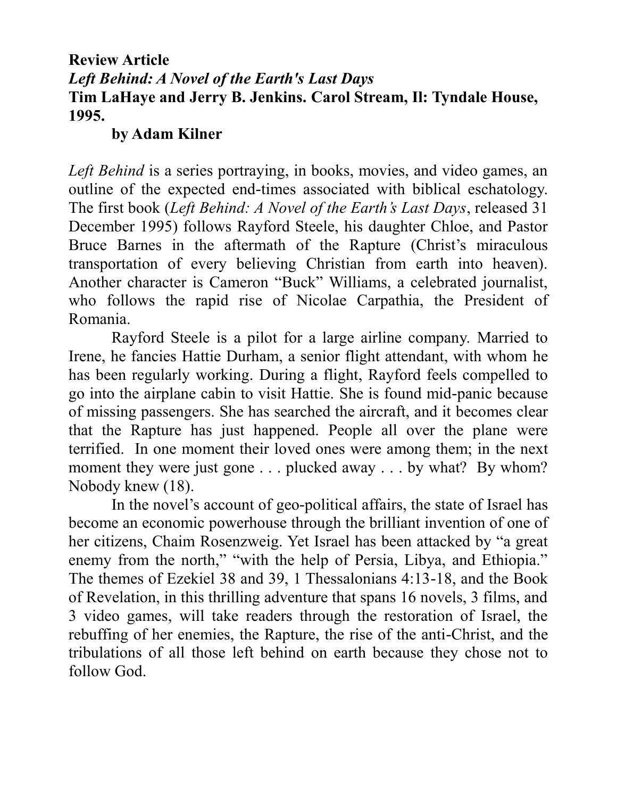# **Review Article** *Left Behind: A Novel of the Earth's Last Days*  **Tim LaHaye and Jerry B. Jenkins. Carol Stream, Il: Tyndale House, 1995.**

#### **by Adam Kilner**

*Left Behind* is a series portraying, in books, movies, and video games, an outline of the expected end-times associated with biblical eschatology. The first book (*Left Behind: A Novel of the Earth's Last Days*, released 31 December 1995) follows Rayford Steele, his daughter Chloe, and Pastor Bruce Barnes in the aftermath of the Rapture (Christ's miraculous transportation of every believing Christian from earth into heaven). Another character is Cameron "Buck" Williams, a celebrated journalist, who follows the rapid rise of Nicolae Carpathia, the President of Romania.

Rayford Steele is a pilot for a large airline company. Married to Irene, he fancies Hattie Durham, a senior flight attendant, with whom he has been regularly working. During a flight, Rayford feels compelled to go into the airplane cabin to visit Hattie. She is found mid-panic because of missing passengers. She has searched the aircraft, and it becomes clear that the Rapture has just happened. People all over the plane were terrified. In one moment their loved ones were among them; in the next moment they were just gone . . . plucked away . . . by what? By whom? Nobody knew (18).

In the novel's account of geo-political affairs, the state of Israel has become an economic powerhouse through the brilliant invention of one of her citizens, Chaim Rosenzweig. Yet Israel has been attacked by "a great enemy from the north," "with the help of Persia, Libya, and Ethiopia." The themes of Ezekiel 38 and 39, 1 Thessalonians 4:13-18, and the Book of Revelation, in this thrilling adventure that spans 16 novels, 3 films, and 3 video games, will take readers through the restoration of Israel, the rebuffing of her enemies, the Rapture, the rise of the anti-Christ, and the tribulations of all those left behind on earth because they chose not to follow God.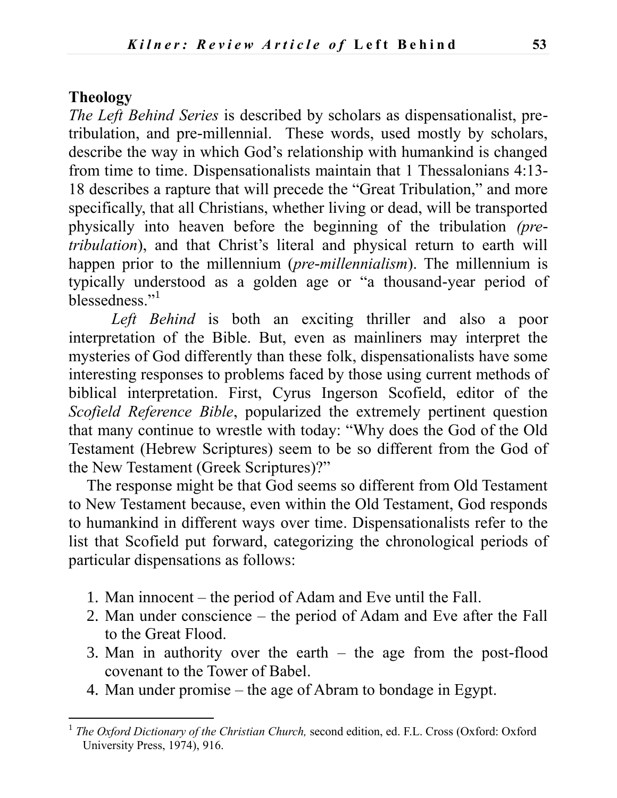#### **Theology**

 $\overline{a}$ 

*The Left Behind Series* is described by scholars as dispensationalist, pretribulation, and pre-millennial. These words, used mostly by scholars, describe the way in which God's relationship with humankind is changed from time to time. Dispensationalists maintain that 1 Thessalonians 4:13- 18 describes a rapture that will precede the "Great Tribulation," and more specifically, that all Christians, whether living or dead, will be transported physically into heaven before the beginning of the tribulation *(pretribulation*), and that Christ's literal and physical return to earth will happen prior to the millennium (*pre-millennialism*). The millennium is typically understood as a golden age or "a thousand-year period of blessedness."<sup>1</sup>

*Left Behind* is both an exciting thriller and also a poor interpretation of the Bible. But, even as mainliners may interpret the mysteries of God differently than these folk, dispensationalists have some interesting responses to problems faced by those using current methods of biblical interpretation. First, Cyrus Ingerson Scofield, editor of the *Scofield Reference Bible*, popularized the extremely pertinent question that many continue to wrestle with today: "Why does the God of the Old Testament (Hebrew Scriptures) seem to be so different from the God of the New Testament (Greek Scriptures)?"

The response might be that God seems so different from Old Testament to New Testament because, even within the Old Testament, God responds to humankind in different ways over time. Dispensationalists refer to the list that Scofield put forward, categorizing the chronological periods of particular dispensations as follows:

- 1. Man innocent the period of Adam and Eve until the Fall.
- 2. Man under conscience the period of Adam and Eve after the Fall to the Great Flood.
- 3. Man in authority over the earth the age from the post-flood covenant to the Tower of Babel.
- 4. Man under promise the age of Abram to bondage in Egypt.

<sup>&</sup>lt;sup>1</sup> The Oxford Dictionary of the Christian Church, second edition, ed. F.L. Cross (Oxford: Oxford University Press, 1974), 916.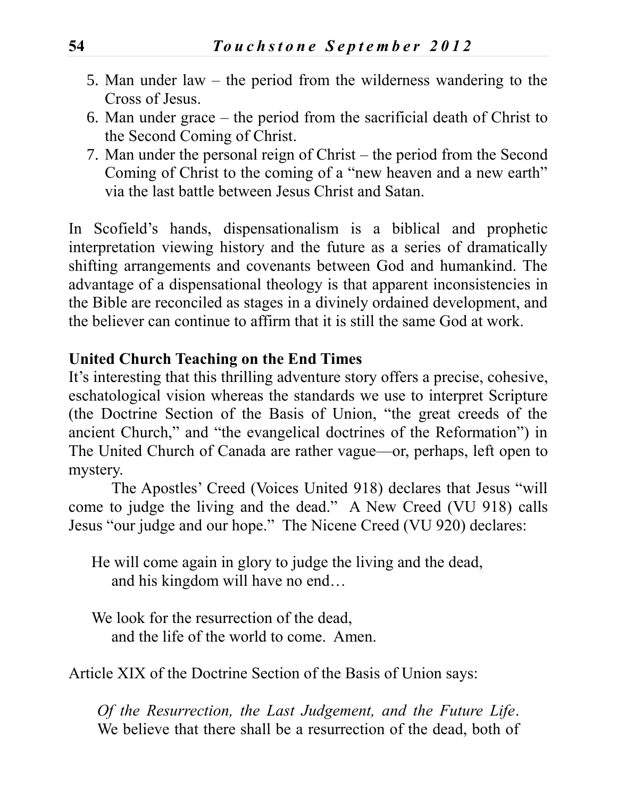- 5. Man under law the period from the wilderness wandering to the Cross of Jesus.
- 6. Man under grace the period from the sacrificial death of Christ to the Second Coming of Christ.
- 7. Man under the personal reign of Christ the period from the Second Coming of Christ to the coming of a "new heaven and a new earth" via the last battle between Jesus Christ and Satan.

In Scofield's hands, dispensationalism is a biblical and prophetic interpretation viewing history and the future as a series of dramatically shifting arrangements and covenants between God and humankind. The advantage of a dispensational theology is that apparent inconsistencies in the Bible are reconciled as stages in a divinely ordained development, and the believer can continue to affirm that it is still the same God at work.

### **United Church Teaching on the End Times**

It's interesting that this thrilling adventure story offers a precise, cohesive, eschatological vision whereas the standards we use to interpret Scripture (the Doctrine Section of the Basis of Union, "the great creeds of the ancient Church," and "the evangelical doctrines of the Reformation") in The United Church of Canada are rather vague—or, perhaps, left open to mystery.

The Apostles' Creed (Voices United 918) declares that Jesus "will come to judge the living and the dead." A New Creed (VU 918) calls Jesus "our judge and our hope." The Nicene Creed (VU 920) declares:

He will come again in glory to judge the living and the dead, and his kingdom will have no end…

We look for the resurrection of the dead, and the life of the world to come. Amen.

Article XIX of the Doctrine Section of the Basis of Union says:

*Of the Resurrection, the Last Judgement, and the Future Life*. We believe that there shall be a resurrection of the dead, both of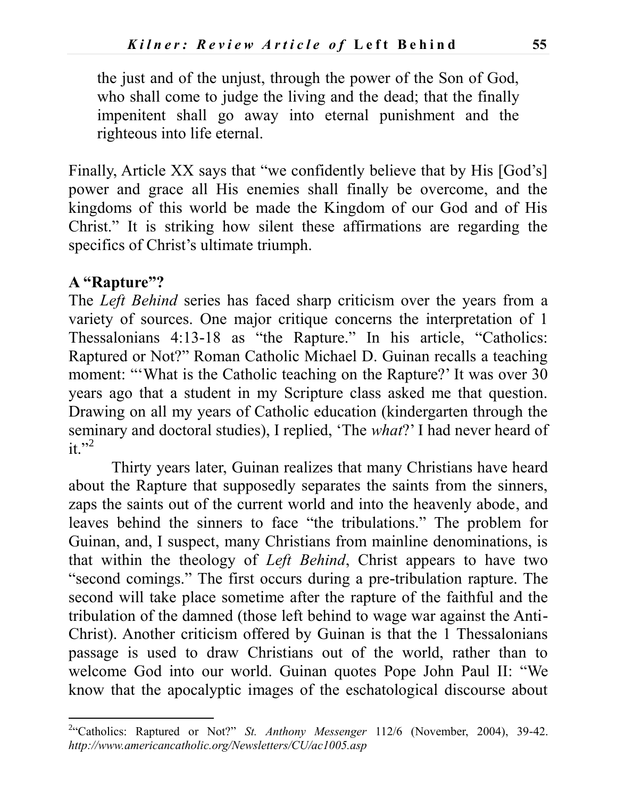the just and of the unjust, through the power of the Son of God, who shall come to judge the living and the dead; that the finally impenitent shall go away into eternal punishment and the righteous into life eternal.

Finally, Article XX says that "we confidently believe that by His [God's] power and grace all His enemies shall finally be overcome, and the kingdoms of this world be made the Kingdom of our God and of His Christ." It is striking how silent these affirmations are regarding the specifics of Christ's ultimate triumph.

#### **A "Rapture"?**

 $\overline{a}$ 

The *Left Behind* series has faced sharp criticism over the years from a variety of sources. One major critique concerns the interpretation of 1 Thessalonians 4:13-18 as "the Rapture." In his article, "Catholics: Raptured or Not?" Roman Catholic Michael D. Guinan recalls a teaching moment: "'What is the Catholic teaching on the Rapture?' It was over 30 years ago that a student in my Scripture class asked me that question. Drawing on all my years of Catholic education (kindergarten through the seminary and doctoral studies), I replied, 'The *what*?' I had never heard of it." $2$ 

Thirty years later, Guinan realizes that many Christians have heard about the Rapture that supposedly separates the saints from the sinners, zaps the saints out of the current world and into the heavenly abode, and leaves behind the sinners to face "the tribulations." The problem for Guinan, and, I suspect, many Christians from mainline denominations, is that within the theology of *Left Behind*, Christ appears to have two "second comings." The first occurs during a pre-tribulation rapture. The second will take place sometime after the rapture of the faithful and the tribulation of the damned (those left behind to wage war against the Anti-Christ). Another criticism offered by Guinan is that the 1 Thessalonians passage is used to draw Christians out of the world, rather than to welcome God into our world. Guinan quotes Pope John Paul II: "We know that the apocalyptic images of the eschatological discourse about

<sup>&</sup>lt;sup>2</sup> Catholics: Raptured or Not?" *St. Anthony Messenger* 112/6 (November, 2004), 39-42. *<http://www.americancatholic.org/Newsletters/CU/ac1005.asp>*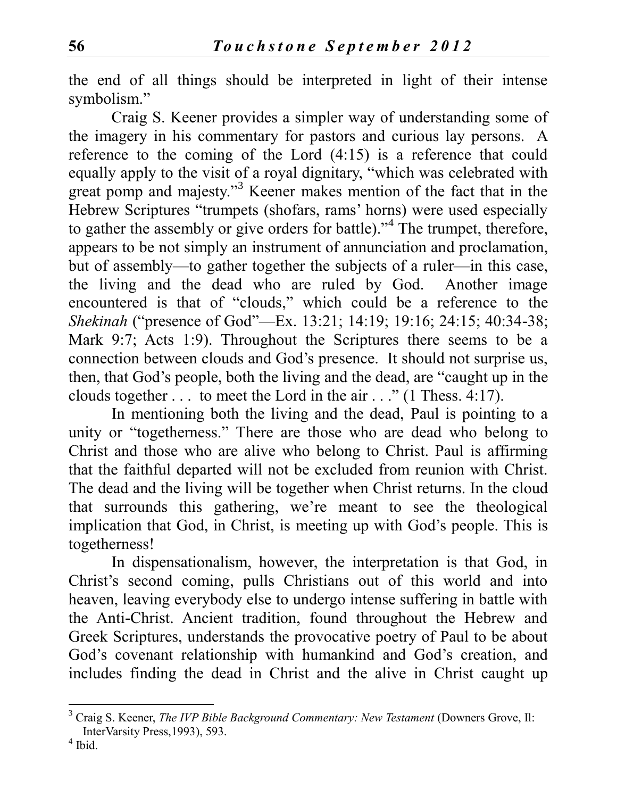the end of all things should be interpreted in light of their intense symbolism."

Craig S. Keener provides a simpler way of understanding some of the imagery in his commentary for pastors and curious lay persons. A reference to the coming of the Lord (4:15) is a reference that could equally apply to the visit of a royal dignitary, "which was celebrated with great pomp and majesty."<sup>3</sup> Keener makes mention of the fact that in the Hebrew Scriptures "trumpets (shofars, rams' horns) were used especially to gather the assembly or give orders for battle)."<sup>4</sup> The trumpet, therefore, appears to be not simply an instrument of annunciation and proclamation, but of assembly—to gather together the subjects of a ruler—in this case, the living and the dead who are ruled by God. Another image encountered is that of "clouds," which could be a reference to the *Shekinah* ("presence of God"—Ex. 13:21; 14:19; 19:16; 24:15; 40:34-38; Mark 9:7; Acts 1:9). Throughout the Scriptures there seems to be a connection between clouds and God's presence. It should not surprise us, then, that God's people, both the living and the dead, are "caught up in the clouds together . . . to meet the Lord in the air . . ." (1 Thess. 4:17).

In mentioning both the living and the dead, Paul is pointing to a unity or "togetherness." There are those who are dead who belong to Christ and those who are alive who belong to Christ. Paul is affirming that the faithful departed will not be excluded from reunion with Christ. The dead and the living will be together when Christ returns. In the cloud that surrounds this gathering, we're meant to see the theological implication that God, in Christ, is meeting up with God's people. This is togetherness!

In dispensationalism, however, the interpretation is that God, in Christ's second coming, pulls Christians out of this world and into heaven, leaving everybody else to undergo intense suffering in battle with the Anti-Christ. Ancient tradition, found throughout the Hebrew and Greek Scriptures, understands the provocative poetry of Paul to be about God's covenant relationship with humankind and God's creation, and includes finding the dead in Christ and the alive in Christ caught up

 $\overline{a}$ 

<sup>3</sup> Craig S. Keener, *The IVP Bible Background Commentary: New Testament* (Downers Grove, Il: InterVarsity Press,1993), 593.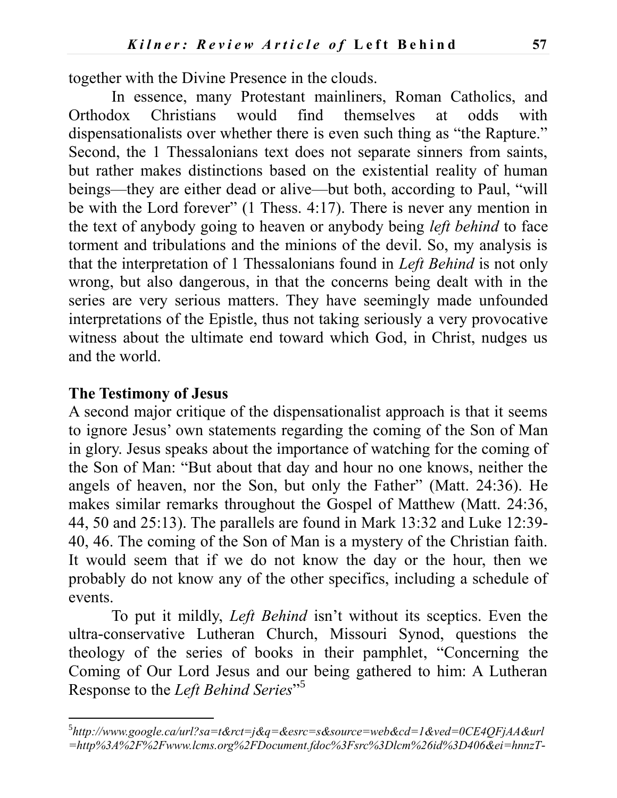together with the Divine Presence in the clouds.

In essence, many Protestant mainliners, Roman Catholics, and Orthodox Christians would find themselves at odds with dispensationalists over whether there is even such thing as "the Rapture." Second, the 1 Thessalonians text does not separate sinners from saints, but rather makes distinctions based on the existential reality of human beings—they are either dead or alive—but both, according to Paul, "will be with the Lord forever" (1 Thess. 4:17). There is never any mention in the text of anybody going to heaven or anybody being *left behind* to face torment and tribulations and the minions of the devil. So, my analysis is that the interpretation of 1 Thessalonians found in *Left Behind* is not only wrong, but also dangerous, in that the concerns being dealt with in the series are very serious matters. They have seemingly made unfounded interpretations of the Epistle, thus not taking seriously a very provocative witness about the ultimate end toward which God, in Christ, nudges us and the world.

#### **The Testimony of Jesus**

 $\overline{a}$ 

A second major critique of the dispensationalist approach is that it seems to ignore Jesus' own statements regarding the coming of the Son of Man in glory. Jesus speaks about the importance of watching for the coming of the Son of Man: "But about that day and hour no one knows, neither the angels of heaven, nor the Son, but only the Father" (Matt. 24:36). He makes similar remarks throughout the Gospel of Matthew (Matt. 24:36, 44, 50 and 25:13). The parallels are found in Mark 13:32 and Luke 12:39- 40, 46. The coming of the Son of Man is a mystery of the Christian faith. It would seem that if we do not know the day or the hour, then we probably do not know any of the other specifics, including a schedule of events.

To put it mildly, *Left Behind* isn't without its sceptics. Even the ultra-conservative Lutheran Church, Missouri Synod, questions the theology of the series of books in their pamphlet, "Concerning the Coming of Our Lord Jesus and our being gathered to him: A Lutheran Response to the *Left Behind Series*" 5

<sup>5</sup> *[http://www.google.ca/url?sa=t&rct=j&q=&esrc=s&source=web&cd=1&ved=0CE4QFjAA&url](http://www.google.ca/url?sa=t&rct=j&q=&esrc=s&source=web&cd=1&ved=0CE4QFjAA&url=http%3A%2F%2Fwww.lcms.org%2FDocument.fdoc%3Fsrc%3Dlcm%26id%3D406&ei=hnnzT-i3Joi1rQH29J3GAw&usg=AFQjCNGQUJQ7Sm_FXGFGrpxvyiYkkX6Aow&sig2=rZ5Eo8xvLoZn1QsUAcTy3w) [=http%3A%2F%2Fwww.lcms.org%2FDocument.fdoc%3Fsrc%3Dlcm%26id%3D406&ei=hnnzT-](http://www.google.ca/url?sa=t&rct=j&q=&esrc=s&source=web&cd=1&ved=0CE4QFjAA&url=http%3A%2F%2Fwww.lcms.org%2FDocument.fdoc%3Fsrc%3Dlcm%26id%3D406&ei=hnnzT-i3Joi1rQH29J3GAw&usg=AFQjCNGQUJQ7Sm_FXGFGrpxvyiYkkX6Aow&sig2=rZ5Eo8xvLoZn1QsUAcTy3w)*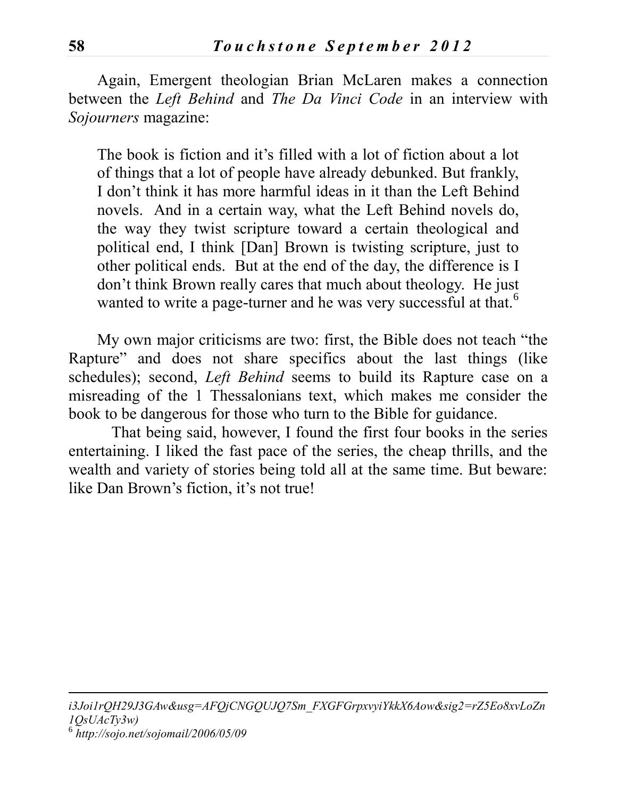Again, Emergent theologian Brian McLaren makes a connection between the *Left Behind* and *The Da Vinci Code* in an interview with *Sojourners* magazine:

The book is fiction and it's filled with a lot of fiction about a lot of things that a lot of people have already debunked. But frankly, I don't think it has more harmful ideas in it than the Left Behind novels. And in a certain way, what the Left Behind novels do, the way they twist scripture toward a certain theological and political end, I think [Dan] Brown is twisting scripture, just to other political ends. But at the end of the day, the difference is I don't think Brown really cares that much about theology. He just wanted to write a page-turner and he was very successful at that.<sup>6</sup>

My own major criticisms are two: first, the Bible does not teach "the Rapture" and does not share specifics about the last things (like schedules); second, *Left Behind* seems to build its Rapture case on a misreading of the 1 Thessalonians text, which makes me consider the book to be dangerous for those who turn to the Bible for guidance.

That being said, however, I found the first four books in the series entertaining. I liked the fast pace of the series, the cheap thrills, and the wealth and variety of stories being told all at the same time. But beware: like Dan Brown's fiction, it's not true!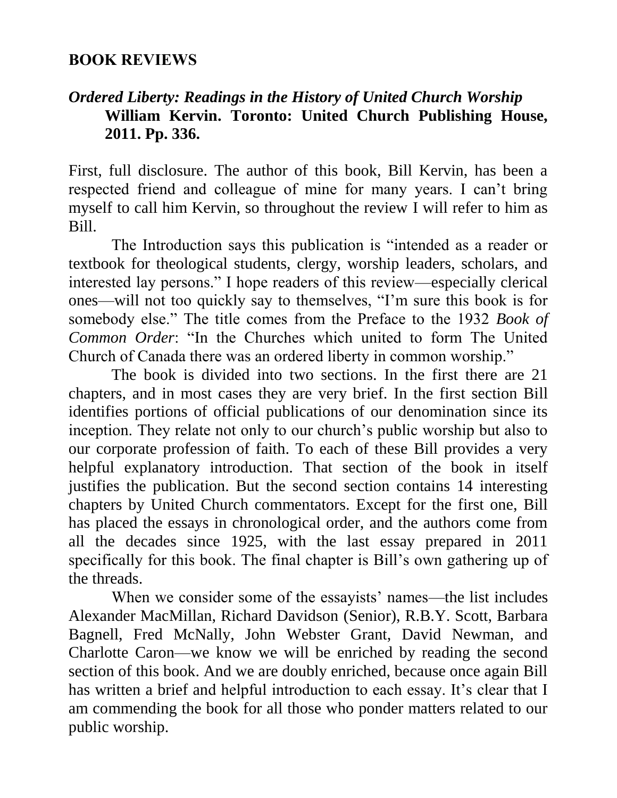### **BOOK REVIEWS**

# *Ordered Liberty: Readings in the History of United Church Worship* **William Kervin. Toronto: United Church Publishing House, 2011. Pp. 336.**

First, full disclosure. The author of this book, Bill Kervin, has been a respected friend and colleague of mine for many years. I can't bring myself to call him Kervin, so throughout the review I will refer to him as Bill.

The Introduction says this publication is "intended as a reader or textbook for theological students, clergy, worship leaders, scholars, and interested lay persons." I hope readers of this review—especially clerical ones—will not too quickly say to themselves, "I'm sure this book is for somebody else." The title comes from the Preface to the 1932 *Book of Common Order*: "In the Churches which united to form The United Church of Canada there was an ordered liberty in common worship."

The book is divided into two sections. In the first there are 21 chapters, and in most cases they are very brief. In the first section Bill identifies portions of official publications of our denomination since its inception. They relate not only to our church's public worship but also to our corporate profession of faith. To each of these Bill provides a very helpful explanatory introduction. That section of the book in itself justifies the publication. But the second section contains 14 interesting chapters by United Church commentators. Except for the first one, Bill has placed the essays in chronological order, and the authors come from all the decades since 1925, with the last essay prepared in 2011 specifically for this book. The final chapter is Bill's own gathering up of the threads.

When we consider some of the essayists' names—the list includes Alexander MacMillan, Richard Davidson (Senior), R.B.Y. Scott, Barbara Bagnell, Fred McNally, John Webster Grant, David Newman, and Charlotte Caron—we know we will be enriched by reading the second section of this book. And we are doubly enriched, because once again Bill has written a brief and helpful introduction to each essay. It's clear that I am commending the book for all those who ponder matters related to our public worship.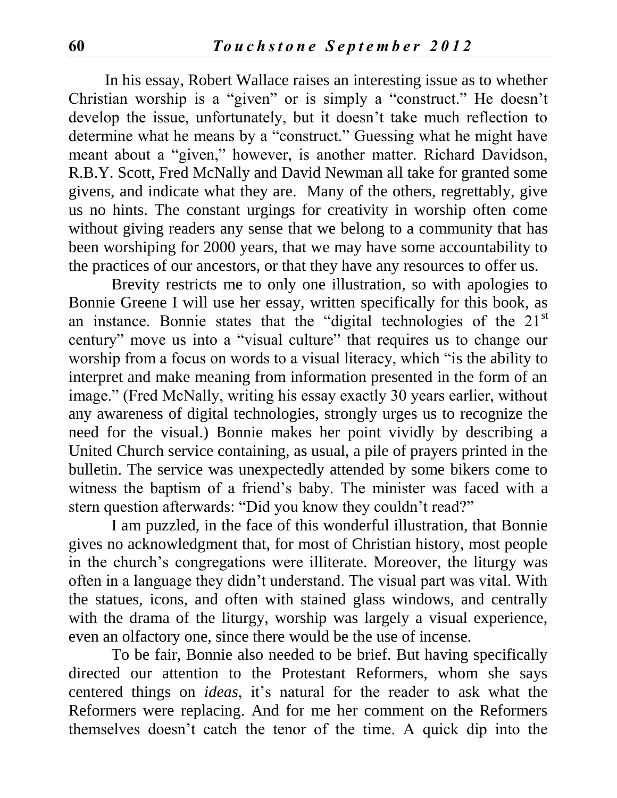In his essay, Robert Wallace raises an interesting issue as to whether Christian worship is a "given" or is simply a "construct." He doesn't develop the issue, unfortunately, but it doesn't take much reflection to determine what he means by a "construct." Guessing what he might have meant about a "given," however, is another matter. Richard Davidson, R.B.Y. Scott, Fred McNally and David Newman all take for granted some givens, and indicate what they are. Many of the others, regrettably, give us no hints. The constant urgings for creativity in worship often come without giving readers any sense that we belong to a community that has been worshiping for 2000 years, that we may have some accountability to the practices of our ancestors, or that they have any resources to offer us.

Brevity restricts me to only one illustration, so with apologies to Bonnie Greene I will use her essay, written specifically for this book, as an instance. Bonnie states that the "digital technologies of the 21<sup>st</sup> century" move us into a "visual culture" that requires us to change our worship from a focus on words to a visual literacy, which "is the ability to interpret and make meaning from information presented in the form of an image." (Fred McNally, writing his essay exactly 30 years earlier, without any awareness of digital technologies, strongly urges us to recognize the need for the visual.) Bonnie makes her point vividly by describing a United Church service containing, as usual, a pile of prayers printed in the bulletin. The service was unexpectedly attended by some bikers come to witness the baptism of a friend's baby. The minister was faced with a stern question afterwards: "Did you know they couldn't read?"

I am puzzled, in the face of this wonderful illustration, that Bonnie gives no acknowledgment that, for most of Christian history, most people in the church's congregations were illiterate. Moreover, the liturgy was often in a language they didn't understand. The visual part was vital. With the statues, icons, and often with stained glass windows, and centrally with the drama of the liturgy, worship was largely a visual experience, even an olfactory one, since there would be the use of incense.

To be fair, Bonnie also needed to be brief. But having specifically directed our attention to the Protestant Reformers, whom she says centered things on *ideas*, it's natural for the reader to ask what the Reformers were replacing. And for me her comment on the Reformers themselves doesn't catch the tenor of the time. A quick dip into the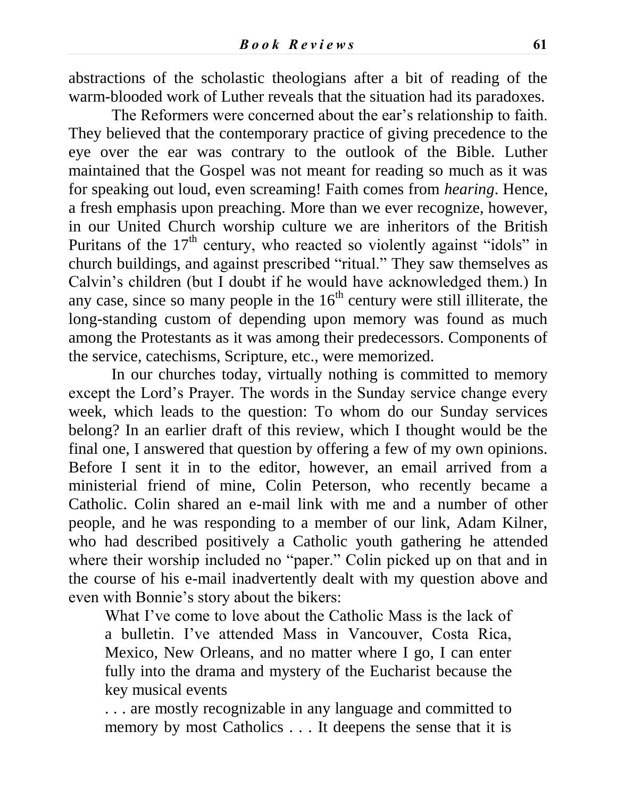abstractions of the scholastic theologians after a bit of reading of the warm-blooded work of Luther reveals that the situation had its paradoxes.

The Reformers were concerned about the ear's relationship to faith. They believed that the contemporary practice of giving precedence to the eye over the ear was contrary to the outlook of the Bible. Luther maintained that the Gospel was not meant for reading so much as it was for speaking out loud, even screaming! Faith comes from *hearing*. Hence, a fresh emphasis upon preaching. More than we ever recognize, however, in our United Church worship culture we are inheritors of the British Puritans of the  $17<sup>th</sup>$  century, who reacted so violently against "idols" in church buildings, and against prescribed "ritual." They saw themselves as Calvin's children (but I doubt if he would have acknowledged them.) In any case, since so many people in the  $16<sup>th</sup>$  century were still illiterate, the long-standing custom of depending upon memory was found as much among the Protestants as it was among their predecessors. Components of the service, catechisms, Scripture, etc., were memorized.

In our churches today, virtually nothing is committed to memory except the Lord's Prayer. The words in the Sunday service change every week, which leads to the question: To whom do our Sunday services belong? In an earlier draft of this review, which I thought would be the final one, I answered that question by offering a few of my own opinions. Before I sent it in to the editor, however, an email arrived from a ministerial friend of mine, Colin Peterson, who recently became a Catholic. Colin shared an e-mail link with me and a number of other people, and he was responding to a member of our link, Adam Kilner, who had described positively a Catholic youth gathering he attended where their worship included no "paper." Colin picked up on that and in the course of his e-mail inadvertently dealt with my question above and even with Bonnie's story about the bikers:

What I've come to love about the Catholic Mass is the lack of a bulletin. I've attended Mass in Vancouver, Costa Rica, Mexico, New Orleans, and no matter where I go, I can enter fully into the drama and mystery of the Eucharist because the key musical events

. . . are mostly recognizable in any language and committed to memory by most Catholics . . . It deepens the sense that it is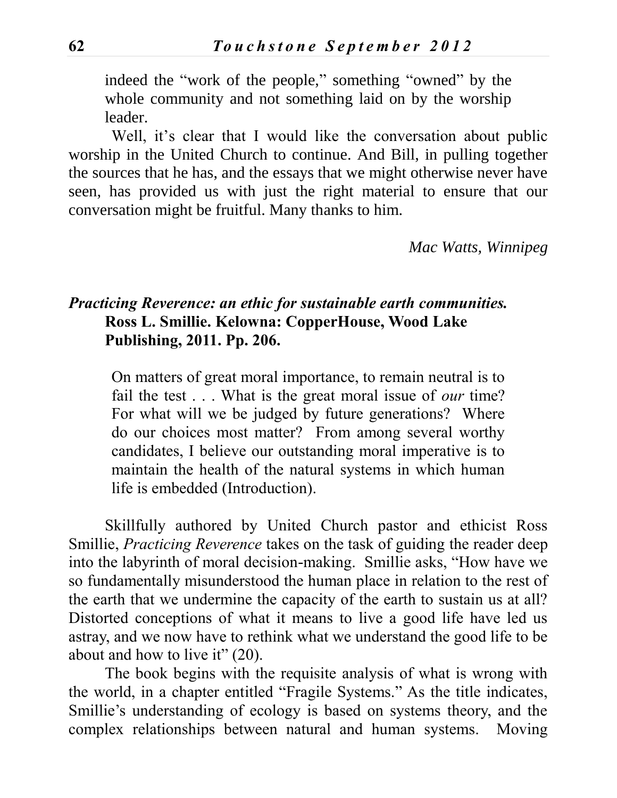indeed the "work of the people," something "owned" by the whole community and not something laid on by the worship leader.

Well, it's clear that I would like the conversation about public worship in the United Church to continue. And Bill, in pulling together the sources that he has, and the essays that we might otherwise never have seen, has provided us with just the right material to ensure that our conversation might be fruitful. Many thanks to him.

*Mac Watts, Winnipeg*

### *Practicing Reverence: an ethic for sustainable earth communities.* **Ross L. Smillie. Kelowna: CopperHouse, Wood Lake Publishing, 2011. Pp. 206.**

On matters of great moral importance, to remain neutral is to fail the test . . . What is the great moral issue of *our* time? For what will we be judged by future generations? Where do our choices most matter? From among several worthy candidates, I believe our outstanding moral imperative is to maintain the health of the natural systems in which human life is embedded (Introduction).

Skillfully authored by United Church pastor and ethicist Ross Smillie, *Practicing Reverence* takes on the task of guiding the reader deep into the labyrinth of moral decision-making. Smillie asks, "How have we so fundamentally misunderstood the human place in relation to the rest of the earth that we undermine the capacity of the earth to sustain us at all? Distorted conceptions of what it means to live a good life have led us astray, and we now have to rethink what we understand the good life to be about and how to live it" (20).

The book begins with the requisite analysis of what is wrong with the world, in a chapter entitled "Fragile Systems." As the title indicates, Smillie's understanding of ecology is based on systems theory, and the complex relationships between natural and human systems. Moving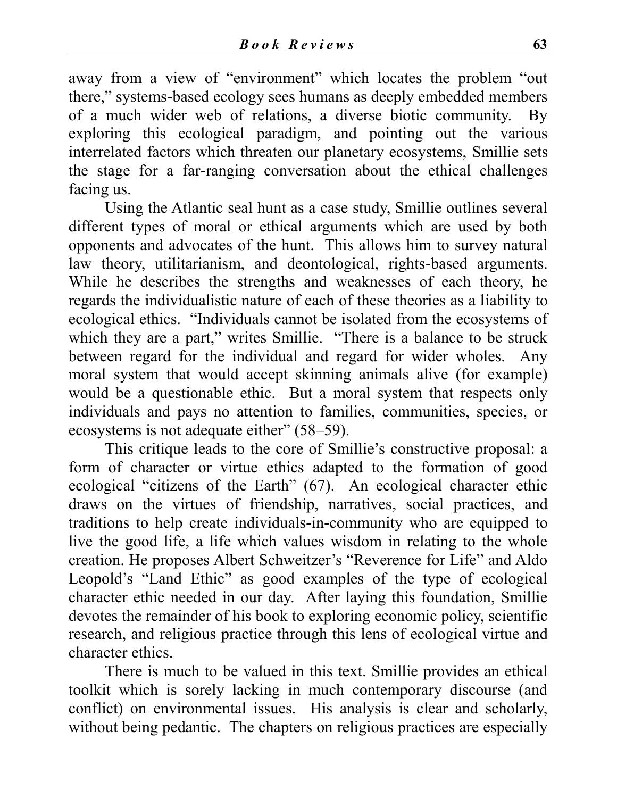away from a view of "environment" which locates the problem "out there," systems-based ecology sees humans as deeply embedded members of a much wider web of relations, a diverse biotic community. By exploring this ecological paradigm, and pointing out the various interrelated factors which threaten our planetary ecosystems, Smillie sets the stage for a far-ranging conversation about the ethical challenges facing us.

Using the Atlantic seal hunt as a case study, Smillie outlines several different types of moral or ethical arguments which are used by both opponents and advocates of the hunt. This allows him to survey natural law theory, utilitarianism, and deontological, rights-based arguments. While he describes the strengths and weaknesses of each theory, he regards the individualistic nature of each of these theories as a liability to ecological ethics. "Individuals cannot be isolated from the ecosystems of which they are a part," writes Smillie. "There is a balance to be struck between regard for the individual and regard for wider wholes. Any moral system that would accept skinning animals alive (for example) would be a questionable ethic. But a moral system that respects only individuals and pays no attention to families, communities, species, or ecosystems is not adequate either" (58–59).

This critique leads to the core of Smillie's constructive proposal: a form of character or virtue ethics adapted to the formation of good ecological "citizens of the Earth" (67). An ecological character ethic draws on the virtues of friendship, narratives, social practices, and traditions to help create individuals-in-community who are equipped to live the good life, a life which values wisdom in relating to the whole creation. He proposes Albert Schweitzer's "Reverence for Life" and Aldo Leopold's "Land Ethic" as good examples of the type of ecological character ethic needed in our day. After laying this foundation, Smillie devotes the remainder of his book to exploring economic policy, scientific research, and religious practice through this lens of ecological virtue and character ethics.

There is much to be valued in this text. Smillie provides an ethical toolkit which is sorely lacking in much contemporary discourse (and conflict) on environmental issues. His analysis is clear and scholarly, without being pedantic. The chapters on religious practices are especially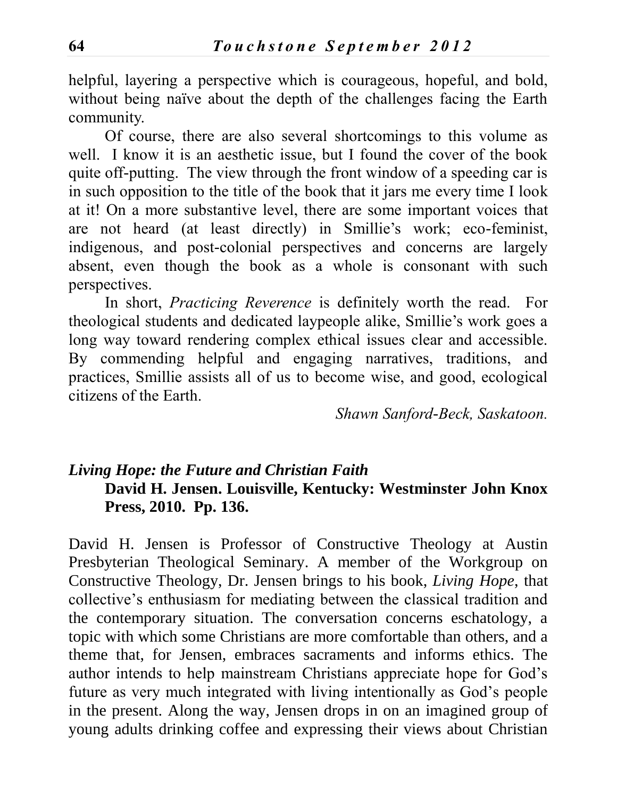helpful, layering a perspective which is courageous, hopeful, and bold, without being naïve about the depth of the challenges facing the Earth community.

Of course, there are also several shortcomings to this volume as well. I know it is an aesthetic issue, but I found the cover of the book quite off-putting. The view through the front window of a speeding car is in such opposition to the title of the book that it jars me every time I look at it! On a more substantive level, there are some important voices that are not heard (at least directly) in Smillie's work; eco-feminist, indigenous, and post-colonial perspectives and concerns are largely absent, even though the book as a whole is consonant with such perspectives.

In short, *Practicing Reverence* is definitely worth the read. For theological students and dedicated laypeople alike, Smillie's work goes a long way toward rendering complex ethical issues clear and accessible. By commending helpful and engaging narratives, traditions, and practices, Smillie assists all of us to become wise, and good, ecological citizens of the Earth.

*Shawn Sanford-Beck, Saskatoon.*

## *Living Hope: the Future and Christian Faith* **David H. Jensen. Louisville, Kentucky: Westminster John Knox Press, 2010. Pp. 136.**

David H. Jensen is Professor of Constructive Theology at Austin Presbyterian Theological Seminary. A member of the Workgroup on Constructive Theology, Dr. Jensen brings to his book, *Living Hope*, that collective's enthusiasm for mediating between the classical tradition and the contemporary situation. The conversation concerns eschatology, a topic with which some Christians are more comfortable than others, and a theme that, for Jensen, embraces sacraments and informs ethics. The author intends to help mainstream Christians appreciate hope for God's future as very much integrated with living intentionally as God's people in the present. Along the way, Jensen drops in on an imagined group of young adults drinking coffee and expressing their views about Christian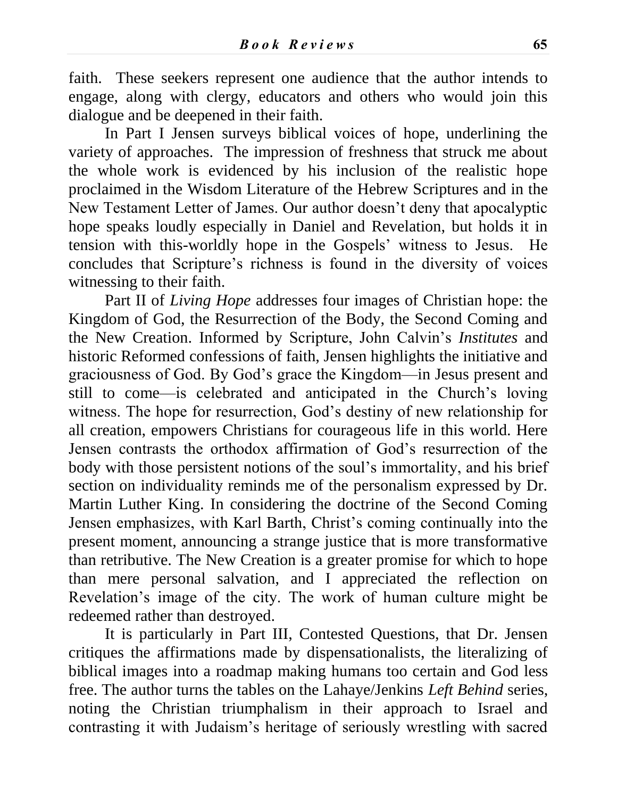faith. These seekers represent one audience that the author intends to engage, along with clergy, educators and others who would join this dialogue and be deepened in their faith.

In Part I Jensen surveys biblical voices of hope, underlining the variety of approaches. The impression of freshness that struck me about the whole work is evidenced by his inclusion of the realistic hope proclaimed in the Wisdom Literature of the Hebrew Scriptures and in the New Testament Letter of James. Our author doesn't deny that apocalyptic hope speaks loudly especially in Daniel and Revelation, but holds it in tension with this-worldly hope in the Gospels' witness to Jesus. He concludes that Scripture's richness is found in the diversity of voices witnessing to their faith.

Part II of *Living Hope* addresses four images of Christian hope: the Kingdom of God, the Resurrection of the Body, the Second Coming and the New Creation. Informed by Scripture, John Calvin's *Institutes* and historic Reformed confessions of faith, Jensen highlights the initiative and graciousness of God. By God's grace the Kingdom—in Jesus present and still to come—is celebrated and anticipated in the Church's loving witness. The hope for resurrection, God's destiny of new relationship for all creation, empowers Christians for courageous life in this world. Here Jensen contrasts the orthodox affirmation of God's resurrection of the body with those persistent notions of the soul's immortality, and his brief section on individuality reminds me of the personalism expressed by Dr. Martin Luther King. In considering the doctrine of the Second Coming Jensen emphasizes, with Karl Barth, Christ's coming continually into the present moment, announcing a strange justice that is more transformative than retributive. The New Creation is a greater promise for which to hope than mere personal salvation, and I appreciated the reflection on Revelation's image of the city. The work of human culture might be redeemed rather than destroyed.

It is particularly in Part III, Contested Questions, that Dr. Jensen critiques the affirmations made by dispensationalists, the literalizing of biblical images into a roadmap making humans too certain and God less free. The author turns the tables on the Lahaye/Jenkins *Left Behind* series, noting the Christian triumphalism in their approach to Israel and contrasting it with Judaism's heritage of seriously wrestling with sacred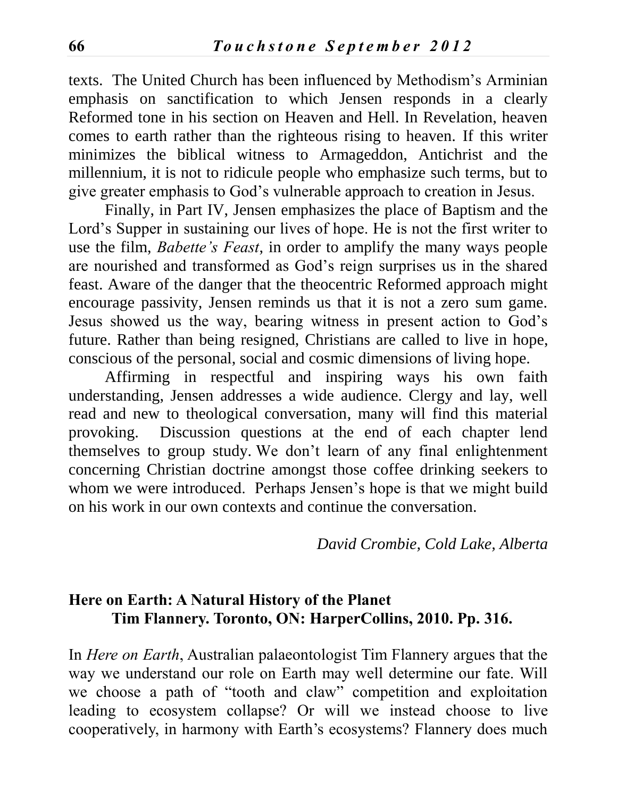texts. The United Church has been influenced by Methodism's Arminian emphasis on sanctification to which Jensen responds in a clearly Reformed tone in his section on Heaven and Hell. In Revelation, heaven comes to earth rather than the righteous rising to heaven. If this writer minimizes the biblical witness to Armageddon, Antichrist and the millennium, it is not to ridicule people who emphasize such terms, but to give greater emphasis to God's vulnerable approach to creation in Jesus.

Finally, in Part IV, Jensen emphasizes the place of Baptism and the Lord's Supper in sustaining our lives of hope. He is not the first writer to use the film, *Babette's Feast*, in order to amplify the many ways people are nourished and transformed as God's reign surprises us in the shared feast. Aware of the danger that the theocentric Reformed approach might encourage passivity, Jensen reminds us that it is not a zero sum game. Jesus showed us the way, bearing witness in present action to God's future. Rather than being resigned, Christians are called to live in hope, conscious of the personal, social and cosmic dimensions of living hope.

Affirming in respectful and inspiring ways his own faith understanding, Jensen addresses a wide audience. Clergy and lay, well read and new to theological conversation, many will find this material provoking. Discussion questions at the end of each chapter lend themselves to group study. We don't learn of any final enlightenment concerning Christian doctrine amongst those coffee drinking seekers to whom we were introduced. Perhaps Jensen's hope is that we might build on his work in our own contexts and continue the conversation.

*David Crombie, Cold Lake, Alberta*

### **Here on Earth: A Natural History of the Planet Tim Flannery. Toronto, ON: HarperCollins, 2010. Pp. 316.**

In *Here on Earth*, Australian palaeontologist Tim Flannery argues that the way we understand our role on Earth may well determine our fate. Will we choose a path of "tooth and claw" competition and exploitation leading to ecosystem collapse? Or will we instead choose to live cooperatively, in harmony with Earth's ecosystems? Flannery does much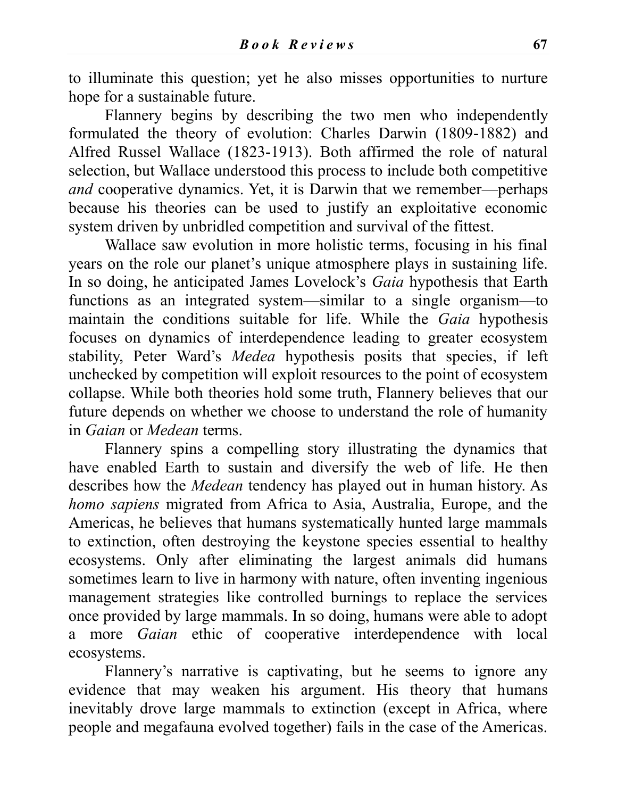to illuminate this question; yet he also misses opportunities to nurture hope for a sustainable future.

Flannery begins by describing the two men who independently formulated the theory of evolution: Charles Darwin (1809-1882) and Alfred Russel Wallace (1823-1913). Both affirmed the role of natural selection, but Wallace understood this process to include both competitive *and* cooperative dynamics. Yet, it is Darwin that we remember—perhaps because his theories can be used to justify an exploitative economic system driven by unbridled competition and survival of the fittest.

Wallace saw evolution in more holistic terms, focusing in his final years on the role our planet's unique atmosphere plays in sustaining life. In so doing, he anticipated James Lovelock's *Gaia* hypothesis that Earth functions as an integrated system—similar to a single organism—to maintain the conditions suitable for life. While the *Gaia* hypothesis focuses on dynamics of interdependence leading to greater ecosystem stability, Peter Ward's *Medea* hypothesis posits that species, if left unchecked by competition will exploit resources to the point of ecosystem collapse. While both theories hold some truth, Flannery believes that our future depends on whether we choose to understand the role of humanity in *Gaian* or *Medean* terms.

Flannery spins a compelling story illustrating the dynamics that have enabled Earth to sustain and diversify the web of life. He then describes how the *Medean* tendency has played out in human history. As *homo sapiens* migrated from Africa to Asia, Australia, Europe, and the Americas, he believes that humans systematically hunted large mammals to extinction, often destroying the keystone species essential to healthy ecosystems. Only after eliminating the largest animals did humans sometimes learn to live in harmony with nature, often inventing ingenious management strategies like controlled burnings to replace the services once provided by large mammals. In so doing, humans were able to adopt a more *Gaian* ethic of cooperative interdependence with local ecosystems.

Flannery's narrative is captivating, but he seems to ignore any evidence that may weaken his argument. His theory that humans inevitably drove large mammals to extinction (except in Africa, where people and megafauna evolved together) fails in the case of the Americas.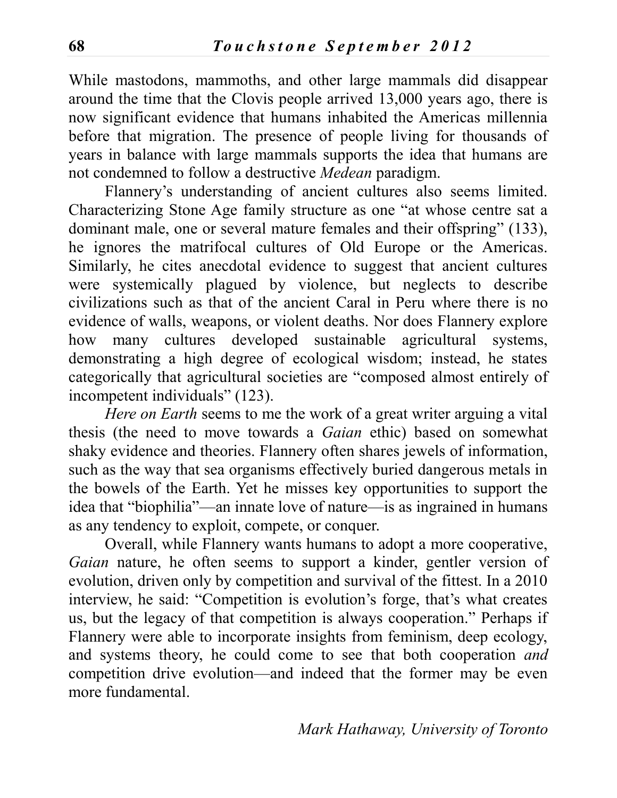While mastodons, mammoths, and other large mammals did disappear around the time that the Clovis people arrived 13,000 years ago, there is now significant evidence that humans inhabited the Americas millennia before that migration. The presence of people living for thousands of years in balance with large mammals supports the idea that humans are not condemned to follow a destructive *Medean* paradigm.

Flannery's understanding of ancient cultures also seems limited. Characterizing Stone Age family structure as one "at whose centre sat a dominant male, one or several mature females and their offspring" (133), he ignores the matrifocal cultures of Old Europe or the Americas. Similarly, he cites anecdotal evidence to suggest that ancient cultures were systemically plagued by violence, but neglects to describe civilizations such as that of the ancient Caral in Peru where there is no evidence of walls, weapons, or violent deaths. Nor does Flannery explore how many cultures developed sustainable agricultural systems, demonstrating a high degree of ecological wisdom; instead, he states categorically that agricultural societies are "composed almost entirely of incompetent individuals" (123).

*Here on Earth* seems to me the work of a great writer arguing a vital thesis (the need to move towards a *Gaian* ethic) based on somewhat shaky evidence and theories. Flannery often shares jewels of information, such as the way that sea organisms effectively buried dangerous metals in the bowels of the Earth. Yet he misses key opportunities to support the idea that "biophilia"—an innate love of nature—is as ingrained in humans as any tendency to exploit, compete, or conquer.

Overall, while Flannery wants humans to adopt a more cooperative, *Gaian* nature, he often seems to support a kinder, gentler version of evolution, driven only by competition and survival of the fittest. In a 2010 interview, he said: "Competition is evolution's forge, that's what creates us, but the legacy of that competition is always cooperation." Perhaps if Flannery were able to incorporate insights from feminism, deep ecology, and systems theory, he could come to see that both cooperation *and* competition drive evolution—and indeed that the former may be even more fundamental.

*Mark Hathaway, University of Toronto*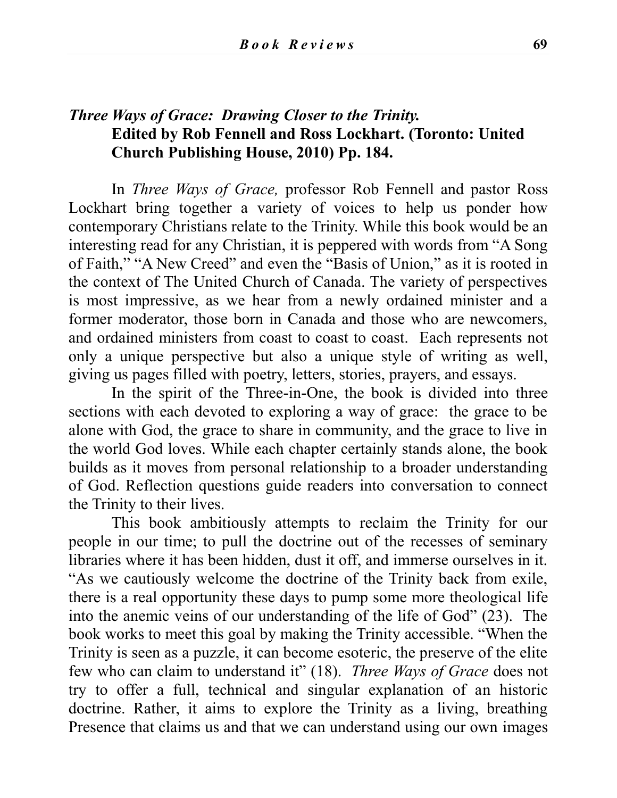### *Three Ways of Grace: Drawing Closer to the Trinity.*  **Edited by Rob Fennell and Ross Lockhart. (Toronto: United Church Publishing House, 2010) Pp. 184.**

In *Three Ways of Grace,* professor Rob Fennell and pastor Ross Lockhart bring together a variety of voices to help us ponder how contemporary Christians relate to the Trinity. While this book would be an interesting read for any Christian, it is peppered with words from "A Song of Faith," "A New Creed" and even the "Basis of Union," as it is rooted in the context of The United Church of Canada. The variety of perspectives is most impressive, as we hear from a newly ordained minister and a former moderator, those born in Canada and those who are newcomers, and ordained ministers from coast to coast to coast. Each represents not only a unique perspective but also a unique style of writing as well, giving us pages filled with poetry, letters, stories, prayers, and essays.

In the spirit of the Three-in-One, the book is divided into three sections with each devoted to exploring a way of grace: the grace to be alone with God, the grace to share in community, and the grace to live in the world God loves. While each chapter certainly stands alone, the book builds as it moves from personal relationship to a broader understanding of God. Reflection questions guide readers into conversation to connect the Trinity to their lives.

This book ambitiously attempts to reclaim the Trinity for our people in our time; to pull the doctrine out of the recesses of seminary libraries where it has been hidden, dust it off, and immerse ourselves in it. "As we cautiously welcome the doctrine of the Trinity back from exile, there is a real opportunity these days to pump some more theological life into the anemic veins of our understanding of the life of God" (23). The book works to meet this goal by making the Trinity accessible. "When the Trinity is seen as a puzzle, it can become esoteric, the preserve of the elite few who can claim to understand it" (18). *Three Ways of Grace* does not try to offer a full, technical and singular explanation of an historic doctrine. Rather, it aims to explore the Trinity as a living, breathing Presence that claims us and that we can understand using our own images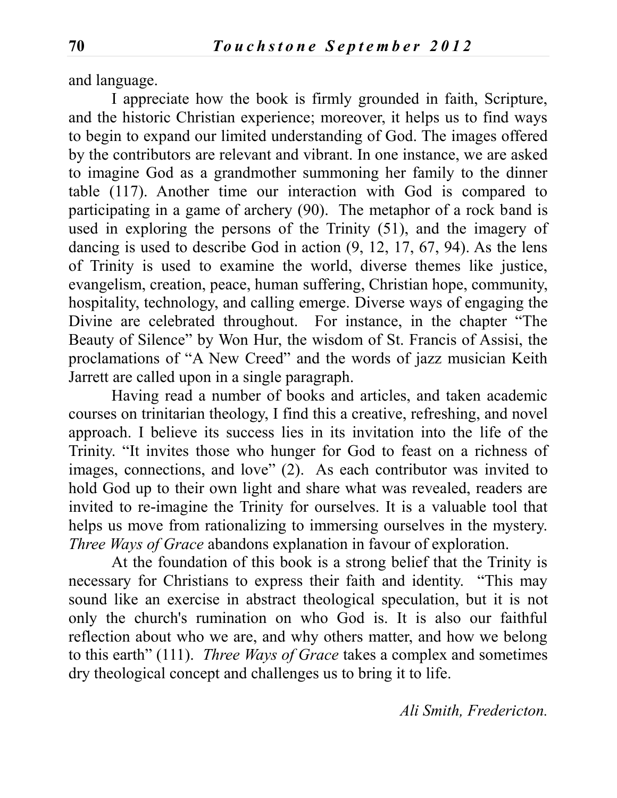and language.

I appreciate how the book is firmly grounded in faith, Scripture, and the historic Christian experience; moreover, it helps us to find ways to begin to expand our limited understanding of God. The images offered by the contributors are relevant and vibrant. In one instance, we are asked to imagine God as a grandmother summoning her family to the dinner table (117). Another time our interaction with God is compared to participating in a game of archery (90). The metaphor of a rock band is used in exploring the persons of the Trinity (51), and the imagery of dancing is used to describe God in action (9, 12, 17, 67, 94). As the lens of Trinity is used to examine the world, diverse themes like justice, evangelism, creation, peace, human suffering, Christian hope, community, hospitality, technology, and calling emerge. Diverse ways of engaging the Divine are celebrated throughout. For instance, in the chapter "The Beauty of Silence" by Won Hur, the wisdom of St. Francis of Assisi, the proclamations of "A New Creed" and the words of jazz musician Keith Jarrett are called upon in a single paragraph.

Having read a number of books and articles, and taken academic courses on trinitarian theology, I find this a creative, refreshing, and novel approach. I believe its success lies in its invitation into the life of the Trinity. "It invites those who hunger for God to feast on a richness of images, connections, and love" (2). As each contributor was invited to hold God up to their own light and share what was revealed, readers are invited to re-imagine the Trinity for ourselves. It is a valuable tool that helps us move from rationalizing to immersing ourselves in the mystery. *Three Ways of Grace* abandons explanation in favour of exploration.

At the foundation of this book is a strong belief that the Trinity is necessary for Christians to express their faith and identity. "This may sound like an exercise in abstract theological speculation, but it is not only the church's rumination on who God is. It is also our faithful reflection about who we are, and why others matter, and how we belong to this earth" (111). *Three Ways of Grace* takes a complex and sometimes dry theological concept and challenges us to bring it to life.

*Ali Smith, Fredericton.*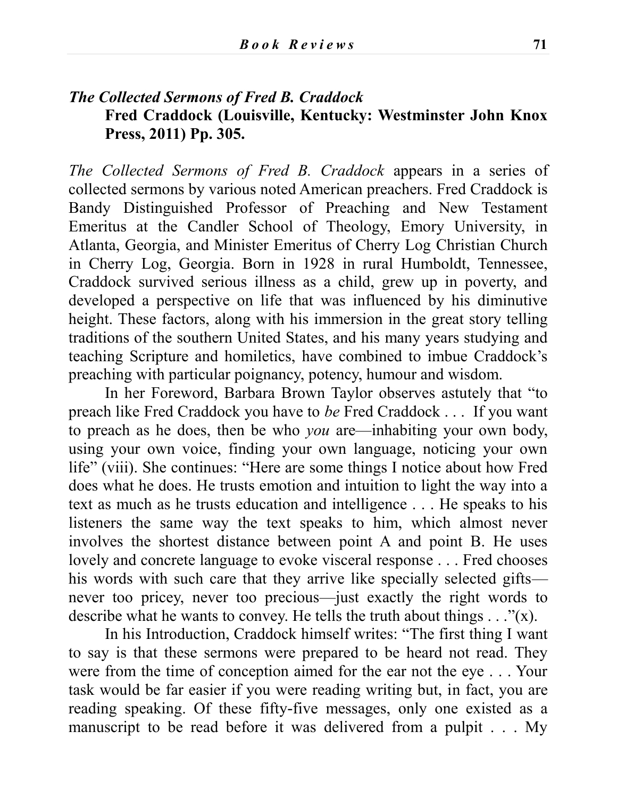### *The Collected Sermons of Fred B. Craddock* **Fred Craddock (Louisville, Kentucky: Westminster John Knox Press, 2011) Pp. 305.**

*The Collected Sermons of Fred B. Craddock* appears in a series of collected sermons by various noted American preachers. Fred Craddock is Bandy Distinguished Professor of Preaching and New Testament Emeritus at the Candler School of Theology, Emory University, in Atlanta, Georgia, and Minister Emeritus of Cherry Log Christian Church in Cherry Log, Georgia. Born in 1928 in rural Humboldt, Tennessee, Craddock survived serious illness as a child, grew up in poverty, and developed a perspective on life that was influenced by his diminutive height. These factors, along with his immersion in the great story telling traditions of the southern United States, and his many years studying and teaching Scripture and homiletics, have combined to imbue Craddock's preaching with particular poignancy, potency, humour and wisdom.

In her Foreword, Barbara Brown Taylor observes astutely that "to preach like Fred Craddock you have to *be* Fred Craddock . . . If you want to preach as he does, then be who *you* are—inhabiting your own body, using your own voice, finding your own language, noticing your own life" (viii). She continues: "Here are some things I notice about how Fred does what he does. He trusts emotion and intuition to light the way into a text as much as he trusts education and intelligence . . . He speaks to his listeners the same way the text speaks to him, which almost never involves the shortest distance between point A and point B. He uses lovely and concrete language to evoke visceral response . . . Fred chooses his words with such care that they arrive like specially selected gifts never too pricey, never too precious—just exactly the right words to describe what he wants to convey. He tells the truth about things  $\dots$  "(x).

In his Introduction, Craddock himself writes: "The first thing I want to say is that these sermons were prepared to be heard not read. They were from the time of conception aimed for the ear not the eye . . . Your task would be far easier if you were reading writing but, in fact, you are reading speaking. Of these fifty-five messages, only one existed as a manuscript to be read before it was delivered from a pulpit . . . My